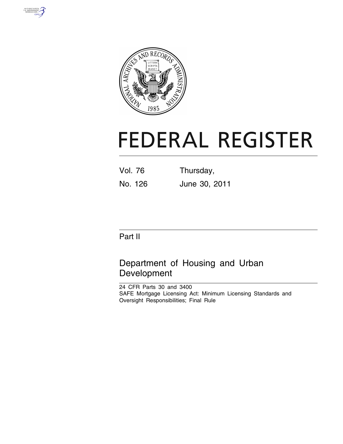



# **FEDERAL REGISTER**

Vol. 76 Thursday, No. 126 June 30, 2011

## Part II

## Department of Housing and Urban Development

24 CFR Parts 30 and 3400 SAFE Mortgage Licensing Act: Minimum Licensing Standards and Oversight Responsibilities; Final Rule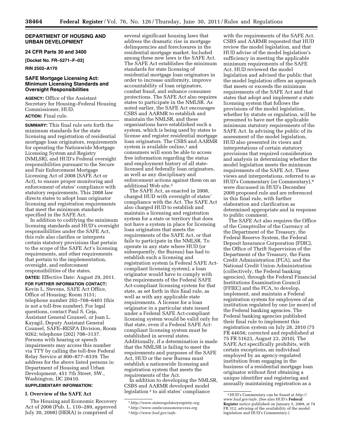#### **DEPARTMENT OF HOUSING AND URBAN DEVELOPMENT**

#### **24 CFR Parts 30 and 3400**

**[Docket No. FR–5271–F–03]** 

**RIN 2502–A170** 

#### **SAFE Mortgage Licensing Act: Minimum Licensing Standards and Oversight Responsibilities**

**AGENCY:** Office of the Assistant Secretary for Housing–Federal Housing Commissioner, HUD. **ACTION:** Final rule.

**SUMMARY:** This final rule sets forth the minimum standards for the state licensing and registration of residential mortgage loan originators, requirements for operating the Nationwide Mortgage Licensing System and Registry (NMLSR), and HUD's Federal oversight responsibilities pursuant to the Secure and Fair Enforcement Mortgage Licensing Act of 2008 (SAFE Act or Act), to ensure proper monitoring and enforcement of states' compliance with statutory requirements. This 2008 law directs states to adopt loan originator licensing and registration requirements that meet the minimum standards specified in the SAFE Act.

In addition to codifying the minimum licensing standards and HUD's oversight responsibilities under the SAFE Act, this rule also clarifies or interprets certain statutory provisions that pertain to the scope of the SAFE Act's licensing requirements, and other requirements that pertain to the implementation, oversight, and enforcement responsibilities of the states.

**DATES:** Effective Date: August 29, 2011. **FOR FURTHER INFORMATION CONTACT:**  Kevin L. Stevens, SAFE Act Office, Office of Housing; Room 3151; telephone number 202–708–6401 (this is not a toll-free number). For legal questions, contact Paul S. Ceja, Assistant General Counsel, or Joan L. Kayagil, Deputy Assistant General Counsel, SAFE–RESPA Division, Room 9262; telephone (202) 708–3137. Persons with hearing or speech impairments may access this number via TTY by calling the toll-free Federal Relay Service at 800–877–8339. The address for the above listed persons is: Department of Housing and Urban Development, 451 7th Street, SW., Washington, DC 20410.

### **SUPPLEMENTARY INFORMATION:**

### **I. Overview of the SAFE Act**

The Housing and Economic Recovery Act of 2008 (Pub. L. 110–289, approved July 30, 2008) (HERA) is comprised of

several significant housing laws that address the dramatic rise in mortgage delinquencies and foreclosures in the residential mortgage market. Included among these new laws is the SAFE Act. The SAFE Act establishes the minimum standards for state licensing of residential mortgage loan originators in order to increase uniformity, improve accountability of loan originators, combat fraud, and enhance consumer protections. The SAFE Act also requires states to participate in the NMLSR. As noted earlier, the SAFE Act encourages CSBS and AARMR to establish and maintain the NMLSR, and these organizations have established such a system, which is being used by states to license and register residential mortgage loan originators. The CSBS and AARMR system is available online,<sup>1</sup> and consumers will soon be able to access free information regarding the status and employment history of all statelicensed and federally loan originators, as well as any disciplinary and enforcement actions against them on an additional Web site.2

The SAFE Act, as enacted in 2008, charged HUD with oversight of states' compliance with the Act. The SAFE Act also charged HUD to establish and maintain a licensing and registration system for a state or territory that does not have a system in place for licensing loan originators that meets the requirements of the SAFE Act, or that fails to participate in the NMLSR. To operate in any state where HUD (or subsequently, the Bureau) has had to establish such a licensing and registration system (a Federal SAFE Actcompliant licensing system), a loan originator would have to comply with the requirements of the Federal SAFE Act-compliant licensing system for that state, as set forth in this final rule, as well as with any applicable state requirements. A license for a loan originator in a particular state issued under a Federal SAFE Act-compliant licensing system would be valid only for that state, even if a Federal SAFE Actcompliant licensing system must be established in several states. Additionally, if a determination is made that the NMLSR is failing to meet the requirements and purposes of the SAFE Act, HUD or the new Bureau must establish a nationwide licensing and registration system that meets the requirements of the Act.

In addition to developing the NMLSR, CSBS and AARMR developed model legislation 3 to aid states' compliance

with the requirements of the SAFE Act. CSBS and AARMR requested that HUD review the model legislation, and that HUD advise of the model legislation's sufficiency in meeting the applicable minimum requirements of the SAFE Act. HUD reviewed the model legislation and advised the public that the model legislation offers an approach that meets or exceeds the minimum requirements of the SAFE Act and that states that adopt and implement a state licensing system that follows the provisions of the model legislation, whether by statute or regulation, will be presumed to have met the applicable minimum statutory requirements of the SAFE Act. In advising the public of its assessment of the model legislation, HUD also presented its views and interpretations of certain statutory provisions that required consideration and analysis in determining whether the model legislation meets the minimum requirements of the SAFE Act. These views and interpretations, referred to as HUD's Commentary (or Commentary),4 were discussed in HUD's December 2009 proposed rule and are referenced in this final rule, with further elaboration and clarification as determined appropriate and in response to public comment.

The SAFE Act also requires the Office of the Comptroller of the Currency of the Department of the Treasury, the Federal Reserve System, the Federal Deposit Insurance Corporation (FDIC), the Office of Thrift Supervision of the Department of the Treasury, the Farm Credit Administration (FCA), and the National Credit Union Administration (collectively, the Federal banking agencies), through the Federal Financial Institutions Examination Council (FFIEC) and the FCA, to develop, implement, and maintain a Federal registration system for employees of an institution regulated by one (or more) of the Federal banking agencies. The Federal banking agencies published their final rule to implement this registration system on July 28, 2010 (75 FR 44656; corrected and republished at 75 FR 51623, August 23, 2010). The SAFE Act specifically prohibits, with certain exceptions, an individual employed by an agency-regulated institution from engaging in the business of a residential mortgage loan originator without first obtaining a unique identifier and registering and annually maintaining registration as a

<sup>1</sup>*[http://www.stateregulatoryregistry.org.](http://www.stateregulatoryregistry.org)* 

<sup>2</sup>*[http://www.nmlsconsumeraccess.org.](http://www.nmlsconsumeraccess.org)* 

<sup>3</sup>*[http://www.hud.gov/safe.](http://www.hud.gov/safe)* 

<sup>4</sup>HUD's Commentary can be found at *[http://](http://www.hud.gov/safe) [www.hud.gov/safe.](http://www.hud.gov/safe)* (See also HUD's **Federal Register** notice published on January 5, 2009, at 74 FR 312, advising of the availability of the model legislation and HUD's Commentary.)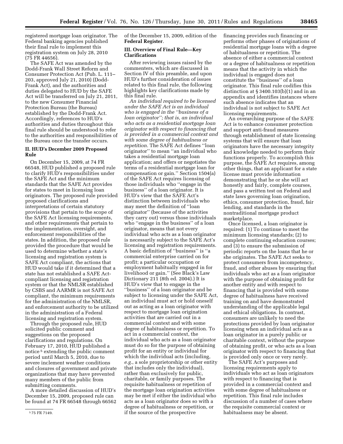registered mortgage loan originator. The Federal banking agencies published their final rule to implement this registration system on July 28, 2010 (75 FR 44656).

The SAFE Act was amended by the Dodd-Frank Wall Street Reform and Consumer Protection Act (Pub. L. 111– 203, approved July 21, 2010) (Dodd-Frank Act), and the authorities and duties delegated to HUD by the SAFE Act will be transferred on July 21, 2011, to the new Consumer Financial Protection Bureau (the Bureau) established by the Dodd-Frank Act. Accordingly, references to HUD's authorities and duties throughout this final rule should be understood to refer to the authorities and responsibilities of the Bureau once the transfer occurs.

#### **II. HUD's December 2009 Proposed Rule**

On December 15, 2009, at 74 FR 66548, HUD published a proposed rule to clarify HUD's responsibilities under the SAFE Act and the minimum standards that the SAFE Act provides for states to meet in licensing loan originators. The proposed rule provided proposed clarifications and interpretations of certain statutory provisions that pertain to the scope of the SAFE Act licensing requirements, and other requirements that pertain to the implementation, oversight, and enforcement responsibilities of the states. In addition, the proposed rule provided the procedure that would be used to determine whether a state's licensing and registration system is SAFE Act compliant, the actions that HUD would take if it determined that a state has not established a SAFE Actcompliant licensing and registration system or that the NMLSR established by CSBS and AARMR is not SAFE Act compliant, the minimum requirements for the administration of the NMLSR, and enforcement authority to be utilized in the administration of a Federal licensing and registration system.

Through the proposed rule, HUD solicited public comment and suggestions on the proposed clarifications and regulations. On February 17, 2010, HUD published a notice 5 extending the public comment period until March 5, 2010, due to severe inclement weather conditions and closures of government and private organizations that may have prevented many members of the public from submitting comments.

A more detailed discussion of HUD's December 15, 2009, proposed rule can be found at 74 FR 66548 through 66562 of the December 15, 2009, edition of the **Federal Register**.

#### **III. Overview of Final Rule—Key Clarifications**

After reviewing issues raised by the commenters, which are discussed in Section IV of this preamble, and upon HUD's further consideration of issues related to this final rule, the following highlights key clarifications made by this final rule.

*An individual required to be licensed under the SAFE Act is an individual who is engaged in the ''business of a loan originator''; that is, an individual who acts as a residential mortgage loan originator with respect to financing that is provided in a commercial context and with some degree of habitualness or repetition.* The SAFE Act defines ''loan originator'' to mean ''an individual who takes a residential mortgage loan application; and offers or negotiates the terms of a residential mortgage loan for compensation or gain.'' Section 1504(a) of the SAFE Act requires licensing of those individuals who ''engage in the business'' of a loan originator. It is HUD's view that the SAFE Act's distinction between individuals who may meet the definition of ''loan originator'' (because of the activities they carry out) versus those individuals who ''engage in the business'' of a loan originator, means that not every individual who acts as a loan originator is necessarily subject to the SAFE Act's licensing and registration requirements. A basic definition of ''business'' is ''a commercial enterprise carried on for profit; a particular occupation or employment habitually engaged in for livelihood or gain.'' (See Black's Law Dictionary 211 (8th ed. 2004).) It is HUD's view that to engage in the ''business'' of a loan originator and be subject to licensing under the SAFE Act, an individual must act or hold oneself out as acting as a loan originator with respect to mortgage loan origination activities that are carried out in a commercial context and with some degree of habitualness or repetition. To act in a commercial context, the individual who acts as a loan originator must do so for the purpose of obtaining profit for an entity or individual for which the individual acts (including, *e.g.*, a sole proprietorship or other entity that includes only the individual), rather than exclusively for public, charitable, or family purposes. The requisite habitualness or repetition of the mortgage loan origination activities may be met if either the individual who acts as a loan originator does so with a degree of habitualness or repetition, or if the source of the prospective

financing provides such financing or performs other phases of originations of residential mortgage loans with a degree of habitualness or repetition. The absence of either a commercial context or a degree of habitualness or repetition means that the activity in which the individual is engaged does not constitute the ''business'' of a loan originator. This final rule codifies this distinction at  $\S 3400.103(b)(1)$  and in an appendix and identifies instances where such absence indicates that an individual is not subject to SAFE Act licensing requirements.

An overarching purpose of the SAFE Act is to enhance consumer protection and support anti-fraud measures through establishment of state licensing systems that will ensure that loan originators have the necessary integrity and knowledge needed to perform their functions properly. To accomplish this purpose, the SAFE Act requires, among other things, that an applicant for a state license must provide information demonstrating that he or she will act honestly and fairly, complete courses, and pass a written test on Federal and state laws governing loan origination, ethics, consumer protection, fraud, fair lending, and standards in the nontraditional mortgage product marketplace.

Once licensed, a loan originator is required: (1) To continue to meet the minimum licensing standards; (2) to complete continuing education courses; and (3) to ensure the submission of periodic reports on the loans that he or she originates. The SAFE Act seeks to protect consumers from incompetency, fraud, and other abuses by ensuring that individuals who act as a loan originator with the purpose of obtaining profit for another entity and with respect to financing that is provided with some degree of habitualness have received training on and have demonstrated understanding of the applicable legal and ethical obligations. In contrast, consumers are unlikely to need the protections provided by loan originator licensing when an individual acts as a loan originator in a purely public or charitable context, without the purpose of obtaining profit, or who acts as a loan originator with respect to financing that is provided only once or very rarely.

The SAFE Act's purposes and licensing requirements apply to individuals who act as loan originators with respect to financing that is provided in a commercial context and with some degree of habitualness or repetition. This final rule includes discussion of a number of cases where the requisite commercial context or habitualness may be absent.

<sup>5</sup> 75 FR 7149.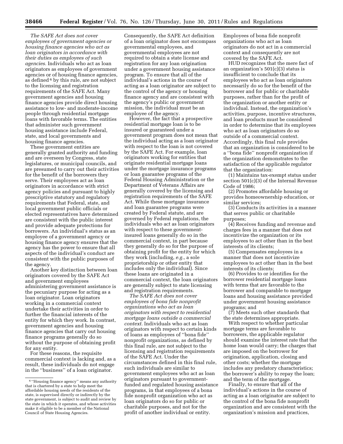*The SAFE Act does not cover employees of government agencies or housing finance agencies who act as loan originators in accordance with their duties as employees of such agencies.* Individuals who act as loan originators as employees of government agencies or of housing finance agencies, as defined 6 by this rule, are not subject to the licensing and registration requirements of the SAFE Act. Many government agencies and housing finance agencies provide direct housing assistance to low- and moderate-income people through residential mortgage loans with favorable terms. The entities that administer such government housing assistance include Federal, state, and local governments and housing finance agencies.

These government entities are generally granted authority and funding and are overseen by Congress, state legislatures, or municipal councils, and are presumed to carry out their activities for the benefit of the borrowers they serve. Their employees act as loan originators in accordance with strict agency policies and pursuant to highly prescriptive statutory and regulatory requirements that Federal, state, and local government public officials or elected representatives have determined are consistent with the public interest and provide adequate protections for borrowers. An individual's status as an employee of a government agency or housing finance agency ensures that the agency has the power to ensure that all aspects of the individual's conduct are consistent with the public purposes of the agency.

Another key distinction between loan originators covered by the SAFE Act and government employees administering government assistance is the pecuniary purpose for acting as a loan originator. Loan originators working in a commercial context undertake their activities in order to further the financial interests of the entity for which they work. In contrast, government agencies and housing finance agencies that carry out housing finance programs generally do so without the purpose of obtaining profit for any entity.

For these reasons, the requisite commercial context is lacking and, as a result, these individuals do not engage in the ''business'' of a loan originator.

Consequently, the SAFE Act definition of a loan originator does not encompass governmental employees, and governmental employees are not required to obtain a state license and registration for any loan origination under a government housing assistance program. To ensure that all of the individual's actions in the course of acting as a loan originator are subject to the control of the agency or housing finance agency and are consistent with the agency's public or government mission, the individual must be an employee of the agency.

However, the fact that a prospective residential mortgage loan is to be insured or guaranteed under a government program does not mean that the individual acting as a loan originator with respect to the loan is not covered by the SAFE Act. For example, loan originators working for entities that originate residential mortgage loans under the mortgage insurance programs or loan guarantee programs of the Federal Housing Administration or the Department of Veterans Affairs are generally covered by the licensing and registration requirements of the SAFE Act. While these mortgage insurance and loan guarantee programs were created by Federal statute, and are governed by Federal regulations, the individuals who act as loan originators with respect to these governmentinsured loans generally do so in the commercial context, in part because they generally do so for the purpose of obtaining profit for the entity for which they work (including, *e.g.,* a sole proprietorship or other entity that includes only the individual). Since these loans are originated in a commercial context, the loan originators are generally subject to state licensing and registration requirements.

*The SAFE Act does not cover employees of bona fide nonprofit organizations who act as loan originators with respect to residential mortgage loans outside a commercial context.* Individuals who act as loan originators with respect to certain kinds of loans as employees of ''bona fide'' nonprofit organizations, as defined by this final rule, are not subject to the licensing and registration requirements of the SAFE Act. Under the circumstances defined in this final rule, such individuals are similar to government employees who act as loan originators pursuant to governmentfunded and regulated housing assistance programs, in that employees of a bona fide nonprofit organization who act as loan originators do so for public or charitable purposes, and not for the profit of another individual or entity.

Employees of bona fide nonprofit organizations who act as loan originators do not act in a commercial context and consequently are not covered by the SAFE Act.

HUD recognizes that the mere fact of an organization's 501(c)(3) status is insufficient to conclude that its employees who act as loan originators necessarily do so for the benefit of the borrower and for public or charitable purposes, rather than for the profit of the organization or another entity or individual. Instead, the organization's activities, purpose, incentive structures, and loan products must be considered in order to determine that its employees who act as loan originators do so outside of a commercial context. Accordingly, this final rule provides that an organization is considered to be a ''bona fide'' nonprofit organization if the organization demonstrates to the satisfaction of the applicable regulator that the organization:

(1) Maintains tax-exempt status under section 501(c)(3) of the Internal Revenue Code of 1986;

(2) Promotes affordable housing or provides homeownership education, or similar services;

(3) Conducts its activities in a manner that serves public or charitable purposes;

(4) Receives funding and revenue and charges fees in a manner that does not incentivize the organization or its employees to act other than in the best interests of its clients;

(5) Compensates employees in a manner that does not incentivize employees to act other than in the best interests of its clients;

(6) Provides to or identifies for the borrower residential mortgage loans with terms that are favorable to the borrower and comparable to mortgage loans and housing assistance provided under government housing assistance programs; and

(7) Meets such other standards that the state determines appropriate.

With respect to whether particular mortgage terms are favorable to borrowers, the applicable regulator should examine the interest rate that the home loan would carry; the charges that are imposed on the borrower for origination, application, closing and other costs; whether the mortgage includes any predatory characteristics; the borrower's ability to repay the loan; and the term of the mortgage.

Finally, to ensure that all of the individual's actions in the course of acting as a loan originator are subject to the control of the bona fide nonprofit organization and are consistent with the organization's mission and practices,

<sup>6</sup> ''Housing finance agency'' means any authority that is chartered by a state to help meet the affordable housing needs of the residents of the state, is supervised directly or indirectly by the state government, is subject to audit and review by the state in which it operates, and whose activities make it eligible to be a member of the National Council of State Housing Agencies.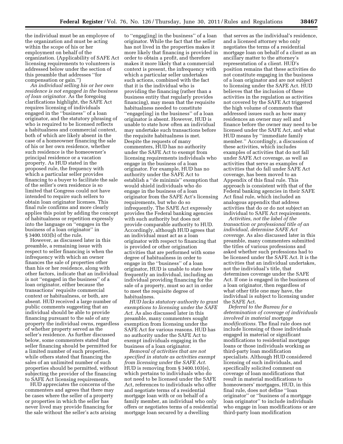the individual must be an employee of the organization and must be acting within the scope of his or her employment on behalf of the organization. (Applicability of SAFE Act licensing requirements to volunteers is addressed below under the section of this preamble that addresses ''for compensation or gain.'')

*An individual selling his or her own residence is not engaged in the business of loan originator.* As the foregoing clarifications highlight, the SAFE Act requires licensing of individuals engaged in the ''business'' of a loan originator, and the statutory phrasing of who is required to be licensed reflects a habitualness and commercial context, both of which are likely absent in the case of a homeowner financing the sale of his or her own residence, whether such residence is the homeowner's principal residence or a vacation property. As HUD stated in the proposed rule, the frequency with which a particular seller provides financing to a buyer to facilitate the sale of the seller's own residence is so limited that Congress could not have intended to require such sellers to obtain loan originator licenses. This final rule confirms and more clearly applies this point by adding the concept of habitualness or repetition expressly into the language on ''engages in the business of a loan originator'' in § 3400.103(b) of the rule.

However, as discussed later in this preamble, a remaining issue with respect to seller financing is when the infrequency with which an owner finances the sale of properties other than his or her residence, along with other factors, indicate that an individual is not ''engaged in the business'' of a loan originator, either because the transactions' requisite commercial context or habitualness, or both, are absent. HUD received a large number of public comments suggesting that an individual should be able to provide financing pursuant to the sale of any property the individual owns, regardless of whether property served as the seller's residence. As further discussed below, some commenters stated that seller financing should be permitted for a limited number of such properties, while others stated that financing the sales of an unlimited number of such properties should be permitted, without subjecting the provider of the financing to SAFE Act licensing requirements.

HUD appreciates the concerns of the commenters and agrees that there may be cases where the seller of a property or properties in which the seller has never lived may provide financing for the sale without the seller's acts arising

to ''engag[ing] in the business'' of a loan originator. While the fact that the seller has not lived in the properties makes it more likely that financing is provided in order to obtain a profit, and therefore makes it more likely that a commercial context is present, the infrequency with which a particular seller undertakes such actions, combined with the fact that it is the individual who is providing the financing (rather than a business entity that regularly provides financing), may mean that the requisite habitualness needed to constitute ''engage[ing] in the business'' of a loan originator is absent. However, HUD is unable to state how often an individual may undertake such transactions before the requisite habitualness is met. Despite the requests of many commenters, HUD has no authority under the SAFE Act to exempt from licensing requirements individuals who engage in the business of a loan originator. For example, HUD has no authority under the SAFE Act to establish a ''de minimis'' exemption that would shield individuals who do engage in the business of a loan originator from the SAFE Act's licensing requirements, but who do so infrequently. The SAFE Act expressly provides the Federal banking agencies with such authority but does not provide comparable authority to HUD. Accordingly, although HUD agrees that an individual must act as a loan originator with respect to financing that is provided or other origination activities that are performed with some degree of habitualness in order to engage in the ''business'' of a loan originator, HUD is unable to state how frequently an individual, including an individual providing financing for the sale of a property, must so act in order to meet the requisite degree of habitualness.

*HUD lacks statutory authority to grant exemptions to licensing under the SAFE Act.* As also discussed later in this preamble, many commenters sought exemption from licensing under the SAFE Act for various reasons. HUD has no authority under the SAFE Act to exempt individuals engaging in the business of a loan originator.

*Removal of activities that are not specified in statute as activities exempt from licensing under the SAFE Act.*  HUD is removing from § 3400.103(e), which pertains to individuals who do not need to be licensed under the SAFE Act, references to individuals who offer and negotiate terms of a residential mortgage loan with or on behalf of a family member, an individual who only offers or negotiates terms of a residential mortgage loan secured by a dwelling

that serves as the individual's residence, and a licensed attorney who only negotiates the terms of a residential mortgage loan on behalf of a client as an ancillary matter to the attorney's representation of a client. HUD's position remains that these activities do not constitute engaging in the business of a loan originator and are not subject to licensing under the SAFE Act. HUD believes that the inclusion of these activities in the regulation as activities not covered by the SAFE Act triggered the high volume of comments that addressed issues such as how many residences an owner may sell and finance before the owner may need to be licensed under the SAFE Act, and what HUD means by ''immediate family member.'' Accordingly, a discussion of these activities, which includes examples of activities that do not fall under SAFE Act coverage, as well as activities that serve as examples of activities that do fall under SAFE Act coverage, has been moved to an Appendix of this final rule. This approach is consistent with that of the Federal banking agencies in their SAFE Act final rule, which included an analogous appendix that address activities that do or do not subject an individual to SAFE Act requirements.

*Activities, not the label of the transaction or professional title of an individual, determine SAFE Act coverage.* As also discussed later in this preamble, many commenters submitted the titles of various professions and asked whether such professions had to be licensed under the SAFE Act. It is the activities that an individual undertakes, not the individual's title, that determines coverage under the SAFE Act. If one is engaged in the business of a loan originator, then regardless of what other title one may have, the individual is subject to licensing under the SAFE Act.

*Deferral to the Bureau for a determination of coverage of individuals involved in material mortgage modifications.* The final rule does not include licensing of those individuals engaged in material or significant modifications to residential mortgage loans or those individuals working as third-party loan modification specialists. Although HUD considered licensing of such individuals, and specifically solicited comment on coverage of loan modifications that result in material modifications to homeowners' mortgages, HUD, in this final rule, does not define ''loan originator'' or ''business of a mortgage loan originator'' to include individuals who engage in loan modifications or are third-party loan modification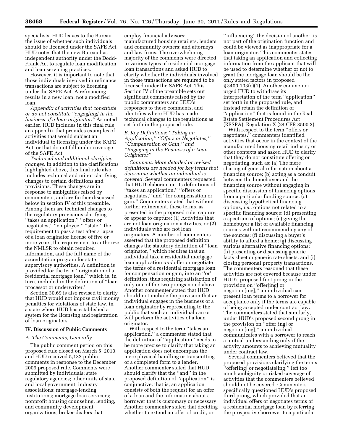specialists. HUD leaves to the Bureau the issue of whether such individuals should be licensed under the SAFE Act. HUD notes that the new Bureau has independent authority under the Dodd-Frank Act to regulate loan modification and loan servicing practices.

However, it is important to note that those individuals involved in refinance transactions are subject to licensing under the SAFE Act. A refinancing results in a new loan, not a modified loan.

*Appendix of activities that constitute or do not constitute ''engag[ing] in the business of a loan originator.''* As noted earlier, HUD includes in this final rule an appendix that provides examples of activities that would subject an individual to licensing under the SAFE Act, or that do not fall under coverage of the SAFE Act.

*Technical and additional clarifying changes.* In addition to the clarifications highlighted above, this final rule also includes technical and minor clarifying changes to certain definitions and provisions. These changes are in response to ambiguities raised by commenters, and are further discussed below in section IV of this preamble. Among them are technical changes to the regulatory provisions clarifying ''takes an application,'' ''offers or negotiates," "employee," "state," the requirement to pass a test after a lapse of a loan originator license of five or more years, the requirement to authorize the NMLSR to obtain required information, and the full name of the accreditation program for state supervisory authorities. A definition is provided for the term ''origination of a residential mortgage loan,'' which is, in turn, included in the definition of ''loan processor or underwriter.''

Section 30.69 is also revised to clarify that HUD would not impose civil money penalties for violations of state law, in a state where HUD has established a system for the licensing and registration of loan originators.

#### **IV. Discussion of Public Comments**

#### *A. The Comments, Generally*

The public comment period on this proposed rule closed on March 5, 2010, and HUD received 5,132 public comments in response to the December 2009 proposed rule. Comments were submitted by individuals; state regulatory agencies; other units of state and local government; industry associations; mortgage-lending institutions; mortgage loan servicers; nonprofit housing counseling, lending, and community development organizations; broker-dealers that

employ financial advisors; manufactured housing retailers, lenders, and community owners; and attorneys and law firms. The overwhelming majority of the comments were directed to various types of residential mortgage loan transactions and asked HUD to clarify whether the individuals involved in those transactions are required to be licensed under the SAFE Act. This Section IV of the preamble sets out significant comments raised by the public commenters and HUD's responses to these comments, and identifies where HUD has made technical changes to the regulations as set forth in the proposed rule.

#### *B. Key Definitions: ''Taking an Application,'' ''Offers or Negotiates,'' ''Compensation or Gain,'' and ''Engaging in the Business of a Loan Originator''*

*Comment: More detailed or revised definitions are needed for key terms that determine whether an individual is covered.* Several commenters requested that HUD elaborate on its definitions of ''takes an application,'' ''offers or negotiates,'' and ''for compensation or gain.'' Commenters stated that without further refinement, these terms, as presented in the proposed rule, capture or appear to capture: (1) Activities that are not loan origination activities, or (2) individuals who are not loan originators. A number of commenters asserted that the proposed definition changes the statutory definition of ''loan originator,'' which requires that an individual take a residential mortgage loan application *and* offer or negotiate the terms of a residential mortgage loan for compensation or gain, into an ''or'' definition, thus requiring satisfaction of only one of the two prongs noted above. Another commenter stated that HUD should not include the provision that an individual engages in the business of a loan originator by representing to the public that such an individual can or will perform the activities of a loan originator.

With respect to the term ''takes an application,'' a commenter stated that the definition of ''application'' needs to be more precise to clarify that taking an application does not encompass the mere physical handling or transmitting of a completed form to a lender. Another commenter stated that HUD should clarify that the ''and'' in the proposed definition of ''application'' is conjunctive; that is, an application consists of both the request for an offer of a loan and the information about a borrower that is customary or necessary. Another commenter stated that deciding whether to extend an offer of credit, or

''influencing'' the decision of another, is not part of the origination function and could be viewed as inappropriate for a loan originator. This commenter states that taking an application and collecting information from the applicant that will be used to determine whether or not to grant the mortgage loan should be the only stated factors in proposed § 3400.103(c)(1). Another commenter urged HUD to withdraw its interpretation of the term ''application'' set forth in the proposed rule, and instead retain the definition of ''application'' that is found in the Real Estate Settlement Procedures Act (RESPA), Regulation X (24 CFR 3500.2).

With respect to the term ''offers or negotiates,'' commenters identified activities that occur in the context of the manufactured housing retail industry or other contexts and asked HUD to clarify that they do not constitute offering or negotiating, such as: (a) The mere sharing of general information about a financing source; (b) acting as a conduit between the homebuyer and the financing source without engaging in specific discussion of financing options from a particular funding source; (c) discussing hypothetical financing options, *i.e.,* options not related to a specific financing source; (d) presenting a spectrum of options; (e) giving the homebuyer a list of available financing sources without recommending any of the sources; (f) discussing a buyer's ability to afford a home; (g) discussing various alternative financing options; (h) presenting or discussing generic facts sheet or generic rate sheets; and (i) closing personal property transactions. The commenters reasoned that these activities are not covered because under HUD's proposed first prong in the provision on ''offer[ing] or negotiate[ing],'' an individual can present loan terms to a borrower for acceptance only if the terms are capable of being accepted under contract law. The commenters stated that similarly, under HUD's proposed second prong in the provision on ''offer[ing] or negotiate[ing],'' an individual communicates with a borrower to reach a mutual understanding only if the activity amounts to achieving mutuality under contract law.

Several commenters believed that the proposed provisions clarifying the terms ''offer[ing] or negotiate[ing]'' left too much ambiguity or risked coverage of activities that the commenters believed should not be covered. Commenters specifically questioned HUD's proposed third prong, which provided that an individual offers or negotiates terms of a residential mortgage loan by referring the prospective borrower to a particular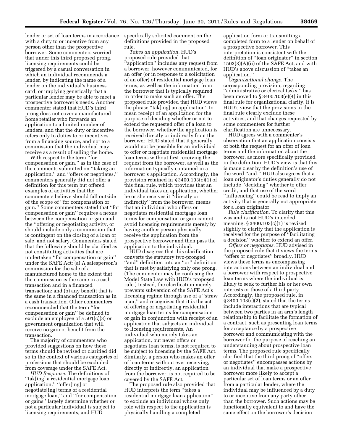lender or set of loan terms in accordance with a duty to or incentive from any person other than the prospective borrower. Some commenters worried that under this third proposed prong, licensing requirements could be triggered by a casual conversation in which an individual recommends a lender, by indicating the name of a lender on the individual's business card, or implying generically that a particular lender may be able to meet a prospective borrower's needs. Another commenter stated that HUD's third prong does not cover a manufactured home retailer who forwards an application to a limited number of lenders, and that the duty or incentive refers only to duties to or incentives from a financing source, and not to a commission that the individual may receive as a result of selling the home.

With respect to the term ''for compensation or gain,'' as in the case of the comments submitted on ''taking an application,'' and ''offers or negotiates,'' commenters generally did not offer a definition for this term but offered examples of activities that the commenters believe should fall outside of the scope of ''for compensation or gain.'' Some commenters stated that ''for compensation or gain'' requires a nexus between the compensation or gain and the ''offering or negotiating activity, or should include only a commission that is contingent on the closing of a loan or sale, and not salary. Commenters stated that the following should be clarified as not constituting activities that are undertaken ''for compensation or gain'' under the SAFE Act: (a) A salesperson's commission for the sale of a manufactured home to the extent that the commission is the same in a cash transaction and in a financed transaction; and (b) any benefit that is the same in a financed transaction as in a cash transaction. Other commenters recommended that the term ''for compensation or gain'' be defined to exclude an employee of a 501(c)(3) or government organization that will receive no gain or benefit from the transaction.

The majority of commenters who provided suggestions on how these terms should be revised or clarified did so in the context of various categories of professions that should be excluded from coverage under the SAFE Act.

*HUD Response:* The definitions of ''tak[ing] a residential mortgage loan application,'' ''offer[ing] or negotiate[ing] terms of a residential mortgage loan,'' and ''for compensation or gains'' largely determine whether or not a particular individual is subject to licensing requirements, and HUD

specifically solicited comment on the definitions provided in the proposed rule.

*Takes an application.* HUD's proposed rule provided that ''application'' includes any request from a borrower, however communicated, for an offer (or in response to a solicitation of an offer) of residential mortgage loan terms, as well as the information from the borrower that is typically required in order to make such an offer. The proposed rule provided that HUD views the phrase ''tak[ing] an application'' to mean receipt of an application for the purpose of deciding whether or not to extend the requested offer of a loan to the borrower, whether the application is received directly or indirectly from the borrower. HUD stated that it generally would not be possible for an individual to offer or negotiate residential mortgage loan terms without first receiving the request from the borrower, as well as the information typically contained in a borrower's application. Accordingly, the provision retained in § 3400.103(c)(1) of this final rule, which provides that an individual takes an application, whether he or she receives it ''directly or indirectly'' from the borrower, means that an individual who offers or negotiates residential mortgage loan terms for compensation or gain cannot avoid licensing requirements merely by having another person physically receive the application from the prospective borrower and then pass the application to the individual.

HUD disagrees that this clarification converts the statutory two-pronged ''and'' definition into an ''or'' definition that is met by satisfying only one prong. (The commenter may be confusing the Model State Law with HUD's proposed rule.) Instead, the clarification merely prevents subversion of the SAFE Act's licensing regime through use of a ''straw man,'' and recognizes that it is the act of offering or negotiating residential mortgage loan terms for compensation or gain in conjunction with receipt of an application that subjects an individual to licensing requirements. An individual who merely takes an application, but never offers or negotiates loan terms, is not required to be subject to licensing by the SAFE Act. Similarly, a person who makes an offer of loan terms without ever receiving, directly or indirectly, an application from the borrower, is not required to be covered by the SAFE Act.

The proposed rule also provided that HUD interprets the term ''takes a residential mortgage loan application'' to exclude an individual whose only role with respect to the application is physically handling a completed

application form or transmitting a completed form to a lender on behalf of a prospective borrower. This interpretation is consistent with the definition of ''loan originator'' in section 1503(3)(A)(ii) of the SAFE Act, and with HUD's above discussion of ''takes an application.''

*Organizational change.* The corresponding provision, regarding ''administrative or clerical tasks,'' has been moved to  $\S 3400.103(e)(4)$  in this final rule for organizational clarity. It is HUD's view that the provisions in the final rule clearly exclude these activities, and that changes requested by some commenters for further clarification are unnecessary.

HUD agrees with a commenter's observation that an application consists of both the request for an offer of loan terms and the information about the borrower, as more specifically provided in the definition. HUD's view is that this is made clear by the definition's use of the word ''and.'' HUD also agrees that a loan originator's duties generally do not include ''deciding'' whether to offer credit, and that use of the word ''influencing'' could be read to imply an activity that is generally not appropriate for a loan originator.

*Rule clarification.* To clarify that this was and is not HUD's intended meaning,  $\S 3400.103(c)(1)$  is revised slightly to clarify that the application is received for the purpose of ''facilitating a decision'' whether to extend an offer.

*Offers or negotiates.* HUD advised in the proposed rule that it views the terms ''offers or negotiates'' broadly. HUD views these terms as encompassing interactions between an individual and a borrower with respect to prospective loan terms where the individual is likely to seek to further his or her own interests or those of a third party. Accordingly, the proposed rule, in § 3400.103(c)(2), stated that the terms include interactions that are typical between two parties in an arm's length relationship to facilitate the formation of a contract, such as presenting loan terms for acceptance by a prospective borrower and communicating with the borrower for the purpose of reaching an understanding about prospective loan terms. The proposed rule specifically clarified that the third prong of ''offers or negotiates'' encompasses actions by an individual that make a prospective borrower more likely to accept a particular set of loan terms or an offer from a particular lender, where the individual may be influenced by a duty to or incentive from any party other than the borrower. Such actions may be functionally equivalent to and have the same effect on the borrower's decision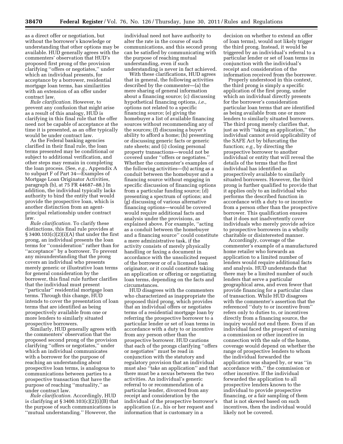as a direct offer or negotiation, but without the borrower's knowledge or understanding that other options may be available. HUD generally agrees with the commenters' observation that HUD's proposed first prong of the provision clarifying ''offers or negotiates,'' under which an individual presents, for acceptance by a borrower, residential mortgage loan terms, has similarities with an extension of an offer under contract law.

*Rule clarification.* However, to prevent any confusion that might arise as a result of this analogy, HUD is clarifying in this final rule that the offer need not be capable of acceptance at the time it is presented, as an offer typically would be under contract law.

As the Federal banking agencies clarified in their final rule, the loan terms presented may be conditional or subject to additional verification, and other steps may remain in completing the loan process. (See, *e.g.,* Appendix A to subpart F of Part 34—Examples of Mortgage Loan Originator Activities, paragraph (b), at 75 FR 44687–88.) In addition, the individual typically lacks authority to bind the entity that would provide the prospective loan, which is another distinction from an agentprincipal relationship under contract law.

*Rule clarification.* To clarify these distinctions, this final rule provides at § 3400.103(c)(2)(i)(A) that under the first prong, an individual presents the loan terms for ''consideration'' rather than for "acceptance" by a borrower. To prevent any misunderstanding that the prong covers an individual who presents merely generic or illustrative loan terms for general consideration by the borrower, this final rule further clarifies that the individual must present ''particular'' residential mortgage loan terms. Through this change, HUD intends to cover the presentation of loan terms that are identified as being prospectively available from one or more lenders to similarly situated prospective borrowers.

Similarly, HUD generally agrees with the commenters' observation that the proposed second prong of the provision clarifying ''offers or negotiates,'' under which an individual communicates with a borrower for the purpose of reaching an understanding about prospective loan terms, is analogous to communications between parties to a prospective transaction that have the purpose of reaching ''mutuality,'' as under contract law.

*Rule clarification.* Accordingly, HUD is clarifying at § 3400.103(c)(2)(i)(B) that the purpose of such communications is ''mutual understanding.'' However, the

individual need not have authority to alter the rate in the course of such communications, and this second prong can be satisfied by communicating with the purpose of reaching mutual understanding, even if such understanding is never in fact achieved.

With these clarifications, HUD agrees that in general, the following activities described by the commenter—(a) the mere sharing of general information about a financing source; (c) discussing hypothetical financing options, *i.e.,*  options not related to a specific financing source; (e) giving the homebuyer a list of available financing sources without recommending any of the sources; (f) discussing a buyer's ability to afford a home; (h) presenting or discussing generic facts or generic rate sheets; and (i) closing personal property transactions—would not be covered under ''offers or negotiates.'' Whether the commenter's examples of the following activities—(b) acting as a conduit between the homebuyer and a financing source without engaging in specific discussion of financing options from a particular funding source; (d) presenting a spectrum of options; and (g) discussing of various alternative financing options—would be covered would require additional facts and analysis under the provisions, as explained above. For example, ''acting as a conduit between the homebuyer and a financing source'' could constitute a mere administrative task, if the activity consists of merely physically handling or faxing a document in accordance with the unsolicited request of the borrower or of a licensed loan originator, or it could constitute taking an application or offering or negotiating loan terms, depending on the facts and circumstances.

HUD disagrees with the commenters who characterized as inappropriate the proposed third prong, which provides that an individual offers or negotiates terms of a residential mortgage loan by referring the prospective borrower to a particular lender or set of loan terms in accordance with a duty to or incentive from any person other than the prospective borrower. HUD cautions that each of the prongs clarifying ''offers or negotiates'' must be read in conjunction with the statutory and regulatory provision that an individual must also ''take an application'' and that there must be a nexus between the two activities. An individual's generic referral to or recommendation of a particular lender, divorced from any receipt and consideration by the individual of the prospective borrower's application (*i.e.,* his or her request and information that is customary in a

decision on whether to extend an offer of loan terms), would not likely trigger the third prong. Instead, it would be triggered by an individual's referral to a particular lender or set of loan terms in conjunction with the individual's receipt and consideration of the information received from the borrower.

Properly understood in this context, the third prong is simply a specific application of the first prong, under which an individual directly presents for the borrower's consideration particular loan terms that are identified as being available from one or more lenders to similarly situated borrowers. The third prong merely clarifies that, just as with ''taking an application,'' the individual cannot avoid applicability of the SAFE Act by bifurcating the function; *e.g.,* by directing the prospective borrower to another individual or entity that will reveal the details of the terms that the first individual has identified as prospectively available to similarly situated borrowers. However, the third prong is further qualified to provide that it applies only to an individual who performs the described function in accordance with a duty to or incentive from a person other than the prospective borrower. This qualification ensures that it does not inadvertently cover individuals who merely provide advice to prospective borrowers in a wholly charitable or disinterested manner.

Accordingly, coverage of the commenter's example of a manufactured home retailer who forwards an application to a limited number of lenders would require additional facts and analysis. HUD understands that there may be a limited number of such lenders that serve a particular geographical area, and even fewer that provide financing for a particular class of transaction. While HUD disagrees with the commenter's assertion that the referenced ''duty to or incentive from'' refers only to duties to, or incentives directly from a financing source, the inquiry would not end there. Even if an individual faced the prospect of earning a commission or other incentive in connection with the sale of the home, coverage would depend on whether the range of prospective lenders to whom the individual forwarded the application was shaped by, or was ''in accordance with,'' the commission or other incentive. If the individual forwarded the application to all prospective lenders known to the individual to provide prospective financing, or a fair sampling of them that is not skewed based on such incentives, then the individual would likely not be covered.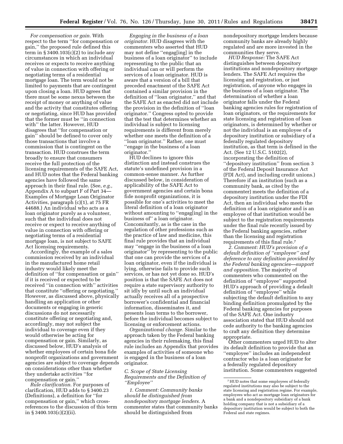*For compensation or gain.* With respect to the term ''for compensation or gain,'' the proposed rule defined this term in  $\S 3400.103(c)(2)$  to include any circumstances in which an individual receives or expects to receive anything of value in connection with offering or negotiating terms of a residential mortgage loan. The term would not be limited to payments that are contingent upon closing a loan. HUD agrees that there must be some nexus between the receipt of money or anything of value and the activity that constitutes offering or negotiating, since HUD has provided that the former must be ''in connection with'' the latter. However, HUD disagrees that ''for compensation or gain'' should be defined to cover only those transactions that involve a commission that is contingent on the transaction. HUD construes the term broadly to ensure that consumers receive the full protection of the licensing requirements of the SAFE Act, and HUD notes that the Federal banking agencies have followed the same approach in their final rule. (See, *e.g.,*  Appendix A to subpart F of Part 34— Examples of Mortgage Loan Originator Activities, paragraph (c)(1), at 75 FR 44688.) An individual who acts as a loan originator purely as a volunteer, such that the individual does not receive or expect to receive anything of value in connection with offering or negotiating terms of a residential mortgage loan, is not subject to SAFE Act licensing requirements.

Accordingly, the example of a sales commission received by an individual in the manufactured home retail industry would likely meet the definition of ''for compensation or gain'' if it is received or expected to be received ''in connection with'' activities that constitute ''offering or negotiating.'' However, as discussed above, physically handling an application or other documents or engaging in generic discussions do not necessarily constitute offering or negotiating and, accordingly, may not subject the individual to coverage even if they would otherwise be acting for compensation or gain. Similarly, as discussed below, HUD's analysis of whether employees of certain bona fide nonprofit organizations and government agencies are subject to coverage depends on considerations other than whether they undertake activities ''for compensation or gain.''

*Rule clarification.* For purposes of clarification, HUD adds to § 3400.23 (Definitions), a definition for ''for compensation or gain,'' which crossreferences to the discussion of this term in § 3400.103(c)(2)(ii).

*Engaging in the business of a loan originator.* HUD disagrees with the commenters who asserted that HUD may not define ''engag[ing] in the business of a loan originator'' to include representing to the public that an individual can or will perform the services of a loan originator. HUD is aware that a version of a bill that preceded enactment of the SAFE Act contained a similar provision in the definition of ''loan originator,'' and that the SAFE Act as enacted did not include the provision in the definition of ''loan originator.'' Congress opted to provide that the test that determines whether an individual is subject to licensing requirements is different from merely whether one meets the definition of a ''loan originator.'' Rather, one must ''engage in the business of a loan originator.''

HUD declines to ignore this distinction and instead construes the statute's undefined provision in a common-sense manner. As further discussed below, in consideration of applicability of the SAFE Act to government agencies and certain bona fide nonprofit organizations, it is possible for one's activities to meet the literal definition of a loan originator without amounting to ''engag[ing] in the business of'' a loan originator. Concomitantly, as is the case in the regulation of other professions such as the practice of law and medicine, this final rule provides that an individual may ''engage in the business of a loan originator'' by representing to the public that one can provide the services of a loan originator, even if the individual is lying, otherwise fails to provide such services, or has not yet done so. HUD's position is that the SAFE Act does not require a state supervisory authority to sit idly by until such an individual actually receives all of a prospective borrower's confidential and financial information, disseminates it, and presents loan terms to the borrower, before the individual becomes subject to licensing or enforcement actions.

*Organizational change.* Similar to the approach taken by the Federal banking agencies in their rulemaking, this final rule includes an Appendix that provides examples of activities of someone who is engaged in the business of a loan originator.

#### *C. Scope of State Licensing Requirements and the Definition of ''Employee''*

*1. Comment: Community banks should be distinguished from nondepository mortgage lenders.* A commenter states that community banks should be distinguished from

nondepository mortgage lenders because community banks are already highly regulated and are more invested in the communities they serve.

*HUD Response:* The SAFE Act distinguishes between depository institutions and nondepository mortgage lenders. The SAFE Act requires the licensing and registration, or just registration, of anyone who engages in the business of a loan originator. The determination of whether a loan originator falls under the Federal banking agencies rules for registration of loan originators, or the requirements for state licensing and registration of loan originators, is determined by whether or not the individual is an employee of a depository institution or subsidiary of a federally regulated depository institution, as that term is defined in the Act. (See 12 U.S.C. 5102(2), incorporating the definition of ''depository institution'' from section 3 of the Federal Deposit Insurance Act (FDI Act), and including credit unions.) Therefore if an institution (such as a community bank, as cited by the commenter) meets the definition of a depository institution under the FDI Act, then an individual who meets the definition of a loan originator and is an employee of that institution would be subject to the registration requirements under the final rule recently issued by the Federal banking agencies, rather than the licensing and registration requirements of this final rule.7

*2. Comment: HUD's provision of a default definition of ''employee'' and deference to any definition provided by the Federal banking agencies—support and opposition.* The majority of commenters who commented on the definition of ''employee'' supported HUD's approach of providing a default definition of ''employee'' while subjecting the default definition to any binding definition promulgated by the Federal banking agencies for purposes of the SAFE Act. One industry association stated that HUD should not cede authority to the banking agencies to craft any definition they determine appropriate.

Other commenters urged HUD to alter its default definition to provide that an ''employee'' includes an independent contractor who is a loan originator for a federally regulated depository institution. Some commenters suggested

<sup>7</sup>HUD notes that some employees of federally regulated institutions may also be subject to the state licensing and registration regime. For example, employees who act as mortgage loan originators for a bank and a nondepository subsidiary of a bank holding company that is not a subsidiary of a depository institution would be subject to both the Federal and state regimes.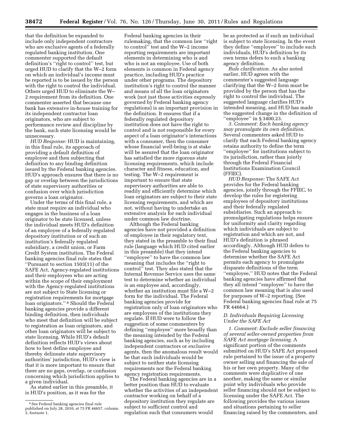that the definition be expanded to include only independent contractors who are exclusive agents of a federally regulated banking institution. One commenter supported the default definition's ''right to control'' test, but urged HUD to clarify that the W–2 form on which an individual's income must be reported is to be issued by the person with the right to control the individual. Others urged HUD to eliminate the W– 2 requirement from its definition. One commenter asserted that because one bank has extensive in-house training for its independent contractor loan originators, who are subject to performance review and discipline by the bank, such state licensing would be unnecessary.

*HUD Response:* HUD is maintaining, in this final rule, its approach of providing a default definition of employee and then subjecting that definition to any binding definition issued by the Federal banking agencies. HUD's approach ensures that there is no gap or overlap between the jurisdictions of state supervisory authorities or confusion over which jurisdiction governs a loan originator.

Under the terms of this final rule, a state must require an individual who engages in the business of a loan originator to be state licensed, unless the individual meets HUD's definition of an employee of a federally regulated depository institution or of such an institution's federally regulated subsidiary, a credit union, or Farm Credit System institution. The Federal banking agencies final rule states that ''Pursuant to section 1503(11) of the SAFE Act, Agency-regulated institutions and their employees who are acting within the scope of their employment with the Agency-regulated institutions are not subject to State licensing or registration requirements for mortgage loan originators.'' 8 Should the Federal banking agencies provide a different binding definition, then individuals who meet that definition will be subject to registration as loan originators, and other loan originators will be subject to state licensing. While HUD's default definition reflects HUD's views about how to best define employee and thereby delineate state supervisory authorities' jurisdiction, HUD's view is that it is more important to ensure that there are no gaps, overlap, or confusion concerning which jurisdiction applies to a given individual.

As stated earlier in this preamble, it is HUD's position, as it was for the

Federal banking agencies in their rulemaking, that the common law ''right to control'' test and the W–2 income reporting requirements are important elements in determining who is and who is not an employee. Use of both elements is common in Federal agency practice, including HUD's practice under other programs. The depository institution's right to control the manner and means of all the loan originators work (not just those activities expressly governed by Federal banking agency regulations) is an important provision in the definition. It ensures that if a federally regulated depository institution does not have the right to control and is not responsible for every aspect of a loan originator's interactions with a consumer, then the consumer whose financial well-being is at stake will be assured that the loan originator has satisfied the more rigorous state licensing requirements, which include character and fitness, education, and testing. The W–2 requirement is important to ensure that state supervisory authorities are able to readily and efficiently determine which loan originators are subject to their state licensing requirements, and which are not, without having to undertake an extensive analysis for each individual under common law doctrine.

Although the Federal banking agencies have not provided a definition of employee in their regulatory text, they stated in the preamble to their final rule (language which HUD cited earlier in this preamble) that they intend ''employee'' to have the common law meaning that includes the ''right to control'' test. They also stated that the Internal Revenue Service uses the same test to determine whether an individual is an employee and, accordingly, whether an institution must file a W–2 form for the individual. The Federal banking agencies provide for registration only of loan originators who are employees of the institutions they regulate. If HUD were to follow the suggestion of some commenters by defining ''employee'' more broadly than the meaning intended by the Federal banking agencies, such as by including independent contractors or exclusive agents, then the anomalous result would be that such individuals would be subject to neither state licensing requirements nor the Federal banking agency registration requirements.

The Federal banking agencies are in a better position than HUD to evaluate whether the activities of an independent contractor working on behalf of a depository institution they regulate are subject to sufficient control and regulation such that consumers would

be as protected as if such an individual is subject to state licensing. In the event they define ''employee'' to include such individuals, HUD's definition by its own terms defers to such a banking agency definition.

*Rule clarification.* As also noted earlier, HUD agrees with the commenter's suggested language clarifying that the W–2 form must be provided by the person that has the right to control the individual. The suggested language clarifies HUD's intended meaning, and HUD has made the suggested change in the definition of ''employee'' in § 3400.23.

*3. Comment: Each banking agency may promulgate its own definition.*  Several commenters asked HUD to clarify that each Federal banking agency retains authority to define the term ''employee'' for institutions subject to its jurisdiction, rather than jointly through the Federal Financial Institutions Examination Council (FFIEC).

*HUD Response:* The SAFE Act provides for the Federal banking agencies, jointly through the FFIEC, to develop the rules for registering employees of depository institutions and their federally regulated subsidiaries. Such an approach to promulgating regulations helps ensure for uniformity and clarity regarding which individuals are subject to registration and which are not, and HUD's definition is phrased accordingly. Although HUD defers to the Federal banking agencies to determine whether the SAFE Act permits each agency to promulgate disparate definitions of the term ''employee,'' HUD notes that the Federal banking agencies have affirmed that they all intend ''employee'' to have the common law meaning that is also used for purposes of W–2 reporting. (See Federal banking agencies final rule at 75 FR 44664.)

#### *D. Individuals Requiring Licensing Under the SAFE Act*

*1. Comment: Exclude seller financing of several seller-owned properties from SAFE Act mortgage licensing.* A significant portion of the comments submitted on HUD's SAFE Act proposed rule pertained to the issue of a property owner selling and financing the sale of his or her own property. Many of the comments were duplicative of one another, making the same or similar point why individuals who provide seller financing should not be subject to licensing under the SAFE Act. The following provides the various issues and situations pertaining to seller financing raised by the commenters, and

<sup>8</sup>See Federal banking agencies final rule published on July 28, 2010, at 75 FR 44657, column 3, footnote 1.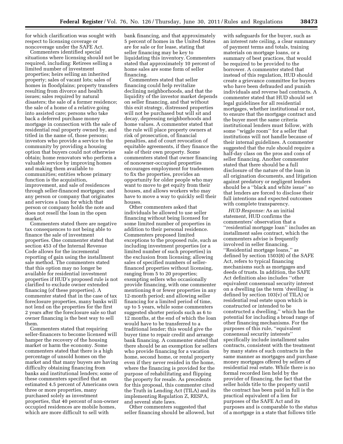for which clarification was sought with respect to licensing coverage or noncoverage under the SAFE Act.

Commenters identified special situations where licensing should not be required, including: Retirees selling a limited number of investment properties; heirs selling an inherited property; sales of vacant lots; sales of homes in floodplains; property transfers resulting from divorce and health issues; sales required by natural disasters; the sale of a former residence; the sale of a home of a relative going into assisted care; persons who take back a deferred purchase money mortgage in connection with the sale of residential real property owned by, and titled in the name of, those persons; investors who provide a service to the community by providing a housing option that buyers could not otherwise obtain; home renovators who perform a valuable service by improving homes and making them available to communities; entities whose primary function is the acquisition, improvement, and sale of residences through seller-financed mortgages; and any person or company that originates and services a loan for which that person or company holds the note and does not resell the loan in the open market.

Commenters stated there are negative tax consequences to not being able to finance the sale of investment properties. One commenter stated that section 453 of the Internal Revenue Code allows for the incremental reporting of gain using the installment sale method. The commenters stated that this option may no longer be available for residential investment properties if HUD's proposed rule is not clarified to exclude owner extended financing (of these properties). A commenter stated that in the case of tax foreclosure properties, many banks will not lend on the properties for the first 2 years after the foreclosure sale so that owner financing is the best way to sell them.

Commenters stated that requiring seller-financers to become licensed will hamper the recovery of the housing market or harm the economy. Some commenters stated that there is a high percentage of unsold homes on the market and that many buyers are having difficulty obtaining financing from banks and institutional lenders; some of these commenters specified that an estimated 4.5 percent of Americans own three or more properties, many purchased solely as investment properties, that 40 percent of non-owner occupied residences are mobile homes, which are more difficult to sell with

bank financing, and that approximately 5 percent of homes in the United States are for sale or for lease, stating that seller financing may be key to liquidating this inventory. Commenters stated that approximately 10 percent of home sales are some form of seller financing.

Commenters stated that seller financing could help revitalize declining neighborhoods, and that the liquidity of the investor market depends on seller financing, and that without this exit strategy, distressed properties will not be purchased but will sit and decay, depressing neighborhoods and home values. A commenter stated that the rule will place property owners at risk of prosecution, of financial penalties, and of court revocation of equitable agreements, if they finance the sale of their own property. Some commenters stated that owner financing of nonowner-occupied properties encourages employment for tradesmen to fix the properties, provides an opportunity for older people who may want to move to get equity from their houses, and allows workers who may have to move a way to quickly sell their houses.

Other commenters asked that individuals be allowed to use seller financing without being licensed for some limited number of properties in addition to their personal residence. Commenters proposed limited exceptions to the proposed rule, such as including investment properties (or a limited number of such properties) in the exclusion from licensing; allowing sales of specified numbers of sellerfinanced properties without licensing, ranging from 5 to 20 properties; exempting sellers who occasionally provide financing, with one commenter mentioning 8 or fewer properties in any 12-month period; and allowing seller financing for a limited period of time, up to 5 years, while some commenters suggested shorter periods such as 6 to 12 months, at the end of which the loan would have to be transferred to a traditional lender; this would give the buyer time to repair credit and arrange bank financing. A commenter stated that there should be an exemption for sellers who provide financing for a vacation home, second home, or rental property even if they never resided in the home, where the financing is provided for the purpose of rehabilitating and flipping the property for resale. As precedents for this proposal, this commenter cited the Truth in Lending Act (TILA) and its implementing Regulation Z, RESPA, and several state laws.

Other commenters suggested that seller financing should be allowed, but

with safeguards for the buyer, such as an interest rate ceiling, a clear summary of payment terms and totals, training materials on mortgage loans, or a summary of best practices, that would be required to be provided to the borrower. A commenter stated that instead of this regulation, HUD should create a grievance committee for buyers who have been defrauded and punish individuals and reverse bad contracts. A commenter stated that HUD should set legal guidelines for all residential mortgages, whether institutional or not, to ensure that the mortgage contract and the buyer meet the same criteria institutional lenders must follow, with some ''wiggle room'' for a seller that institutions will not handle because of their internal guidelines. A commenter suggested that the rule should require a half-day class on the pros and cons of seller financing. Another commenter stated that there should be a full disclosure of the nature of the loan in all origination documents, and litigation against predatory or negligent lenders should be a ''black and white issue'' so that lenders are forced to disclose their full intentions and expected outcomes with complete transparency.

*HUD Response:* As an initial statement, HUD confirms the commenters' observation that a ''residential mortgage loan'' includes an installment sales contract, which the commenters advise is frequently involved in seller financing. ''Residential mortgage loans,'' as defined by section 1503(8) of the SAFE Act, refers to typical financing mechanisms such as mortgages and deeds of trusts. In addition, the SAFE Act definition also includes ''other equivalent consensual security interest on a dwelling (as the term 'dwelling' is defined by section 103(v) of TILA) or residential real estate upon which is constructed or intended to be constructed a dwelling,'' which has the potential for including a broad range of other financing mechanisms. For the purposes of this rule, ''equivalent consensual security interests'' specifically include installment sales contracts, consistent with the treatment by many states of such contracts in the same manner as mortgages and purchase money mortgages offered by sellers of residential real estate. While there is no formal recorded lien held by the provider of financing, the fact that the seller holds title to the property until the contract has been paid in full is the practical equivalent of a lien for purposes of the SAFE Act and its purposes and is comparable to the status of a mortgage in a state that follows title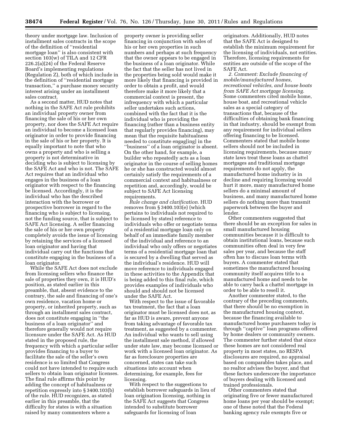theory under mortgage law. Inclusion of installment sales contracts in the scope of the definition of ''residential mortgage loan'' is also consistent with section 103(w) of TILA and 12 CFR 226.2(a)(24) of the Federal Reserve Board's implementing regulations (Regulation Z), both of which include in the definition of ''residential mortgage transaction,'' a purchase money security interest arising under an installment sales contract.

As a second matter, HUD notes that nothing in the SAFE Act rule prohibits an individual property owner from financing the sale of his or her own property, nor does the SAFE Act require an individual to become a licensed loan originator in order to provide financing in the sale of his or her property. It is equally important to note that who owns a property and who is selling a property is not determinative in deciding who is subject to licensing by the SAFE Act and who is not. The SAFE Act requires that an individual who engages in the business of a loan originator with respect to the financing be licensed. Accordingly, it is the individual who has the described interaction with the borrower or prospective borrower in regard to the financing who is subject to licensing, not the funding source, that is subject to SAFE Act licensing. A seller financing the sale of his or her own property completely avoids the issue of licensing by retaining the services of a licensed loan originator and having that individual carry out the functions that constitute engaging in the business of a loan originator.

While the SAFE Act does not exclude from licensing sellers who finance the sale of properties they own, it is HUD's position, as stated earlier in this preamble, that, absent evidence to the contrary, the sale and financing of one's own residence, vacation home or property, or inherited property, such as through an installment sales contract, does not constitute engaging in ''the business of a loan originator'' and therefore generally would not require licensure under the SAFE Act. As HUD stated in the proposed rule, the frequency with which a particular seller provides financing to a buyer to facilitate the sale of the seller's own residence is so limited that Congress could not have intended to require such sellers to obtain loan originator licenses. The final rule affirms this point by adding the concept of habitualness or repetition expressly into § 3400.103(b) of the rule. HUD recognizes, as stated earlier in this preamble, that the difficulty for states is with a situation raised by many commenters where a

property owner is providing seller financing in conjunction with sales of his or her own properties in such numbers and perhaps at such frequency that the owner appears to be engaged in the business of a loan originator. While the fact that the seller has not lived in the properties being sold would make it more likely that financing is provided in order to obtain a profit, and would therefore make it more likely that a commercial context is present, the infrequency with which a particular seller undertakes such actions, combined with the fact that it is the individual who is providing the financing (rather than a business entity that regularly provides financing), may mean that the requisite habitualness needed to constitute engag[ing] in the ''business'' of a loan originator is absent. On the other hand, for example, a builder who repeatedly acts as a loan originator in the course of selling homes he or she has constructed would almost certainly satisfy the requirements of a commercial context and habitualness or repetition and, accordingly, would be subject to SAFE Act licensing requirements.

*Rule change and clarification.* HUD removes from § 3400.103(e) (which pertains to individuals not required to be licensed by states) reference to individuals who offer or negotiate terms of a residential mortgage loan only on behalf of an immediate family member of the individual and reference to an individual who only offers or negotiates terms of a residential mortgage loan that is secured by a dwelling that served as the individual's residence. HUD will move reference to individuals engaged in these activities to the Appendix that is being added to this final rule, which provides examples of individuals who should and should not be licensed under the SAFE Act.

With respect to the issue of favorable tax treatment, the fact that a loan originator must be licensed does not, as far as HUD is aware, prevent anyone from taking advantage of favorable tax treatment, as suggested by a commenter. An individual who wants to sell using the installment sale method, if allowed under state law, may become licensed or work with a licensed loan originator. As far as foreclosure properties are concerned, states can take such situations into account when determining, for example, fees for licensing.

With respect to the suggestions to establish borrower safeguards in lieu of loan origination licensing, nothing in the SAFE Act suggests that Congress intended to substitute borrower safeguards for licensing of loan

originators. Additionally, HUD notes that the SAFE Act is designed to establish the minimum requirement for the licensing of individuals, not entities. Therefore, licensing requirements for entities are outside of the scope of the SAFE Act.

*2. Comment: Exclude financing of mobile/manufactured homes, recreational vehicles, and house boats from SAFE Act mortgage licensing.*  Some commenters cited mobile home, house boat, and recreational vehicle sales as a special category of transactions that, because of the difficulties of obtaining bank financing in that industry, should be exempt from any requirement for individual sellers offering financing to be licensed. Commenters stated that mobile home sellers should not be included in licensing requirements, because many state laws treat these loans as chattel mortgages and traditional mortgage requirements do not apply, the manufactured home industry is in decline and requiring licensing would hurt it more, many manufactured home sellers do a minimal amount of business, and many manufactured home sellers do nothing more than transmit paperwork between the buyer and lender.

Other commenters suggested that there should be an exception for sales in small manufactured housing communities because it is difficult to obtain institutional loans, because such communities often deal in very few sales per year, and because the staff often has to discuss loan terms with buyers. A commenter stated that sometimes the manufactured housing community itself acquires title to a manufactured home and needs to be able to carry back a chattel mortgage in order to be able to resell it.

Another commenter stated, to the contrary of the preceding comments, that there should be no exemption in the manufactured housing context, because the financing available to manufactured home purchasers today is through ''captive'' loan programs offered by home dealers or community owners. The commenter further stated that since these homes are not considered real property in most states, no RESPA disclosures are required, no appraisal based on comparables takes place, and no realtor advises the buyer, and that these factors underscore the importance of buyers dealing with licensed and trained professionals.

Other commenters stated that originating five or fewer manufactured home loans per year should be exempt; one of these noted that the Federal banking agency rule exempts five or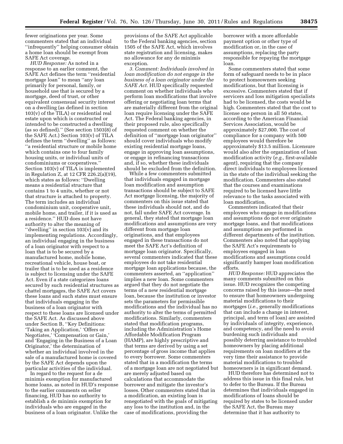fewer originations per year. Some commenters stated that an individual ''infrequently'' helping consumer obtain a home loan should be exempt from SAFE Act coverage.

*HUD Response:* As noted in a response to an earlier comment, the SAFE Act defines the term ''residential mortgage loan'' to mean ''any loan primarily for personal, family, or household use that is secured by a mortgage, deed of trust, or other equivalent consensual security interest on a dwelling (as defined in section 103(v) of the TILA) or residential real estate upon which is constructed or intended to be constructed a dwelling (as so defined).'' (See section 1503(8) of the SAFE Act.) Section 103(v) of TILA defines the term ''dwelling'' as follows: ''a residential structure or mobile home which contains one to four family housing units, or individual units of condominiums or cooperatives.'' Section 103(v) of TILA is implemented in Regulation Z, at 12 CFR 226.2(a)(19), which states as follows: ''Dwelling means a residential structure that contains 1 to 4 units, whether or not that structure is attached to property. The term includes an individual condominium unit, cooperative unit, mobile home, and trailer, if it is used as a residence.'' HUD does not have authority to alter the meaning of ''dwelling'' in section 103(v) and its implementing regulations. Accordingly, an individual engaging in the business of a loan originator with respect to a loan that is to be secured by a manufactured home, mobile home, recreational vehicle, house boat, or trailer that is to be used as a residence is subject to licensing under the SAFE Act. Even if a state categorizes loans secured by such residential structures as chattel mortgages, the SAFE Act covers these loans and such states must ensure that individuals engaging in the business of a loan originator with respect to these loans are licensed under the SAFE Act. As discussed above under Section B, ''Key Definitions: 'Taking an Application,' 'Offers or Negotiates,' 'Compensation or Gain,' and 'Engaging in the Business of a Loan Originator,' the determination of whether an individual involved in the sale of a manufactured home is covered by the SAFE Act depends upon the particular activities of the individual.

In regard to the request for a de minimis exemption for manufactured home loans, as noted in HUD's response to the earlier comments on seller financing, HUD has no authority to establish a de minimis exemption for individuals who are engaged in the business of a loan originator. Unlike the

provisions of the SAFE Act applicable to the Federal banking agencies, section 1505 of the SAFE Act, which involves state registration and licensing, makes no allowance for any de minimis exception.

*3. Comment: Individuals involved in loan modification do not engage in the business of a loan originator under the SAFE Act.* HUD specifically requested comment on whether individuals who perform loan modifications that involve offering or negotiating loan terms that are materially different from the original loan require licensing under the SAFE Act. The Federal banking agencies, in their proposed rule, also specifically requested comment on whether the definition of ''mortgage loan originator'' should cover individuals who modify existing residential mortgage loans, engage in approving loan assumptions, or engage in refinancing transactions and, if so, whether these individuals should be excluded from the definition.

While a few commenters submitted that individuals engaged in mortgage loan modification and assumption transactions should be subject to SAFE Act mortgage licensing, the majority of commenters on this issue stated that these individuals should not, and do not, fall under SAFE Act coverage. In general, they stated that mortgage loan modifications and assumptions are very different from mortgage loan originations, and that employees engaged in these transactions do not meet the SAFE Act's definition of mortgage loan originator. Specifically, several commenters indicated that these employees do not take residential mortgage loan applications because, the commenters asserted, an ''application'' implies a new loan. Some commenters argued that they do not negotiate the terms of a new residential mortgage loan, because the institution or investor sets the parameters for permissible modifications and the individual has no authority to alter the terms of permitted modifications. Similarly, commenters stated that modification programs, including the Administration's Home Affordable Modification Program (HAMP), are highly prescriptive and that terms are derived by using a set percentage of gross income that applies to every borrower. Some commenters stated that in a modification the terms of a mortgage loan are not negotiated but are merely adjusted based on calculations that accommodate the borrower and mitigate the investor's losses. Other commenters stated that in a modification, an existing loan is renegotiated with the goals of mitigating any loss to the institution and, in the case of modifications, providing the

borrower with a more affordable payment option or other type of modification or, in the case of assumptions, replacing the party responsible for repaying the mortgage loan.

Some commenters stated that some form of safeguard needs to be in place to protect homeowners seeking modifications, but that licensing is excessive. Commenters stated that if servicers and loss mitigation specialists had to be licensed, the costs would be high. Commenters stated that the cost to license one person in all 50 states, according to the American Financial Services Association, would be approximately \$27,000. The cost of compliance for a company with 500 employees would therefore be approximately \$13.5 million. Licensure would also alter the organization of loan modification activity (*e.g.,* first-available agent), requiring that the company direct individuals to employees licensed in the state of the individual seeking the modification. Commenters also stated that the courses and examinations required to be licensed have little relevance to the tasks associated with loan modification.

Commenters indicated that their employees who engage in modifications and assumptions do not ever originate mortgage loans, and that modifications and assumptions are performed in different departments of the institution. Commenters also noted that applying the SAFE Act's requirements to employees engaged in loan modifications and assumptions could significantly hamper loan modification efforts.

*HUD Response:* HUD appreciates the many comments submitted on this issue. HUD recognizes the competing concerns raised by this issue—the need to ensure that homeowners undergoing material modifications to their mortgages (*i.e.,* generally modifications that can include a change in interest, principal, and term of loan) are assisted by individuals of integrity, experience, and competency, and the need to avoid burdening such individuals and possibly deterring assistance to troubled homeowners by placing additional requirements on loan modifiers at the very time their assistance to provide material modifications to troubled homeowners is in significant demand.

HUD therefore has determined not to address this issue in this final rule, but to defer to the Bureau. If the Bureau determines that individuals engaged in modifications of loans should be required by states to be licensed under the SAFE Act, the Bureau may determine that it has authority to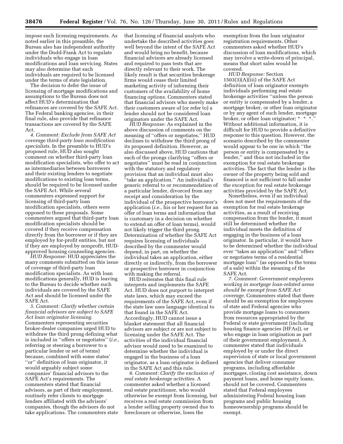impose such licensing requirements. As noted earlier in this preamble, the Bureau also has independent authority under the Dodd-Frank Act to regulate individuals who engage in loan modifications and loan servicing. States may also determine that such individuals are required to be licensed under the terms of state legislation.

The decision to defer the issue of licensing of mortgage modifications and assumptions to the Bureau does not affect HUD's determination that refinances are covered by the SAFE Act. The Federal banking agencies, in their final rule, also provide that refinance transactions are covered by the SAFE Act.

*4. Comment: Exclude from SAFE Act coverage third-party loan modification specialists.* In the preamble to HUD's proposed rule, HUD also sought comment on whether third-party loan modification specialists, who offer to act as intermediaries between borrowers and their existing lenders to negotiate modifications to existing loan terms, should be required to be licensed under the SAFE Act. While several commenters expressed support for licensing of third-party loan modification specialists, others were opposed to these proposals. Some commenters argued that third-party loan modification specialists should be covered if they receive compensation directly from the borrower or if they are employed by for-profit entities, but not if they are employed by nonprofit, HUDapproved housing counseling agencies.

*HUD Response:* HUD appreciates the many comments submitted on this issue of coverage of third-party loan modification specialists. As with loan modifications generally, HUD is leaving to the Bureau to decide whether such individuals are covered by the SAFE Act and should be licensed under the SAFE Act.

*5. Comment: Clarify whether certain financial advisors are subject to SAFE Act loan originator licensing.*  Commenters representing securities broker-dealer companies urged HUD to withdraw the third prong defining what is included in ''offers or negotiates'' (*i.e.,*  referring or steering a borrower to a particular lender or set of terms) because, combined with some states' ''or'' definition of loan originator, it would arguably subject some companies' financial advisors to the SAFE Act's requirements. The commenters stated that financial advisors, as part of their employment, routinely refer clients to mortgage lenders affiliated with the advisors' companies, though the advisors do not take applications. The commenters state

that licensing of financial analysts who undertake the described activities goes well beyond the intent of the SAFE Act and would bring no benefit, because financial advisors are already licensed and required to pass tests that are directly relevant to their work. The likely result is that securities brokerage firms would cease their limited marketing activity of informing their customers of the availability of home financing options. Commenters stated that financial advisors who merely make their customers aware of (or refer to) a lender should not be considered loan originators under the SAFE Act.

*HUD Response:* As explained in the above discussion of comments on the meaning of ''offers or negotiates,'' HUD declines to withdraw the third prong of its proposed definition. However, as also discussed above, HUD cautions that each of the prongs clarifying ''offers or negotiates'' must be read in conjunction with the statutory and regulatory provision that an individual must also ''take an application.'' An individual's generic referral to or recommendation of a particular lender, divorced from any receipt and consideration by the individual of the prospective borrower's application (*i.e.,* his or her request for an offer of loan terms and information that is customary in a decision on whether to extend an offer of loan terms), would not likely trigger the third prong. Determination of whether the SAFE Act requires licensing of individuals described by the commenter would depend, in part, on whether the individual takes an application, either directly or indirectly, from the borrower or prospective borrower in conjunction with making the referral.

HUD reiterates that this final rule interprets and implements the SAFE Act. HUD does not purport to interpret state laws, which may exceed the requirements of the SAFE Act, even if the state law uses language identical to that found in the SAFE Act. Accordingly, HUD cannot issue a blanket statement that all financial advisors are subject or are not subject to licensing under the SAFE Act. The activities of the individual financial advisor would need to be examined to determine whether the individual is engaged in the business of a loan originator, as a loan originator is defined in the SAFE Act and this rule.

*6. Comment: Clarify the exclusion of real estate brokerage activities.* A commenter asked whether a licensed real estate practitioner, who would otherwise be exempt from licensing, but receives a real estate commission from a lender selling property owned due to foreclosure or otherwise, loses the

exemption from the loan originator registration requirements. Other commenters asked whether HUD's discussion of loan modifications, which may involve a write-down of principal, means that short sales would be covered.

*HUD Response:* Section  $1503(3)(A)(iii)$  of the SAFE Act definition of loan originator exempts individuals performing real estate brokerage activities ''unless the person or entity is compensated by a lender, a mortgage broker, or other loan originator or by any agent of such lender, mortgage broker, or other loan originator; \* \* Without additional information, it is difficult for HUD to provide a definitive response to this question. However, the scenario described by the commenter would appear to be one in which ''the person or entity is compensated by a lender,'' and thus not included in the exemption for real estate brokerage activities. The fact that the lender is the owner of the property being sold and financed is not sufficient to fall under the exception for real estate brokerage activities provided by the SAFE Act.

Nonetheless, even if an individual does not meet the requirements of the exemption for real estate brokerage activities, as a result of receiving compensation from the lender, it must still be determined whether the individual meets the definition of engaging in the business of a loan originator. In particular, it would have to be determined whether the individual ever ''takes an application'' and ''offers or negotiates terms of a residential mortgage loan'' (as opposed to the terms of a sale) within the meaning of the SAFE Act.

*7. Comment: Government employees working in mortgage loan-related areas should be exempt from SAFE Act coverage.* Commenters stated that there should be an exemption for employees of state and Federal agencies who provide mortgage loans to consumers from resources appropriated by the Federal or state government (including housing finance agencies (HFAs)), or who engage in loan origination as part of their government employment. A commenter stated that individuals employed by or under the direct supervision of state or local government agencies that deliver consumer programs, including affordable mortgages, closing cost assistance, down payment loans, and home equity loans, should not be covered. Commenters stated that Federal employees administering Federal housing loan programs and public housing homeownership programs should be exempt.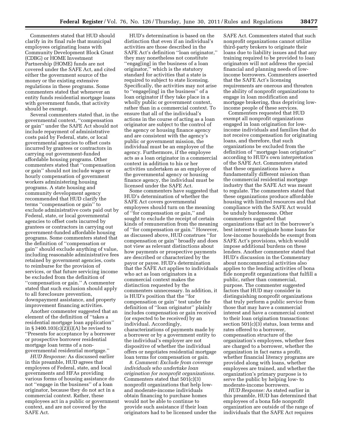Commenters stated that HUD should clarify in its final rule that municipal employees originating loans with Community Development Block Grant (CDBG) or HOME Investment Partnership (HOME) funds are not covered under the SAFE Act, and cited either the government source of the money or the existing extensive regulations in these programs. Some commenters stated that whenever an entity funds residential mortgage loans with government funds, that activity should be exempt.

Several commenters stated that, in the governmental context, ''compensation or gain'' under the SAFE Act should not include repayment of administrative costs paid by Federal, state, or local governmental agencies to offset costs incurred by grantees or contractors in carrying out government-funded affordable housing programs. Other commenters stated that ''compensation or gain'' should not include wages or hourly compensation of government workers administering housing programs. A state housing and community development agency recommended that HUD clarify the terms ''compensation or gain'' to exclude administrative costs paid out by Federal, state, or local governmental agencies to offset costs incurred by grantees or contractors in carrying out government-funded affordable housing programs. Some commenters stated that the definition of ''compensation or gain'' should exclude anything of value, including reasonable administrative fees retained by government agencies, costs to reimburse for the provision of services, or that future servicing income be excluded from the definition of ''compensation or gain.'' A commenter stated that such exclusion should apply to all foreclosure prevention, downpayment assistance, and property improvement financing activities.

Another commenter suggested that an element of the definition of ''takes a residential mortgage loan application'' in § 3400.103(c)(2)(i)(A) be revised to ''Presents for acceptance by a borrower or prospective borrower residential mortgage loan terms of a nongovernmental residential mortgage.''

*HUD Response:* As discussed earlier in this preamble, HUD agrees that employees of Federal, state, and local governments and HFAs providing various forms of housing assistance do not ''engage in the business'' of a loan originator, because they do not act in a commercial context. Rather, these employees act in a public or government context, and are not covered by the SAFE Act.

HUD's determination is based on the distinction that even if an individual's activities are those described in the SAFE Act's definition ''loan originator,'' they may nonetheless not constitute ''engag[ing] in the business of a loan originator,'' which is the statutory standard for activities that a state is required to subject to state licensing. Specifically, the activities may not arise to ''engage[ing] in the business'' of a loan originator if they take place in a wholly public or government context, rather than in a commercial context. To ensure that all of the individual's actions in the course of acting as a loan originator are subject to the control of the agency or housing finance agency and are consistent with the agency's public or government mission, the individual must be an employee of the agency. Furthermore, if the employee acts as a loan originator in a commercial context in addition to his or her activities undertaken as an employee of the governmental agency or housing finance agency, the individual must be licensed under the SAFE Act.

Some commenters have suggested that HUD's determination of whether the SAFE Act covers governmental employees should turn on the meaning of ''for compensation or gain,'' and sought to exclude the receipt of certain kinds of remuneration from the meaning of ''for compensation or gain.'' However, as discussed above, HUD construes ''for compensation or gain'' broadly and does not view as relevant distinctions about how payments or prospective payments are described or characterized by the payor or payee. HUD's determination that the SAFE Act applies to individuals who act as loan originators in a commercial context makes the distinction requested by the commenters unnecessary. In addition, it is HUD's position that the ''for compensation or gain'' test under the definition of ''loan originator'' plainly includes compensation or gain received (or expected to be received) by an individual. Accordingly, characterizations of payments made by a borrower or by a government entity to the individual's employer are not dispositive of whether the individual offers or negotiates residential mortgage loan terms for compensation or gain.

*8. Comment: Exclude from coverage individuals who undertake loan origination for nonprofit organizations.*  Commenters stated that 501(c)(3) nonprofit organizations that help lowand moderate-income individuals obtain financing to purchase homes would not be able to continue to provide such assistance if their loan originators had to be licensed under the SAFE Act. Commenters stated that such nonprofit organizations cannot utilize third-party brokers to originate their loans due to liability issues and that any training required to be provided to loan originators will not address the special financial and planning needs of lowincome borrowers. Commenters asserted that the SAFE Act's licensing requirements are onerous and threaten the ability of nonprofit organizations to engage in loan modification and mortgage brokering, thus depriving lowincome people of these services.

Commenters requested that HUD exempt all nonprofit organizations engaged in loan origination for lowincome individuals and families that do not receive compensation for originating loans, and therefore, that such organizations be excluded from the definition of ''mortgage loan originator'' according to HUD's own interpretation of the SAFE Act. Commenters stated that these organizations have a fundamentally different mission than the commercial residential mortgage industry that the SAFE Act was meant to regulate. The commenters stated that these organizations produce affordable housing with limited resources and that compliance with the SAFE Act would be unduly burdensome. Other commenters suggested that organizations that act in the borrower's best interest to originate home loans for low-income households be exempt from SAFE Act's provisions, which would impose additional burdens on these lenders. Another commenter stated that HUD's discussion in the Commentary about noncommercial activities also applies to the lending activities of bona fide nonprofit organizations that fulfill a public, rather than commercial, purpose. The commenter suggested factors that HUD may consider in distinguishing nonprofit organizations that truly perform a public service from those that may have a commercial interest and have a commercial context to their loan origination transactions: section 501(c)(3) status, loan terms and rates offered to a borrower, compensation structure of the organization's employees, whether fees are charged to a borrower, whether the organization in fact earns a profit, whether financial literacy programs are provided along with loans, whether employees are trained, and whether the organization's primary purpose is to serve the public by helping low- to moderate-income borrowers.

*HUD Response:* As stated earlier in this preamble, HUD has determined that employees of a bona fide nonprofit organization are outside of the range of individuals that the SAFE Act requires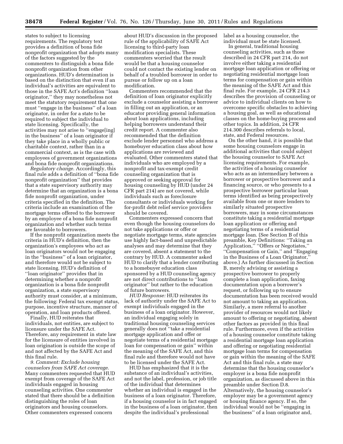states to subject to licensing requirements. The regulatory text provides a definition of bona fide nonprofit organization that adopts many of the factors suggested by the commenters to distinguish a bona fide nonprofit organization from other organizations. HUD's determination is based on the distinction that even if an individual's activities are equivalent to those in the SAFE Act's definition ''loan originator,'' they may nonetheless not meet the statutory requirement that one must ''engage in the business'' of a loan originator, in order for a state to be required to subject the individual to state licensing. Specifically, the activities may not arise to ''engage[ing] in the business'' of a loan originator if they take place in a wholly public or charitable context, rather than in a commercial context, as is the case with employees of government organizations and bona fide nonprofit organizations.

*Regulatory change.* Accordingly, this final rule adds a definition of ''bona fide nonprofit organization'' that provides that a state supervisory authority may determine that an organization is a bona fide nonprofit organization, under criteria specified in the definition. The criteria include an examination of the mortgage terms offered to the borrower by an employee of a bona fide nonprofit organization and whether such terms are favorable to borrowers.

If the nonprofit organization meets the criteria in HUD's definition, then the organization's employees who act as loan originators would not be engaging in the ''business'' of a loan originator, and therefore would not be subject to state licensing. HUD's definition of ''loan originator'' provides that in determining whether a nonprofit organization is a bona fide nonprofit organization, a state supervisory authority must consider, at a minimum, the following: Federal tax exempt status, purpose, incentive structure, manner of operation, and loan products offered.

Finally, HUD reiterates that individuals, not entities, are subject to licensure under the SAFE Act. Therefore, any requirement in state law for the licensure of entities involved in loan origination is outside the scope of and not affected by the SAFE Act and this final rule.

*9. Comment: Exclude housing counselors from SAFE Act coverage.*  Many commenters requested that HUD exempt from coverage of the SAFE Act individuals engaged in housing counseling activities. One commenter stated that there should be a definition distinguishing the roles of loan originators and housing counselors. Other commenters expressed concern

about HUD's discussion in the proposed rule of the applicability of SAFE Act licensing to third-party loan modification specialists. These commenters worried that the result would be that a housing counselor could not contact the existing lender on behalf of a troubled borrower in order to pursue or follow up on a loan modification.

Commenters recommended that the definition of loan originator explicitly exclude a counselor assisting a borrower in filling out an application, or an educator providing general information about loan applications, including helping borrowers understand their credit report. A commenter also recommended that the definition exclude lender personnel who address a homebuyer education class about how applications are reviewed and evaluated. Other commenters stated that individuals who are employed by a nonprofit and tax-exempt credit counseling organization that is approved or seeking approval for housing counseling by HUD (under 24 CFR part 214) are not covered, while individuals such as foreclosure consultants or individuals working for for-profit debt relief service providers should be covered.

Commenters expressed concern that even though the housing counselors do not take applications or offer or negotiate mortgage terms, state agencies use highly fact-based and unpredictable analyses and may determine that they are covered, absent a statement to the contrary by HUD. A commenter asked HUD to clarify that a lender contributing to a homebuyer education class sponsored by a HUD counseling agency are not direct contributions to ''loan originator'' but rather to the education of future borrowers.

*HUD Response:* HUD reiterates its lack of authority under the SAFE Act to exempt individuals engaged in the business of a loan originator. However, an individual engaging solely in traditional housing counseling services generally does not ''take a residential mortgage application and offer or negotiate terms of a residential mortgage loan for compensation or gain'' within the meaning of the SAFE Act, and this final rule and therefore would not have to be licensed under the SAFE Act.

HUD has emphasized that it is the substance of an individual's activities, and not the label, profession, or job title of the individual that determines whether an individual is engaged in the business of a loan originator. Therefore, if a housing counselor is in fact engaged in the business of a loan originator, then despite the individual's professional

label as a housing counselor, the individual must be state licensed.

In general, traditional housing counseling activities, such as those described in 24 CFR part 214, do not involve either taking a residential mortgage loan application or offering or negotiating residential mortgage loan terms for compensation or gain within the meaning of the SAFE Act and this final rule. For example, 24 CFR 214.3 describes the provision of counseling or advice to individual clients on how to overcome specific obstacles to achieving a housing goal, as well as educational classes on the home-buying process and other topics. In addition, 24 CFR 214.300 describes referrals to local, state, and Federal resources.

On the other hand, it is possible that some housing counselors engage in additional activities that could subject the housing counselor to SAFE Act licensing requirements. For example, the activities of a housing counselor who acts as an intermediary between a borrower or prospective borrower and a financing source, or who presents to a prospective borrower particular loan terms identified as being prospectively available from one or more lenders to similarly situated prospective borrowers, may in some circumstances constitute taking a residential mortgage loan application or offering and negotiating terms of a residential mortgage loan. (See Section B of this preamble, Key Definitions: ''Taking an Application,'' ''Offers or Negotiates,'' ''Compensation or Gain,'' and ''Engaging in the Business of a Loan Originator, above.) As further discussed in Section B, merely advising or assisting a prospective borrower to properly complete a loan application, faxing documentation upon a borrower's request, or following up to ensure documentation has been received would not amount to taking an application. Similarly, a mere referral to another provider of resources would not likely amount to offering or negotiating, absent other factors as provided in this final rule. Furthermore, even if the activities of a housing counselor constitute taking a residential mortgage loan application and offering or negotiating residential mortgage loan terms for compensation or gain within the meaning of the SAFE Act and this final rule, a state may determine that the housing counselor's employer is a bona fide nonprofit organization, as discussed above in this preamble under Section D.8. Alternatively, the housing counselor's employer may be a government agency or housing finance agency. If so, the individual would not be ''engaging in the business'' of a loan originator and,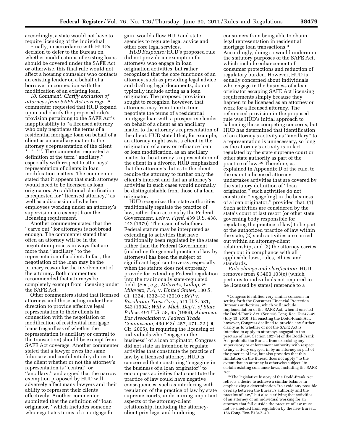accordingly, a state would not have to require licensing of the individual.

Finally, in accordance with HUD's decision to defer to the Bureau on whether modifications of existing loans should be covered under the SAFE Act or otherwise, this final rule would not affect a housing counselor who contacts an existing lender on a behalf of a borrower in connection with the modification of an existing loan.

*10. Comment: Clarify exclusion of attorneys from SAFE Act coverage.* A commenter requested that HUD expand upon and clarify the proposed rule's provision pertaining to the SAFE Act's inapplicability to ''a licensed attorney who only negotiates the terms of a residential mortgage loan on behalf of a client as an ancillary matter to the attorney's representation of the client \* \* \*''. The commenter requested a definition of the term ''ancillary,'' especially with respect to attorneys' representation of clients in loan modification matters. The commenter stated that it appears that such attorneys would need to be licensed as loan originators. An additional clarification is requested for ''licensed attorney,'' as well as a discussion of whether employees working under an attorney's supervision are exempt from the licensing requirement.

Another commenter stated that the ''carve out'' for attorneys is not broad enough. The commenter stated that often an attorney will be in the negotiation process in ways that are more than ''ancillary'' to the representation of a client. In fact, the negotiation of the loan may be the primary reason for the involvement of the attorney. Both commenters recommended that attorneys be completely exempt from licensing under the SAFE Act.

Other commenters stated that licensed attorneys and those acting under their direction to provide effective legal representation to their clients in connection with the negotiation or modification of residential mortgage loans (regardless of whether the representation is ancillary or central to the transaction) should be exempt from SAFE Act coverage. Another commenter stated that a lawyer owes the same fiduciary and confidentiality duties to the client whether or not the attorney's representation is ''central'' or ''ancillary,'' and argued that the narrow exemption proposed by HUD will adversely affect many lawyers and their ability to represent their clients effectively. Another commenter submitted that the definition of ''loan originator,'' which includes someone who negotiates terms of a mortgage for

gain, would allow HUD and state agencies to regulate legal advice and other core legal services.

*HUD Response:* HUD's proposed rule did not provide an exemption for attorneys who engage in loan origination activities, but rather recognized that the core functions of an attorney, such as providing legal advice and drafting legal documents, do not typically include acting as a loan originator. The proposed provision sought to recognize, however, that attorneys may from time to time negotiate the terms of a residential mortgage loan with a prospective lender on behalf of a client as an ancillary matter to the attorney's representation of the client. HUD stated that, for example, an attorney might assist a client in the origination of a new or refinance loan, or loan modification, as an ancillary matter to the attorney's representation of the client in a divorce. HUD emphasized that the attorney's duties to the client require the attorney to further only the client's interest and that an attorney's activities in such cases would normally be distinguishable from those of a loan originator.

HUD recognizes that state authorities traditionally regulate the practice of law, rather than actions by the Federal Government. *Leis* v. *Flynt,* 439 U.S. 438, 442 (1979). The issue of whether a Federal statute may be interpreted as extending to activities that have traditionally been regulated by the states rather than the Federal Government (including the general practice of law by attorneys) has been the subject of significant legal controversy, especially when the statute does not expressly provide for extending Federal regulation into the traditionally state-regulated field. (See, *e.g., Milavetz, Gallop, & Milavetz, P.A,* v. *United States,* 130 S. Ct. 1324, 1332–33 (2010); *BFP* v. *Resolution Trust Corp.,* 511 U.S. 531, 543 (1994); *Will* v. *Mich. Dep't. of State Police,* 491 U.S. 58, 65 (1989); *American Bar Association* v. *Federal Trade Commission,* 430 F.3d 457, 471–72 (DC Cir. 2005). In requiring the licensing of individuals who ''engage in the business'' of a loan originator, Congress did not state an intention to regulate activities that constitute the practice of law by a licensed attorney. HUD is concerned that construing ''engaging in the business of a loan originator'' to encompass activities that constitute the practice of law could have negative consequences, such as interfering with regulation of the practice of law by state supreme courts, undermining important aspects of the attorney-client relationship, including the attorneyclient privilege, and hindering

consumers from being able to obtain legal representation in residential mortgage loan transactions.9 Accordingly, doing so would undermine the statutory purposes of the SAFE Act, which include enhancement of consumer protections and reduction of regulatory burden. However, HUD is equally concerned about individuals who engage in the business of a loan originator escaping SAFE Act licensing requirements simply because they happen to be licensed as an attorney or work for a licensed attorney. The referenced provision in the proposed rule was HUD's initial approach to balancing these competing concerns, but HUD has determined that identification of an attorney's activity as ''ancillary'' to a representation is unnecessary, so long as the attorney's activity is in fact regulated by the state supreme court or other state authority as part of the practice of law.10 Therefore, as explained in Appendix D of the rule, to the extent a licensed attorney undertakes activities that are covered by the statutory definition of ''loan originator,'' such activities do not constitute ''engage[ing] in the business of a loan originator,'' provided that: (1) Such activities are considered by the state's court of last resort (or other state governing body responsible for regulating the practice of law) to be part of the authorized practice of law within the state, (2) such activities are carried out within an attorney-client relationship, and (3) the attorney carries them out in compliance with all applicable laws, rules, ethics, and standards.

*Rule change and clarification.* HUD removes from § 3400.103(e) (which pertains to individuals not required to be licensed by states) reference to a

10The legislative history of the Dodd-Frank Act reflects a desire to achieve a similar balance in emphasizing a determination ''to avoid any possible overlap between the Bureau's authority and the practice of law,'' but also clarifying that activities of an attorney or an individual working for an attorney that fall outside the practice of law must not be shielded from regulation by the new Bureau. 156 Cong. Rec. E1347–49.

<sup>9</sup>Congress identified very similar concerns in setting forth the Consumer Financial Protection Bureau's authorities, which will include implementation of the SAFE Act, when it enacted the Dodd-Frank Act. (See 156 Cong. Rec. E1347–49 (July 15, 2010).) In enacting the Dodd-Frank Act, however, Congress declined to provide any further clarity as to whether or not the SAFE Act is intended to apply to attorneys engaged in the practice of law. Section 1027(e) of the Dodd-Frank Act prohibits the Bureau from exercising any supervisory or enforcement authority with respect to any activity engaged in by an attorney as part of the practice of law, but also provides that this limitation on the Bureau does not apply ''to the extent that an attorney is otherwise subject'' to certain existing consumer laws, including the SAFE Act.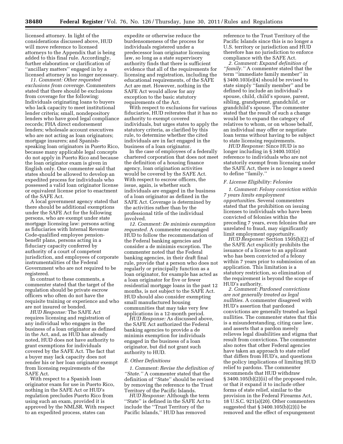licensed attorney. In light of the considerations discussed above, HUD will move reference to licensed attorneys to the Appendix that is being added to this final rule. Accordingly, further elaboration or clarification of ''ancillary matters'' engaged in by a licensed attorney is no longer necessary.

*11. Comment: Other requested exclusions from coverage.* Commenters stated that there should be exclusions from coverage for the following: Individuals originating loans to buyers who lack capacity to meet institutional lender criteria; small, nondepository lenders who have good legal compliance records; FHA direct endorsement lenders; wholesale account executives who are not acting as loan originators; mortgage insurers; and Spanishspeaking loan originators in Puerto Rico, because many applicable legal concepts do not apply in Puerto Rico and because the loan originator exam is given in English only. One commenter said that states should be allowed to develop an expedited process for individuals who possessed a valid loan originator license or equivalent license prior to enactment of the SAFE Act.

A local government agency stated that there should be additional exemptions under the SAFE Act for the following persons, who are exempt under state mortgage licensing law: persons acting as fiduciaries with Internal Revenue Code-qualified employee pensionbenefit plans, persons acting in a fiduciary capacity conferred by authority of a court of competent jurisdiction, and employees of corporate instrumentalities of the Federal Government who are not required to be registered.

In contrast to these comments, a commenter stated that the target of the regulation should be private escrow officers who often do not have the requisite training or experience and who are not insured or bonded.

*HUD Response:* The SAFE Act requires licensing and registration of any individual who engages in the business of a loan originator as defined in the Act, and, as HUD has already noted, HUD does not have authority to grant exemptions for individuals covered by the SAFE Act. The fact that a buyer may lack capacity does not render his or her loan originator exempt from licensing requirements of the SAFE Act.

With respect to a Spanish loan originator exam for use in Puerto Rico, nothing in the SAFE Act or HUD's regulation precludes Puerto Rico from using such an exam, provided it is approved by the NMLSR. With respect to an expedited process, states can

expedite or otherwise reduce the burdensomeness of the process for individuals registered under a predecessor loan originator licensing law, so long as a state supervisory authority finds that there is sufficient evidence that all of the requirements for licensing and registration, including the educational requirements, of the SAFE Act are met. However, nothing in the SAFE Act would allow for any exception to the basic statutory requirements of the Act.

With respect to exclusions for various fiduciaries, HUD reiterates that it has no authority to exempt covered individuals, but urges states to apply the statutory criteria, as clarified by this rule, to determine whether the cited individuals are in fact engaged in the business of a loan originator.

In the case of employees of a federally chartered corporation that does not meet the definition of a housing finance agency, loan origination activities would be covered by the SAFE Act. With respect to escrow officers, the issue, again, is whether such individuals are engaged in the business of a loan originator as defined in the SAFE Act. Coverage is determined by the activities rather than by the professional title of the individual involved.

*12. Comment: De minimis exemption requested.* A commenter encouraged HUD to follow the recommendation of the Federal banking agencies and consider a de minimis exception. The commenter noted that the Federal banking agencies, in their draft final rule, provide that a person who does not regularly or principally function as a loan originator, for example has acted as a loan originator for five or fewer residential mortgage loans in the past 12 months, is not subject to the SAFE Act. HUD should also consider exempting small manufactured housing communities that may take very few applications in a 12-month period.

*HUD Response:* As discussed above, the SAFE Act authorized the Federal banking agencies to provide a de minimis exemption for individuals engaged in the business of a loan originator, but did not grant such authority to HUD.

#### *E. Other Definitions*

*1. Comment: Revise the definition of ''State.''* A commenter stated that the definition of ''State'' should be revised by removing the reference to the Trust Territory of the Pacific Islands.

*HUD Response:* Although the term ''State'' is defined in the SAFE Act to include the ''Trust Territory of the Pacific Islands,'' HUD has removed

reference to the Trust Territory of the Pacific Islands since this is no longer a U.S. territory or jurisdiction and HUD therefore has no jurisdiction to enforce compliance with the SAFE Act.

*2. Comment: Expand definition of ''family.''* A commenter stated that the term ''immediate family member'' in § 3400.103(e)(4) should be revised to state simply ''family member'' and be defined to include an individual's spouse, child, child's spouse, parent, sibling, grandparent, grandchild, or grandchild's spouse. The commenter stated that the result of such a change would be to expand the category of relatives to whom, or on whose behalf, an individual may offer or negotiate loan terms without having to be subject to state licensing requirements.

*HUD Response:* Since HUD is no longer including in § 3400.103(e) reference to individuals who are not statutorily exempt from licensing under the SAFE Act, there is no longer a need to define ''family.''

#### *F. License Eligibility: Felonies*

*1. Comment: Felony conviction within 7 years limits employment opportunities.* Several commenters stated that the prohibition on issuing licenses to individuals who have been convicted of felonies within the preceding 7 years, even felonies that are unrelated to fraud, may significantly limit employment opportunity.

*HUD Response:* Section 1505(b)(2) of the SAFE Act explicitly prohibits the issuance of a license to an applicant who has been convicted of a felony within 7 years prior to submission of an application. This limitation is a statutory restriction, so elimination of the requirement is beyond the scope of HUD's authority.

*2. Comment: Pardoned convictions are not generally treated as legal nullities.* A commenter disagreed with HUD's assertion that pardoned convictions are generally treated as legal nullities. The commenter states that this is a misunderstanding, citing case law, and asserts that a pardon merely relieves legal disabilities and stigma that result from convictions. The commenter also notes that other Federal agencies have taken an approach to state relief that differs from HUD's, and questions the policy implications of limiting HUD relief to pardons. The commenter recommends that HUD withdraw § 3400.105(b)(2)(ii) of the proposed rule, or that it expand it to include other forms of state relief, similar to the provision in the Federal Firearms Act, 18 U.S.C. 921(a)(20). Other commenters suggested that § 3400.105(b)(2)(i) be removed and the effect of expungement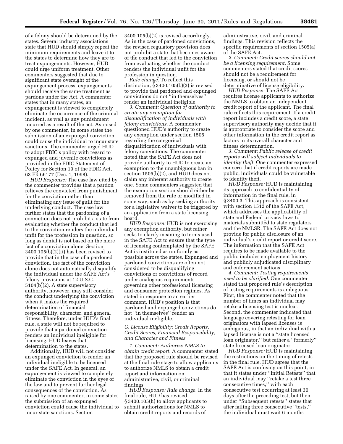of a felony should be determined by the states. Several industry associations state that HUD should simply repeat the minimum requirements and leave it to the states to determine how they are to treat expungements. However, HUD could urge uniform treatment. Other commenters suggested that due to significant state oversight of the expungement process, expungements should receive the same treatment as pardons under the Act. A commenter states that in many states, an expungement is viewed to completely eliminate the occurrence of the criminal incident, as well as any punishment incurred as a result of the act. As raised by one commenter, in some states the submission of an expunged conviction could cause the individual to incur state sanctions. The commenter urged HUD to adopt FDIC's policy with regard to expunged and juvenile convictions as provided in the FDIC Statement of Policy for Section 19 of the FDIC Act, 63 FR 66177 (Dec. 1, 1998).

*HUD Response:* The case law cited by the commenter provides that a pardon relieves the convicted from punishment for the conviction rather than eliminating any issue of guilt for the underlying conduct. The case law further states that the pardoning of a conviction does not prohibit a state from evaluating whether the conduct that led to the conviction renders the individual unfit for the profession in question, so long as denial is not based on the mere fact of a conviction alone. Section 3400.105(b)(2)(ii) has been revised to provide that in the case of a pardoned conviction, the fact of the conviction alone does not automatically disqualify the individual under the SAFE Act's felony provisions at 12 U.S.C. 5104(b)(2). A state supervisory authority, however, may still consider the conduct underlying the conviction when it makes the required determination of financial responsibility, character, and general fitness. Therefore, under HUD's final rule, a state will not be required to provide that a pardoned conviction renders an individual ineligible for licensing. HUD leaves that determination to the states.

Additionally, HUD will not consider an expunged conviction to render an individual ineligible to be licensed under the SAFE Act. In general, an expungement is viewed to completely eliminate the conviction in the eyes of the law and to prevent further legal consequences of the conviction. As raised by one commenter, in some states the submission of an expunged conviction could cause the individual to incur state sanctions. Section

3400.105(b)(2) is revised accordingly. As in the case of pardoned convictions, the revised regulatory provision does not prohibit a state that becomes aware of the conduct that led to the conviction from evaluating whether the conduct renders the individual unfit for the profession in question.

*Rule change.* To reflect this distinction, § 3400.105(b)(2) is revised to provide that pardoned and expunged convictions do not ''in themselves'' render an individual ineligible.

*3. Comment: Question of authority to create any exemption for disqualification of individuals with felony convictions.* A commenter questioned HUD's authority to create any exemption under section 1505 regarding the categorical disqualification of individuals with felony convictions. The commenter noted that the SAFE Act does not provide authority to HUD to create an exemption to the unambiguous ban in section 1505(b)(2), and HUD does not claim any inherent authority to create one. Some commenters suggested that the exemption section should either be removed from the rule or modified in some way, such as by seeking authority for a legislative waiver to be triggered by an application from a state licensing board.

*HUD Response:* HUD is not exercising any exemption authority, but rather seeks to clarify meaning to terms used in the SAFE Act to ensure that the type of licensing contemplated by the SAFE Act is instituted as uniformly as possible across the states. Expunged and pardoned convictions are often not considered to be disqualifying convictions or convictions of record under analogous requirements governing other professional licensing and consumer protection regimes. As stated in response to an earlier comment, HUD's position is that pardoned and expunged convictions do not ''in themselves'' render an individual ineligible.

#### *G. License Eligibility: Credit Reports, Credit Scores, Financial Responsibility, and Character and Fitness*

*1. Comment: Authorize NMLS to obtain credit report.* A commenter stated that the proposed rule should be revised at the final rule stage to allow applicants to authorize NMLS to obtain a credit report and information on administrative, civil, or criminal findings.

*HUD Response: Rule change.* In the final rule, HUD has revised § 3400.105(h) to allow applicants to submit authorizations for NMLS to obtain credit reports and records of

administrative, civil, and criminal findings. This revision reflects the specific requirements of section 1505(a) of the SAFE Act.

*2. Comment: Credit scores should not be a licensing requirement.* Some commenters stated that credit scores should not be a requirement for licensing, or should not be determinative of license eligibility.

*HUD Response:* The SAFE Act requires license applicants to authorize the NMLS to obtain an independent credit report of the applicant. The final rule reflects this requirement. If a credit report includes a credit score, a state supervisory authority may decide that it is appropriate to consider the score and other information in the credit report as factors in its overall character and fitness determination.

*3. Comment: Public release of credit reports will subject individuals to identity theft.* One commenter expressed concern that if credit reports are made public, individuals could be vulnerable to identity theft.

*HUD Response:* HUD is maintaining its approach to confidentiality of information in the final rule, in § 3400.3. This approach is consistent with section 1512 of the SAFE Act, which addresses the applicability of state and Federal privacy laws to materials submitted to state regulators and the NMLSR. The SAFE Act does not provide for public disclosure of an individual's credit report or credit score. The information that the SAFE Act requires to be made available to the public includes employment history and publicly adjudicated disciplinary and enforcement actions.

*4. Comment: Testing requirements need to be clarified.* One commenter stated that proposed rule's description of testing requirements is ambiguous. First, the commenter noted that the number of times an individual may retake a licensing test is unclear. Second, the commenter indicated that language covering retesting for loan originators with lapsed licenses is ambiguous, in that an individual with a lapsed license is not a ''state licensed loan originator,'' but rather a ''formerly'' state licensed loan originator.

*HUD Response:* HUD is maintaining the restrictions on the timing of retests in the final rule. HUD agrees that the SAFE Act is confusing on this point, in that it states under ''Initial Retests'' that an individual may ''retake a test three consecutive times,'' with each consecutive test occurring at least 30 days after the preceding test, but then under ''Subsequent retests'' states that after failing three consecutive ''tests,'' the individual must wait 6 months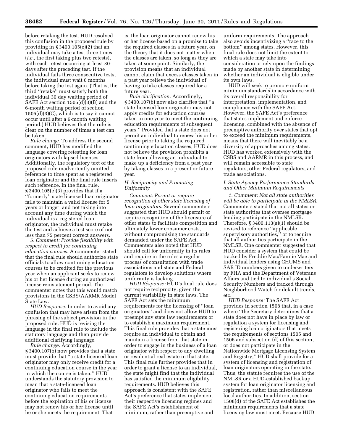before retaking the test. HUD resolved this confusion in the proposed rule by providing in  $\S 3400.105(e)(2)$  that an individual may take a test three times (*i.e.,* the first taking plus two retests), with each retest occurring at least 30 days after the preceding test. If the individual fails three consecutive tests, the individual must wait 6 months before taking the test again. (That is, the third ''retake'' must satisfy both the individual 30 day waiting period of SAFE Act section 1505(d)(3)(B) and the 6-month waiting period of section  $1505(d)(3)(C)$ , which is to say it cannot occur until after a 6-month waiting period.) HUD believes that the rule is clear on the number of times a test can be taken.

*Rule change.* To address the second comment, HUD has modified the language covering retesting for loan originators with lapsed licenses. Additionally, the regulatory text of the proposed rule inadvertently omitted reference to time spent as a registered loan originator and the final rule inserts such reference. In the final rule, § 3400.105(e)(3) provides that if a ''formerly'' state licensed loan originator fails to maintain a valid license for 5 years or longer, and not taking into account any time during which the individual is a registered loan originator, the individual must retake the test and achieve a test score of not less than 75 percent correct answers.

*5. Comment: Provide flexibility with respect to credit for continuing education courses.* A commenter stated that the final rule should authorize state officials to allow continuing education courses to be credited for the previous year when an applicant seeks to renew his or her license during an authorized license reinstatement period. The commenter notes that this would match provisions in the CSBS/AARMR Model State Law.

*HUD Response:* In order to avoid any confusion that may have arisen from the phrasing of the subject provision in the proposed rule, HUD is revising the language in the final rule to include the statutory language and then provide additional clarifying language.

*Rule change.* Accordingly, § 3400.107(b) now provides that a state must provide that ''a state-licensed loan originator may only receive credit for a continuing education course in the year in which the course is taken.'' HUD understands the statutory provision to mean that a state-licensed loan originator who fails to meet the continuing education requirements before the expiration of his or license may not renew his or her license until he or she meets the requirement. That

is, the loan originator cannot renew his or her license based on a promise to take the required classes in a future year, on the theory that it does not matter when the classes are taken, so long as they are taken at some point. Similarly, the provision means that an individual cannot claim that excess classes taken in a past year relieve the individual of having to take classes required for a future year.

*Rule clarification.* Accordingly, § 3400.107(b) now also clarifies that ''a state-licensed loan originator may not apply credits for education courses taken in one year to meet the continuing education requirements of subsequent years.'' Provided that a state does not permit an individual to renew his or her license prior to taking the required continuing education classes, HUD does not believe the provision prohibits a state from allowing an individual to make up a deficiency from a past year by taking classes in a present or future year.

#### *H. Reciprocity and Promoting Uniformity*

*Comment: Permit or require recognition of other state licensing of loan originators.* Several commenters suggested that HUD should permit or require recognition of the licensure of other states to facilitate competition and ultimately lower consumer costs, without compromising the standards demanded under the SAFE Act. Commenters also noted that HUD should call for uniformity in its rules and require in the rules a regular process of consultation with trade associations and state and Federal regulators to develop solutions where uniformity is lacking.

*HUD Response:* HUD's final rule does not require reciprocity, given the current variability in state laws. The SAFE Act sets the minimum requirements for the licensing of ''loan originators'' and does not allow HUD to preempt any state law requirements or to establish a maximum requirement. This final rule provides that a state must require an individual to obtain and maintain a license from that state in order to engage in the business of a loan originator with respect to any dwelling or residential real estate in that state. This final rule further provides that in order to grant a license to an individual, the state might find that the individual has satisfied the minimum eligibility requirements. HUD believes this approach is consistent with the SAFE Act's preference that states implement their respective licensing regimes and the SAFE Act's establishment of minimum, rather than preemptive and

uniform requirements. The approach also avoids incentivizing a ''race to the bottom'' among states. However, this final rule does not limit the extent to which a state may take into consideration or rely upon the findings made by another state in determining whether an individual is eligible under its own laws.

HUD will seek to promote uniform minimum standards in accordance with its overall responsibility for interpretation, implementation, and compliance with the SAFE Act. However, the SAFE Act's preference that states implement and enforce licensing, combined with the absence of preemptive authority over states that opt to exceed the minimum requirements, means that there will inevitably be a diversity of approaches among states. HUD has worked extensively with the CSBS and AARMR in this process, and will remain accessible to state regulators, other Federal regulators, and trade associations.

#### *I. State Agency Performance Standards and Other Minimum Requirements*

*1. Comment: Not all state authorities will be able to participate in the NMLSR.*  Commenters stated that not all states or state authorities that oversee mortgage lending participate in the NMLSR. Therefore, § 3400.113(a)(1) should be revised to reference ''applicable supervisory authorities,'' or to require that all authorities participate in the NMLSR. One commenter suggested that HUD consider a system that could be tracked by Freddie Mac/Fannie Mae and individual lenders using CHUMS and SAR ID numbers given to underwriters by FHA and the Department of Veterans Affairs and tied to individual's Social Security Numbers and tracked through Neighborhood Watch for default trends, etc.

*HUD Response:* The SAFE Act provides in section 1508 that, in a case where ''the Secretary determines that a state does not have in place by law or regulation a system for licensing and registering loan originators that meets the requirements of sections 1505 and 1506 and subsection (d) of this section, or does not participate in the Nationwide Mortgage Licensing System and Registry,'' HUD shall provide for a system of licensing and registration of loan originators operating in the state. Thus, the statute requires the use of the NMLSR or a HUD-established backup system for loan originator licensing and registration, rather than miscellaneous local authorities. In addition, section 1508(d) of the SAFE Act establishes the minimum requirements that a state licensing law must meet. Because HUD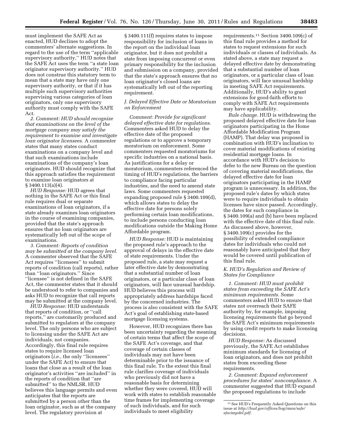must implement the SAFE Act as enacted, HUD declines to adopt the commenters' alternate suggestions. In regard to the use of the term ''applicable supervisory authority,'' HUD notes that the SAFE Act uses the term ''a state loan originator supervisory authority.'' HUD does not construe this statutory term to mean that a state may have only one supervisory authority, or that if it has multiple such supervisory authorities supervising various categories of loan originators, only one supervisory authority must comply with the SAFE Act.

*2. Comment: HUD should recognize that examinations on the level of the mortgage company may satisfy the requirement to examine and investigate loan originator licensees.* A commenter states that many states conduct examinations on a company level and that such examinations include examinations of the company's loan originators. HUD should recognize that this approach satisfies the requirement to examine loan originators at § 3400.113(a)(4).

*HUD Response:* HUD agrees that nothing in the SAFE Act or this final rule requires dual or separate examinations of loan originators, if a state already examines loan originators in the course of examining companies, provided that the state's approach ensures that no loan originators are systematically left out of the scope of examinations.

*3. Comment: Reports of condition may be submitted at the company level.*  A commenter observed that the SAFE Act requires ''licensees'' to submit reports of condition (call reports), rather than ''loan originators.'' Since ''licensee'' is not defined in the SAFE Act, the commenter states that it should be understood to refer to companies and asks HUD to recognize that call reports may be submitted at the company level.

*HUD Response:* HUD understands that reports of condition, or ''call reports,'' are customarily produced and submitted to regulators at the company level. The only persons who are subject to licensing under the SAFE Act are individuals, not companies. Accordingly, this final rule requires states to require licensed loan originators (*i.e.,* the only ''licensees'' under the SAFE Act) to ensure that loans that close as a result of the loan originator's activities ''are included'' in the reports of condition that ''are submitted'' to the NMLSR. HUD believes this language permits and even anticipates that the reports are submitted by a person other than the loan originator, such as at the company level. The regulatory provision at

§ 3400.111(f) requires states to impose responsibility for inclusion of loans in the report on the individual loan originator, but it does not prohibit a state from imposing concurrent or even primary responsibility for the inclusion and submission on a company, provided that the state's approach ensures that no loan originator's closed loans are systematically left out of the reporting requirement.

#### *J. Delayed Effective Date or Moratorium on Enforcement*

*Comment: Provide for significant delayed effective date for regulations.*  Commenters asked HUD to delay the effective date of the proposed regulations or to approve a temporary moratorium on enforcement. Some commenters requested moratoriums for specific industries on a national basis. As justifications for a delay or moratorium, commenters referenced the timing of HUD's regulations, the barriers to compliance facing particular industries, and the need to amend state laws. Some commenters requested expanding proposed rule § 3400.109(d), which allows states to delay the effective date for persons solely performing certain loan modifications, to include persons conducting loan modifications outside the Making Home Affordable program.

*HUD Response:* HUD is maintaining the proposed rule's approach to the approval of delays in the effective date of state requirements. Under the proposed rule, a state may request a later effective date by demonstrating that a substantial number of loan originators, or a particular class of loan originators, will face unusual hardship. HUD believes this process will appropriately address hardships faced by the concerned industries. The process is also consistent with the SAFE Act's goal of establishing state-based mortgage licensing systems.

However, HUD recognizes there has been uncertainty regarding the meaning of certain terms that affect the scope of the SAFE Act's coverage, and that coverage of certain classes of individuals may not have been determinable prior to the issuance of this final rule. To the extent this final rule clarifies coverage of individuals who previously did not have a reasonable basis for determining whether they were covered, HUD will work with states to establish reasonable time frames for implementing coverage of such individuals, and for such individuals to meet eligibility

requirements.11 Section 3400.109(c) of this final rule provides a method for states to request extensions for such individuals or classes of individuals. As stated above, a state may request a delayed effective date by demonstrating that a substantial number of loan originators, or a particular class of loan originators, will face unusual hardship in meeting SAFE Act requirements. Additionally, HUD's ability to grant extensions for good-faith efforts to comply with SAFE Act requirements may have applicability.

*Rule change.* HUD is withdrawing the proposed delayed effective date for loan originators participating in the Home Affordable Modification Program (HAMP). That delay was proposed in combination with HUD's inclination to cover material modifications of existing residential mortgage loans. In accordance with HUD's decision to defer to the new Bureau on the question of covering material modifications, the delayed effective date for loan originators participating in the HAMP program is unnecessary. In addition, the proposed rule's dates by which states were to require individuals to obtain licenses have since passed. Accordingly, the dates for such compliance in § 3400.109(a) and (b) have been replaced with the effective date of this final rule. As discussed above, however, § 3400.109(c) provides for the possibility of extended compliance dates for individuals who could not reasonably have anticipated that they would be covered until publication of this final rule.

#### *K. HUD's Regulation and Review of States for Compliance*

*1. Comment: HUD must prohibit states from exceeding the SAFE Act's minimum requirements.* Some commenters asked HUD to ensure that states not overreach their SAFE authority by, for example, imposing licensing requirements that go beyond the SAFE Act's minimum requirements by using credit reports to make licensing decisions.

*HUD Response:* As discussed previously, the SAFE Act establishes minimum standards for licensing of loan originators, and does not prohibit states from exceeding these requirements.

*2. Comment: Expand enforcement procedures for states' noncompliance.* A commenter suggested that HUD expand the proposed regulations to include

<sup>11</sup>See HUD's Frequently Asked Questions on this issue at *[http://hud.gov/offices/hsg/rmra/safe/](http://hud.gov/offices/hsg/rmra/safe/sfacimpdel.pdf) [sfacimpdel.pdf.](http://hud.gov/offices/hsg/rmra/safe/sfacimpdel.pdf)*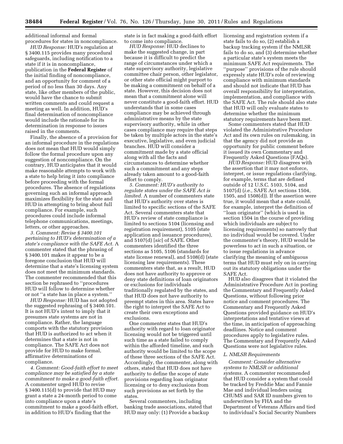additional informal and formal procedures for states in noncompliance.

*HUD Response:* HUD's regulation at § 3400.115 provides many procedural safeguards, including notification to a state if it is in noncompliance, publication in the **Federal Register** of the initial finding of noncompliance, and an opportunity for comment of a period of no less than 30 days. Any state, like other members of the public, would have the chance to submit written comments and could request a meeting as well. In addition, HUD's final determination of noncompliance would include the rationale for its determination in response to issues raised in the comments.

Finally, the absence of a provision for an informal procedure in the regulations does not mean that HUD would simply follow the formal procedure upon any suggestion of noncompliance. On the contrary, HUD anticipates that it would make reasonable attempts to work with a state to help bring it into compliance before proceeding with the formal procedures. The absence of regulations governing such an informal approach maximizes flexibility for the state and HUD in attempting to bring about full compliance. For example, such procedures could include informal telephone communications, meetings, letters, or other approaches.

*3. Comment: Revise § 3400.101 pertaining to HUD's determination of a state's compliance with the SAFE Act.* A commenter stated that the phrasing of § 3400.101 makes it appear to be a foregone conclusion that HUD will determine that a state's licensing system does not meet the minimum standards. The commenter recommended that this section be rephrased to ''procedures HUD will follow to determine whether or not ''a state has in place a system.''

*HUD Response:* HUD has not adopted the suggested rephrasing of § 3400.101. It is not HUD's intent to imply that it presumes state systems are not in compliance. Rather, the language comports with the statutory provision that HUD is authorized to act when it determines that a state is not in compliance. The SAFE Act does not provide for HUD to make formal, affirmative determinations of compliance.

*4. Comment: Good-faith effort to meet compliance may be satisfied by a state commitment to make a good-faith effort.*  A commenter urged HUD to revise § 3400.115(d) to provide that HUD may grant a state a 24-month period to come into compliance upon a state's commitment to make a good-faith effort, in addition to HUD's finding that the

state is in fact making a good-faith effort to come into compliance.

*HUD Response:* HUD declines to make the suggested change, in part because it is difficult to predict the range of circumstances under which a state supervisory authority, legislative committee chair person, other legislator, or other state official might purport to be making a commitment on behalf of a state. However, this decision does not mean that a commitment alone will never constitute a good-faith effort. HUD understands that in some cases compliance may be achieved through administrative means by the state supervisory authority, while in other cases compliance may require that steps be taken by multiple actors in the state's executive, legislative, and even judicial branches. HUD will consider a commitment made by a state official along with all the facts and circumstances to determine whether such a commitment and any steps already taken amount to a good-faith effort to comply.

*5. Comment: HUD's authority to regulate states under the SAFE Act is limited.* A number of commenters state that HUD's authority over states is limited to specific sections of the SAFE Act. Several commenters state that HUD's review of state compliance is limited to sections 5104 (licensing and registration requirement), 5105 (state application and issuance procedures), and 5107(d) [*sic*] of SAFE. Other commenters identified the three sections as 5105, 5106 (standards for state license renewal), and 5108(d) (state licensing law requirements). These commenters state that, as a result, HUD does not have authority to approve or deny state definitions of loan originators or exclusions for individuals traditionally regulated by the states, and that HUD does not have authority to preempt states in this area. States have the right to interpret the SAFE Act to create their own exceptions and exclusions.

One commenter states that HUD's authority with regard to loan originator licensing would not be triggered until such time as a state failed to comply within the afforded timeline, and such authority would be limited to the scope of these three sections of the SAFE Act. Accordingly, the commenter, along with others, stated that HUD does not have authority to define the scope of state provisions regarding loan originator licensing or to deny exclusions from such provisions as set forth by the states.

Several commenters, including banking trade associations, stated that HUD may only: (1) Provide a backup

licensing and registration system if a state fails to do so, (2) establish a backup tracking system if the NMLSR fails to do so, and (3) determine whether a particular state's system meets the minimum SAFE Act requirements. The ''purpose'' provisions of the rule should expressly state HUD's role of reviewing compliance with minimum standards and should not indicate that HUD has overall responsibility for interpretation, implementation, and compliance with the SAFE Act. The rule should also state that HUD will only evaluate states to determine whether the minimum statutory requirements have been met.

Some commenters stated that HUD violated the Administrative Procedure Act and its own rules on rulemaking, in that the agency did not provide an opportunity for public comment before it issued its own Commentary and Frequently Asked Questions (FAQs).

*HUD Response:* HUD disagrees with the assertion that it may not enforce, interpret, or issue regulations clarifying, for example, terms that are defined outside of 12 U.S.C. 5103, 5104, and 5107(d) (*i.e.,* SAFE Act sections 1504, 1505, and 1508(d)). If the assertion were true, it would mean that a state could, for example, interpret the definition of ''loan originator'' (which is used in section 1504 in the course of providing which individuals are subject to licensing requirements) so narrowly that no individual would be covered. Under the commenter's theory, HUD would be powerless to act in such a situation, or to issue regulations in advance clarifying the meaning of ambiguous terms that HUD must rely on in carrying out its statutory obligations under the SAFE Act.

HUD also disagrees that it violated the Administrative Procedure Act in posting the Commentary and Frequently Asked Questions, without following prior notice and comment procedures. The Commentary and Frequently Asked Questions provided guidance on HUD's interpretations and tentative views at the time, in anticipation of approaching deadlines. Notice and comment procedures apply to legislative rules. The Commentary and Frequently Asked Questions were not legislative rules.

#### *L. NMLSR Requirements*

*Comment: Consider alternative systems to NMLSR or additional systems.* A commenter recommended that HUD consider a system that could be tracked by Freddie Mac and Fannie Mae and individual lenders using CHUMS and SAR ID numbers given to underwriters by FHA and the Department of Veterans Affairs and tied to individual's Social Security Numbers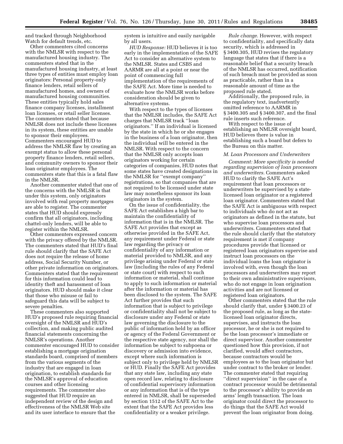and tracked through Neighborhood Watch for default trends, etc.

Other commenters cited concerns with the NMLSR with respect to the manufactured housing industry. The commenters stated that in the manufactured housing industry, at least three types of entities must employ loan originators: Personal property-only finance lenders, retail sellers of manufactured homes, and owners of manufactured housing communities. These entities typically hold sales finance company licenses, installment loan licenses, or retail seller licenses. The commenters stated that because NMLSR does not include these licenses in its system, these entities are unable to sponsor their employees. Commenters encouraged HUD to address the NMLSR flaw by creating an exempt status to allow these personal property finance lenders, retail sellers, and community owners to sponsor their loan originator employees. The commenters state that this is a fatal flaw in the NMLSR.

Another commenter stated that one of the concerns with the NMLSR is that under this system, only originators involved with real property mortgages are able to register. The commenter states that HUD should expressly confirm that all originators, including chattel-only lenders, will be able to register within the NMLSR.

Other commenters expressed concern with the privacy offered by the NMLSR. The commenters stated that HUD's final rule should clarify that the SAFE Act does not require the release of home address, Social Security Number, or other private information on originators. Commenters stated that the requirement for this information could lead to identity theft and harassment of loan originators. HUD should make it clear that those who misuse or fail to safeguard this data will be subject to severe penalties.

These commenters also supported HUD's proposed rule requiring financial oversight of the NMLSR and HUD's collection, and making public audited financial statements concerning the NMLSR's operations. Another commenter encouraged HUD to consider establishing a mortgage origination standards board, comprised of members from the various segments of the industry that are engaged in loan origination, to establish standards for the NMLSR's approval of education courses and other licensing requirements. The commenter also suggested that HUD require an independent review of the design and effectiveness of the NMLSR Web site and its user interface to ensure that the

system is intuitive and easily navigable by all users.

*HUD Response:* HUD believes it is too early in the implementation of the SAFE Act to consider an alternative system to the NMLSR. States and CSBS and AARMR are all at a point or near the point of commencing full implementation of the requirements of the SAFE Act. More time is needed to evaluate how the NMLSR works before consideration should be given to alternative systems.

With respect to the types of licenses that the NMLSR includes, the SAFE Act charges that NMLSR track ''loan originators.'' If an individual is licensed by the state in which he or she engages in the business of a loan originator, then the individual will be entered in the NMLSR. With respect to the concern that the NMLSR only accepts loan originators working for certain categories of companies, HUD notes that some states have created designations in the NMLSR for ''exempt company'' registrations, so that companies that are not required to be licensed under state law may nonetheless sponsor its loan originators in the system.

On the issue of confidentiality, the SAFE Act establishes a high bar to maintain the confidentiality of information that is in the NMLSR. The SAFE Act provides that except as otherwise provided in the SAFE Act, any requirement under Federal or state law regarding the privacy or confidentiality of any information or material provided to NMLSR, and any privilege arising under Federal or state law (including the rules of any Federal or state court) with respect to such information or material, shall continue to apply to such information or material after the information or material has been disclosed to the system. The SAFE Act further provides that such information that is subject to privilege or confidentiality shall not be subject to disclosure under any Federal or state law governing the disclosure to the public of information held by an officer or agency of the Federal Government or the respective state agency, nor shall the information be subject to subpoena or discovery or admission into evidence, except where such information is subject only to privilege held by NMLSR or HUD. Finally the SAFE Act provides that any state law, including any state open record law, relating to disclosure of confidential supervisory information or any information that is of the type entered in NMLSR, shall be superseded by section 1512 of the SAFE Act to the extent that the SAFE Act provides less confidentiality or a weaker privilege.

*Rule change.* However, with respect to confidentiality, and specifically data security, which is addressed in § 3400.305, HUD revises the regulatory language that states that if there is a reasonable belief that a security breach of the NMLSR has occurred, notification of such breach must be provided as soon as practicable, rather than in a reasonable amount of time as the proposed rule stated.

Additionally, the proposed rule, in the regulatory text, inadvertently omitted reference to AARMR in § 3400.305 and § 3400.307, and the final rule inserts such reference.

With respect to the issue of establishing an NMLSR oversight board, HUD believes there is value in establishing such a board but defers to the Bureau on this matter.

#### *M. Loan Processors and Underwriters*

*Comment: More specificity is needed regarding supervision of loan processors and underwriters.* Commenters asked HUD to clarify the SAFE Act's requirement that loan processors or underwriters be supervised by a statelicensed loan originator or a registered loan originator. Commenters stated that the SAFE Act is ambiguous with respect to individuals who do not act as originators as defined in the statute, but who supervise loan processors and underwriters. Commenters stated that the rule should clarify that the statutory requirement is met if company procedures provide that licensed or registered loan originators supervise and instruct loan processors on the individual loans the loan originator is involved with, even though the loan processors and underwriters may report to their own administrative supervisors, who do not engage in loan origination activities and are not licensed or registered loan originators.

Other commenters stated that the rule should clarify that, under § 3400.23 of the proposed rule, as long as the statelicensed loan originator directs, supervises, and instructs the loan processor, he or she is not required to be the loan processor's immediate or direct supervisor. Another commenter questioned how this provision, if not clarified, would affect contractors, because contractors would be employees as to the loan originator but under contract to the broker or lender. The commenter stated that requiring ''direct supervision'' in the case of a contract processor would be detrimental to the processor's ability to provide an arms' length transaction. The loan originator could direct the processor to do things that the SAFE Act would prevent the loan originator from doing.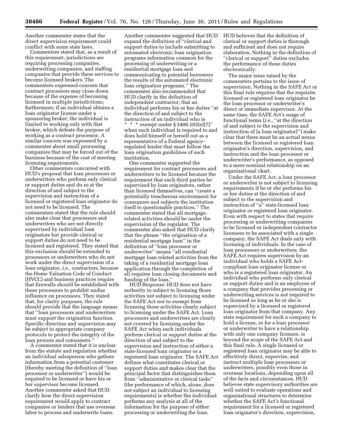Another commenter states that the direct supervision requirement could conflict with some state laws.

Commenters stated that, as a result of this requirement, jurisdictions are requiring processing companies, underwriting companies, and staffing companies that provide these services to become licensed brokers. The commenters expressed concern that contract processors may close down because of the expense of becoming licensed in multiple jurisdictions; furthermore, if an individual obtains a loan originator license under a sponsoring broker, the individual is limited to working only with that broker, which defeats the purpose of working as a contract processor. A similar concern was expressed by a commenter about small processing companies that may be forced out of the business because of the cost of meeting licensing requirements.

Other commenters concurred with HUD's proposal that loan processors or underwriters who perform only clerical or support duties and do so at the direction of and subject to the supervision and instruction of a licensed or registered loan originator do not need to be licensed. The commenters stated that the rule should also make clear that processors and underwriters who are not directly supervised by individual loan originators but provide clerical or support duties do not need to be licensed and registered. They stated that this exclusion should be extended to processors or underwriters who do not work under the direct supervision of a loan originator, *i.e.,* contractors, because the Home Valuation Code of Conduct (HVCC) and business practices require that firewalls should be established with these processors to prohibit undue influence on processors. They stated that, for clarity purposes, the rule should provide that the language means that ''loan processors and underwriters must support the origination function. Specific direction and supervision may be subject to appropriate company protocols to protect the integrity of the loan process and consumers.''

A commenter stated that it is unclear from the statute and regulation whether an individual salesperson who gathers information from a potential customer (thereby meeting the definition of ''loan processor or underwriter'') would be required to be licensed or have his or her supervisor become licensed. Another commenter asked that HUD clarify how the direct supervision requirement would apply to contract companies or lenders that use overseas labor to process and underwrite loans.

Another commenter suggested that HUD expand the definition of ''clerical and support duties to include submitting to automated electronic loan origination programs information common for the processing of underwriting or a residential mortgage loan and communicating to potential borrowers the results of the automated electronic loan origination programs.'' The commenter also recommended that HUD clarify in the definition of independent contractor, that an individual performs his or her duties ''at the direction of and subject to the instruction of an individual who is \* \* \* exempt under § 3400.103(e)(7)'' when such individual is required to and does hold himself or herself out as a representative of a Federal agencyregulated lender that must follow the loan origination guidelines of such

institution. One commenter supported the requirement for contract processors and underwriters to be licensed because the requirement that such third parties be supervised by loan originators, rather than licensed themselves, can ''create a potentially treacherous environment for consumers and subjects the institution itself to questionable practices.'' The commenter stated that all mortgagerelated activities should be under the supervision of the regulator. The commenter also asked that HUD clarify that the phrase ''the origination of a residential mortgage loan'' in the definition of ''loan processor or underwriter'' means ''all residential mortgage loan related activities from the taking of a residential mortgage loan application through the completion of all requires loan closing documents and funding of the loan.''

*HUD Response:* HUD does not have authority to subject to licensing those activities not subject to licensing under the SAFE Act nor to exempt from licensing those activities clearly subject to licensing under the SAFE Act. Loan processors and underwriters are clearly not covered by licensing under the SAFE Act when such individuals perform clerical or support duties at the direction of and subject to the supervision and instruction of either a state-licensed loan originator or a registered loan originator. The SAFE Act defines what constitutes clerical or support duties and makes clear that the principal factor that distinguishes them from ''administrative or clerical tasks'' (the performance of which, alone, does not subject an individual to licensing requirements) is whether the individual performs any analysis at all of the information for the purpose of either processing or underwriting the loan.

HUD believes that the definition of clerical or support duties is thorough and sufficient and does not require elaboration. Nothing in the definition of ''clerical or support'' duties excludes the performance of these duties electronically.

The major issue raised by the commenters pertains to the issue of supervision. Nothing in the SAFE Act or this final rule requires that the requisite licensed or registered loan originator be the loan processor or underwriter's direct or immediate supervisor. At the same time, the SAFE Act's usage of functional terms (*i.e.,* ''at the direction of and subject to the supervision and instruction of [a loan originator]'') make clear that there must be an actual nexus between the licensed or registered loan originator's direction, supervision, and instruction and the loan processor or underwriter's performance, as opposed to a mere nominal relationship on an organizational chart.

Under the SAFE Act, a loan processor or underwriter is not subject to licensing requirements if he or she performs his or her duties at the direction of and subject to the supervision and instruction of ''a'' state-licensed loan originator or registered loan originator. Even with respect to states that require processing or underwriting companies to be licensed or independent contractor licensees to be associated with a single company, the SAFE Act deals only with licensing of individuals. In the case of loan processors or underwriters, the SAFE Act requires supervision by an individual who holds a SAFE Actcompliant loan originator license or who is a registered loan originator. An individual who performs only clerical or support duties and is an employee of a company that provides processing or underwriting services is not required to be licensed so long as he or she is supervised by a licensed or registered loan originator from that company. Any state requirement for such a company to hold a license, or for a loan processor or underwriter to have a relationship with only one company licensee, is beyond the scope of the SAFE Act and this final rule. A single licensed or registered loan originator may be able to effectively direct, supervise, and instruct multiple loan processors or underwriters, possibly even those in overseas locations, depending upon all of the facts and circumstances. HUD believes state supervisory authorities are well suited to evaluate operations and organizational structures to determine whether the SAFE Act's functional requirement for a licensed or registered loan originator's direction, supervision,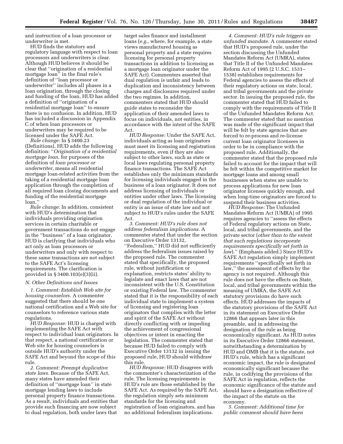and instruction of a loan processor or underwriter is met.

HUD finds the statutory and regulatory language with respect to loan processors and underwriters is clear. Although HUD believes it should be clear that ''origination of a residential mortgage loan'' in the final rule's definition of ''loan processor or underwriter'' includes all phases in a loan origination, through the closing and funding of the loan, HUD has added a definition of ''origination of a residential mortgage loan'' to ensure there is no confusion. In addition, HUD has included a discussion in Appendix C of when loan processors or underwriters may be required to be licensed under the SAFE Act.

*Rule change:* In § 3400.23 (Definitions), HUD adds the following definition: ''*Origination of a residential mortgage loan,* for purposes of the definition of *loan processor or underwriter,* means all residential mortgage loan-related activities from the taking of a residential mortgage loan application through the completion of all required loan closing documents and funding of the residential mortgage loan.''

*Rule change:* In addition, consistent with HUD's determination that individuals providing origination services in certain charitable or government transactions do not engage in the ''business'' of a loan originator, HUD is clarifying that individuals who act only as loan processors or underwriters and only with respect to these same transactions are not subject to the SAFE Act's licensing requirements. The clarification is provided in § 3400.103(e)(3)(ii).

#### *N. Other Definitions and Issues*

*1. Comment: Establish Web site for housing counselors.* A commenter suggested that there should be one national certification and a Web site for counselors to reference various state regulations.

*HUD Response:* HUD is charged with implementing the SAFE Act with respect to individual loan originators. In that respect, a national certification or Web site for housing counselors is outside HUD's authority under the SAFE Act and beyond the scope of this rule.

*2. Comment: Preempt duplicative state laws.* Because of the SAFE Act, many states have amended their definition of ''mortgage loan'' in state mortgage lending laws to include personal property finance transactions. As a result, individuals and entities that provide such financing are now subject to dual regulation, both under laws that

target sales finance and installment loans (*e.g.,* where, for example, a state views manufactured housing as personal property and a state requires licensing for personal property transactions in addition to licensing as a mortgage loan originator under the SAFE Act). Commenters asserted that dual regulation is unfair and leads to duplication and inconsistency between charges and disclosures required under the two regimes. In addition, commenters stated that HUD should guide states to reconsider the application of their amended laws to focus on individuals, not entities, in accordance with the intent of the SAFE Act.

*HUD Response:* Under the SAFE Act, individuals acting as loan originators must meet its licensing and registration requirements, even if they are also subject to other laws, such as state or local laws regulating personal property finance transactions. The SAFE Act establishes only the minimum standards for licensing individuals engaged in the business of a loan originator. It does not address licensing of individuals or entities under other laws. The licensing or dual regulation of the individual or entity is an issue of state law and not subject to HUD's rules under the SAFE Act.

*3. Comment: HUD's rule does not address federalism implications.* A commenter stated that under the section on Executive Order 13132, ''Federalism,'' HUD did not sufficiently address the federalism issues raised by the proposed rule. The commenter stated that specifically, the proposed rule, without justification or explanation, restricts states' ability to legislate and enact laws that are not inconsistent with the U.S. Constitution or existing Federal law. The commenter stated that it is the responsibility of each individual state to implement a system of licensing and registering loan originators that complies with the letter and spirit of the SAFE Act without directly conflicting with or impeding the achievement of congressional objectives or intent in enacting the legislation. The commenter stated that because HUD failed to comply with Executive Order 13132 in issuing the proposed rule, HUD should withdraw this rule.

*HUD Response:* HUD disagrees with the commenter's characterization of the rule. The licensing requirements in HUD's rule are those established by the SAFE Act. As required by the SAFE Act, the regulation simply sets minimum standards for the licensing and registration of loan originators, and has no additional federalism implications.

*4. Comment: HUD's rule triggers an unfunded mandate.* A commenter stated that HUD's proposed rule, under the section discussing the Unfunded Mandates Reform Act (UMRA), states that Title II of the Unfunded Mandates Reform Act of 1995 (2 U.S.C. 1531– 1538) establishes requirements for Federal agencies to assess the effects of their regulatory actions on state, local, and tribal governments and the private sector. In issuing the proposed rule, the commenter stated that HUD failed to comply with the requirements of Title II of the Unfunded Mandates Reform Act. The commenter stated that no mention was made of the significant impact that will be felt by state agencies that are forced to re-process and re-license current loan originator licensees in order to be in compliance with the proposed rule. Additionally, the commenter stated that the proposed rule failed to account for the impact that will be felt within the competitive market for mortgage loans and among small businesses when states are unable to process applications for new loan originator licenses quickly enough, and when long-time originators are forced to suspend their business activities.

*HUD Response:* The Unfunded Mandates Reform Act (UMRA) of 1995 requires agencies to ''assess the effects of Federal regulatory actions on State, local, and tribal governments, and the private sector (*other than to the extent that such regulations incorporate requirements specifically set forth in law*).'' (Emphasis added.) Since HUD's SAFE Act regulation simply implement requirements ''specifically set forth in law,'' the assessment of effects by the agency is not required. Although this rule does not have the effects on State, local, and tribal governments within the meaning of UMRA, the SAFE Act statutory provisions do have such effects. HUD addresses the impacts of the statutory provisions of the SAFE Act in its statement on Executive Order 12866 that appears later in this preamble, and in addressing the designation of the rule as being economically significant. As HUD notes in its Executive Order 12866 statement, notwithstanding a determination by HUD and OMB that it is the statute, not HUD's rule, which has a significant economic impact, the rule is designated economically significant because the rule, in codifying the provisions of the SAFE Act in regulation, reflects the economic significance of the statute and should have a designation reflective of the impact of the statute on the economy.

*5. Comment: Additional time for public comment should have been*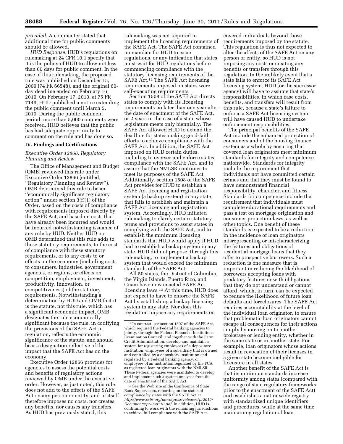*provided.* A commenter stated that additional time for public comments should be allowed.

*HUD Response:* HUD's regulations on rulemaking at 24 CFR 10.1 specify that it is the policy of HUD to allow not less than 60 days for public comment. In the case of this rulemaking, the proposed rule was published on December 15, 2009 (74 FR 66548), and the original 60 day deadline ended on February 16, 2010. On February 17, 2010, at 75 FR 7149, HUD published a notice extending the public comment until March 5, 2010. During the public comment period, more than 5,000 comments were received. HUD believes that the public has had adequate opportunity to comment on the rule and has done so.

#### **IV. Findings and Certifications**

#### *Executive Order 12866, Regulatory Planning and Review*

The Office of Management and Budget (OMB) reviewed this rule under Executive Order 12866 (entitled, ''Regulatory Planning and Review''). OMB determined this rule to be an ''economically significant regulatory action'' under section 3(f)(1) of the Order, based on the costs of compliance with requirements imposed directly by the SAFE Act, and based on costs that have already been incurred and would be incurred notwithstanding issuance of any rule by HUD. Neither HUD nor OMB determined that this rule adds to these statutory requirements, to the cost of compliance with these statutory requirements, or to any costs to or effects on the economy (including costs to consumers, industries, government agencies, or regions, or effects on competition, employment, investment, productivity, innovation, or competitiveness) of the statutory requirements. Notwithstanding a determination by HUD and OMB that it is the statute, not this rule, which has a significant economic impact, OMB designates the rule economically significant because the rule, in codifying the provisions of the SAFE Act in regulation, reflects the economic significance of the statute, and should bear a designation reflective of the impact that the SAFE Act has on the economy.

Executive Order 12866 provides for agencies to assess the potential costs and benefits of regulatory actions reviewed by OMB under the executive order. However, as just noted, this rule does not add to the effects of the SAFE Act on any person or entity, and in itself therefore imposes no costs, nor creates any benefits, nor causes any transfers. As HUD has previously stated, this

rulemaking was not required to implement the licensing requirements of the SAFE Act. The SAFE Act contained no mandate for HUD to issue regulations, or any indication that states must wait for HUD regulations before commencing compliance with the statutory licensing requirements of the SAFE Act.12 The SAFE Act licensing requirements imposed on states were self-executing requirements.

Section 1508 of the SAFE Act directs states to comply with its licensing requirements no later than one year after the date of enactment of the SAFE Act, or 2 years in the case of a state whose legislature meets only biennially. The SAFE Act allowed HUD to extend the deadline for states making good-faith efforts to achieve compliance with the SAFE Act. In addition, the SAFE Act imposed on HUD certain duties, including to oversee and enforce states' compliance with the SAFE Act, and to assure that the NMLSR continues to meet its purposes of the SAFE Act. Additionally, section 1508 of the SAFE Act provides for HUD to establish a SAFE Act licensing and registration system (a backup system) in any state that fails to establish and maintain a SAFE Act licensing and registration system. Accordingly, HUD initiated rulemaking to clarify certain statutory terms and provisions to assist states in complying with the SAFE Act, and to establish the minimum licensing standards that HUD would apply if HUD had to establish a backup system in any state. HUD did not propose, through this rulemaking, to implement a backup system that would exceed the minimum standards of the SAFE Act.

All 50 states, the District of Columbia, the Virgin Islands, Puerto Rico, and Guam have now enacted SAFE Act licensing laws.13 At this time, HUD does not expect to have to enforce the SAFE Act by establishing a backup licensing system in any state. Nor does this regulation impose any requirements on

13See the Web site of the Conference of State Bank Supervisors, reporting on the status of compliance by states with the SAFE Act at *[http://www.csbs.org/news/press-releases/pr2010/](http://www.csbs.org/news/press-releases/pr2010/Documents/pr-060110.pdf) [Documents/pr-060110.pdf.](http://www.csbs.org/news/press-releases/pr2010/Documents/pr-060110.pdf)* In addition, HUD is continuing to work with the remaining jurisdictions to achieve full compliance with the SAFE Act.

covered individuals beyond those requirements imposed by the statute. This regulation is thus not expected to alter the affects of the SAFE Act on any person or entity, so HUD is not imposing any costs or creating any benefits or transfers through this regulation. In the unlikely event that a state fails to enforce its SAFE Act licensing system, HUD (or the successor agency) will have to assume that state's responsibilities, in which case costs, benefits, and transfers will result from this rule, because a state's failure to enforce a SAFE Act licensing system will have caused HUD to undertake enforcement responsibilities.

The principal benefits of the SAFE Act include the enhanced protection of consumers and of the housing finance system as a whole by ensuring that covered loan originators meet minimum standards for integrity and competence nationwide. Standards for integrity include the requirement that individuals not have committed certain crimes and that they must be found to have demonstrated financial responsibility, character, and fitness. Standards for competence include the requirement that individuals must complete educational requirements and pass a test on mortgage origination and consumer protection laws, as well as other topics. One benefit of these standards is expected to be a reduction in the incidence of loan originators misrepresenting or mischaracterizing the features and obligations of residential mortgage loans that they offer to prospective borrowers. Such a reduction is one measure that is important in reducing the likelihood of borrowers accepting loans with predatory features or with obligations that they do not understand or cannot afford, which, in turn, can be expected to reduce the likelihood of future loan defaults and foreclosures. The SAFE Act requires accountability at the level of the individual loan originator, to ensure that problematic loan originators cannot escape all consequences for their actions simply by moving on to another brokerage or lending entity, whether in the same state or in another state. For example, loan originators whose actions result in revocation of their licenses in a given state become ineligible for licensure in all states.

Another benefit of the SAFE Act is that its minimum standards increase uniformity among states (compared with the range of state regulatory frameworks prior to the enactment of the SAFE Act) and establishes a nationwide registry with standardized unique identifiers and procedures, while at the same time maintaining regulation of loan

<sup>12</sup> In contrast, see section 1507 of the SAFE Act, which required the Federal banking agencies to jointly, through the Federal Financial Institutions Examination Council, and together with the Farm Credit Administration, develop and maintain a system for registering employees of a depository institution, employees of a subsidiary that is owned and controlled by a depository institution and regulated by a Federal banking agency, or employees of an institution regulated by the FCA as registered loan originators with the NMLSR. These Federal agencies were mandated to develop and implement such a system one year from the date of enactment of the SAFE Act.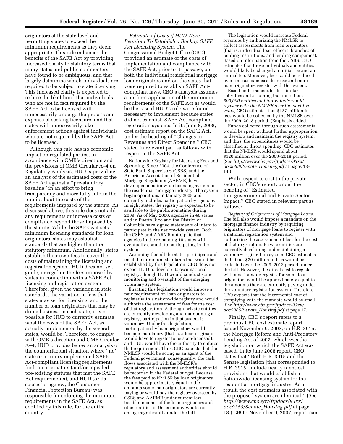originators at the state level and permitting states to exceed the minimum requirements as they deem appropriate. This rule enhances the benefits of the SAFE Act by providing increased clarity to statutory terms that many states and public commenters have found to be ambiguous, and that largely determine which individuals are required to be subject to state licensing. This increased clarity is expected to reduce the likelihood that individuals who are not in fact required by the SAFE Act to be licensed will unnecessarily undergo the process and expense of seeking licensure, and that states will unnecessarily take enforcement actions against individuals who are not required by the SAFE Act to be licensed.

Although this rule has no economic impact on regulated parties, in accordance with OMB's direction and the provisions of OMB Circular A–4 on Regulatory Analysis, HUD is providing an analysis of the estimated costs of the SAFE Act against a ''pre-statutory baseline'' in an effort to bring transparency and more fully inform the public about the costs of the requirements imposed by the statute. As discussed above, this rule does not add any requirements or increase costs of compliance beyond those imposed by the statute. While the SAFE Act sets minimum licensing standards for loan originators, states may establish standards that are higher than the statutory minimum. Additionally, states establish their own fees to cover the costs of maintaining the licensing and registration system. HUD does not set, guide, or regulate the fees imposed by states in connection with a SAFE Act licensing and registration system. Therefore, given the variation in state standards, the variation in fees that states may set for licensing, and the number of loan originators that may be doing business in each state, it is not possible for HUD to currently estimate what the costs of the SAFE Act, as actually implemented by the several states, would be. Therefore, to comply with OMB's direction and OMB Circular A–4, HUD provides below an analysis of the counterfactual situation where ''no'' state or territory implemented SAFE Act-compliant licensing requirements for loan originators (and/or repealed pre-existing statutes that met the SAFE Act requirements), and HUD (or its successor agency, the Consumer Financial Protection Bureau) was responsible for enforcing the minimum requirements in the SAFE Act, as codified by this rule, for the entire country.

*Estimate of Costs if HUD Were Required To Establish a Backup SAFE Act Licensing System.* The Congressional Budget Office (CBO) provided an estimate of the costs of implementation and compliance with the SAFE Act, prior to its passage, on both the individual residential mortgage loan originators and on the states that were required to establish SAFE Actcompliant laws. CBO's analysis assumes a uniform application of the minimum requirements of the SAFE Act as would be the case if HUD's rule were found necessary to implement because states did not establish SAFE Act-compliant registration systems. In its June 8, 2008, cost estimate report on the SAFE Act, under the heading of ''Changes in Revenues and Direct Spending,'' CBO stated in relevant part as follows with respect to the SAFE Act.

Nationwide Registry for Licensing Fees and Spending. Since 2004, the Conference of State Bank Supervisors (CSBS) and the American Association of Residential Mortgage Regulators (AARMR) have developed a nationwide licensing system for the residential mortgage industry. The system began operations in January 2008 and currently includes participation by agencies in eight states; the registry is expected to be available to the public sometime during 2009. As of May 2008, agencies in 40 states and in Puerto Rico and the District of Columbia have signed statements of intent to participate in the nationwide system. Both the CSBS and AARMR anticipate that agencies in the remaining 10 states will eventually commit to participating in the system.

Assuming that all the states participate and meet the minimum standards that would be established by this legislation, CBO does not expect HUD to develop its own national registry, though HUD would conduct some monitoring and oversight of the emerging voluntary system.

Enacting this legislation would impose a new requirement on loan originators to register with a nationwide registry and would authorize the assessment of fees for the cost of that registration. Although private entities are currently developing and maintaining a registry, participation in that system is voluntary. Under this legislation, participation by loan originators would become mandatory (that is, a loan originator would have to register to be state-licensed), and HUD would have the authority to enforce that requirement. Thus, CBO expects that the NMLSR would be acting as an agent of the Federal government; consequently, the cash flows associated with the NMLSR's regulatory and assessment authorities should be recorded in the Federal budget. Because the fees paid to NMLSR by loan originators would be approximately equal to the amounts some loan originators are currently paying or would pay the registry overseen by CSBS and AARMR under current law, taxable incomes of the loan originators and other entities in the economy would not change significantly under the bill.

The legislation would increase Federal revenues by authorizing the NMLSR to collect assessments from loan originators (that is, individual loan officers, branches of lending institutions, and lending companies). Based on information from the CSBS, CBO estimates that those individuals and entities would likely be charged an initial fee and an annual fee. Moreover, fees could be reduced over time as expenses decrease and more loan originators register with the system.

Based on fee schedules for similar activities and assuming that more than *300,000 entities and individuals would register with the NMLSR over the next five years,* CBO estimates that \$137 million in fees would be collected by the NMLSR over the 2009–2018 period. (Emphasis added.)

Funds collected through such assessments would be spent without further appropriation to develop and maintain the registry system, and thus, the expenditures would be classified as direct spending. CBO estimates that the NMLSR would spend about \$120 million over the 2009–2018 period. (See *[http://www.cbo.gov/ftpdocs/93xx/](http://www.cbo.gov/ftpdocs/93xx/doc9366/Senate_Housing.pdf) [doc9366/Senate](http://www.cbo.gov/ftpdocs/93xx/doc9366/Senate_Housing.pdf)*\_*Housing.pdf* at pages 13– 14.)

With respect to cost to the private sector, in CBO's report, under the heading of ''Estimated Intergovernmental and Private-Sector Impact,'' CBO stated in relevant part as follows:

*Registry of Originators of Mortgage Loans.*  The bill also would impose a mandate on the mortgage finance industry by requiring originators of mortgage loans to register with a national registration system and authorizing the assessment of fees for the cost of that registration. Private entities are currently developing and maintaining a voluntary registration system. CBO estimates that about \$70 million in fees would be collected over the 2009–2013 period under the bill. However, the direct cost to register with a nationwide registry for some loan originators would be approximately equal to the amounts they are currently paying under the voluntary registration system. Therefore, CBO expects that the incremental cost of complying with the mandate would be small. (See *[http://www.cbo.gov/ftpdocs/93xx/](http://www.cbo.gov/ftpdocs/93xx/doc9366/Senate_Housing.pdf) [doc9366/Senate](http://www.cbo.gov/ftpdocs/93xx/doc9366/Senate_Housing.pdf)*\_*Housing.pdf* at page 17.)

Finally, CBO's report refers to a previous CBO cost estimate report, issued November 9, 2007, on H.R. 3915, the Mortgage Reform and Anti-Predatory Lending Act of 2007, which was the legislation on which the SAFE Act was based. In its June 2008 report, CBO states that ''Both H.R. 3915 and the Senate legislation [that corresponded to H.R. 3915] include nearly identical provisions that would establish a nationwide licensing system for the residential mortgage industry. As a result, the cost estimates associated with the proposed system are identical.'' (See *[http://www.cbo.gov/ftpdocs/93xx/](http://www.cbo.gov/ftpdocs/93xx/doc9366/Senate_Housing.pdf) [doc9366/Senate](http://www.cbo.gov/ftpdocs/93xx/doc9366/Senate_Housing.pdf)*\_*Housing.pdf* at page 18.) CBO's November 9, 2007, report can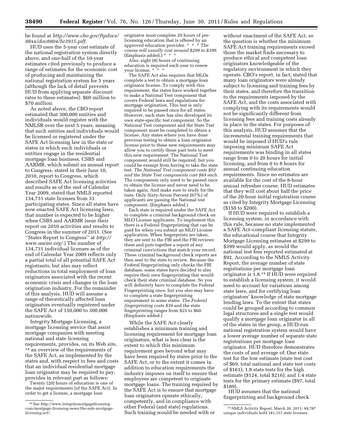#### be found at *[http://www.cbo.gov/ftpdocs/](http://www.cbo.gov/ftpdocs/88xx/doc8804/hr3915.pdf) [88xx/doc8804/hr3915.pdf.](http://www.cbo.gov/ftpdocs/88xx/doc8804/hr3915.pdf)*

HUD uses the 5-year cost estimate of the national registration system directly above, and one-half of the 10-year estimates cited previously to produce a range of estimates for the economic cost of producing and maintaining the national registration system for 5 years (although the lack of detail prevents HUD from applying separate discount rates to these estimates): \$60 million to \$70 million.

As noted above, the CBO report estimated that 300,000 entities and individuals would register with the NMLSR over the next 5 years, meaning that such entities and individuals would be licensed or registered under the SAFE Act licensing law in the state or states in which such individuals or entities engage in the residential mortgage loan business. CSBS and AARMR, which submit an annual report to Congress, stated in their June 10, 2010, report to Congress, which described SAFE Act licensing activities and results as of the end of Calendar Year 2009, stated that NMLS reported 134,731 state licenses from 33 participating states. Since all states have now enacted SAFE Act licensing laws, that number is expected to be higher when CSBS and AARMR issue their report on 2010 activities and results to Congress in the summer of 2011. (See ''States Report to Congress'' at *[http://](http://www.aarmr.org/) [www.aarmr.org/.](http://www.aarmr.org/)*) The number of 134,731 individual licenses as of the end of Calendar Year 2009 reflects only a partial total of all potential SAFE Act registrants, but also may reflect reductions in total employment of loan originators associated with the recent economic crisis and changes in the loan origination industry. For the remainder of this analysis, HUD will assume a range of theoretically affected loan originators eventually registered under the SAFE Act of 150,000 to 300,000 nationwide.

Integrity Mortgage Licensing, a mortgage licensing service that assist mortgage companies with meeting national and state licensing requirements, provides, on its Web site, 14 an overview of the requirements of the SAFE Act, as implemented by the states and, with respect to fees and costs that an individual residential mortgage loan originator may be required to pay, provides in relevant part as follows:

Twenty (20) hours of education is one of the major requirements [of the SAFE Act]. In order to get a license, a mortgage loan

originator must complete 20 hours of prelicensing education that is offered by an approved education provider. \* \* \* *The course will usually cost around \$299 to \$399.*  (Emphasis added.) \* \* \*

Also, eight (8) hours of continuing education is required each year to renew your license. \*

The SAFE Act also requires that MLOs complete a test to obtain a mortgage loan originator license. To comply with this requirement, the states have worked together to make a National Test component that covers Federal laws and regulations for mortgage origination. This test is only required to be passed once for all states. However, each state has also developed its own state-specific test component. So the National Test component and the State Test component must be completed to obtain a license. Any states where you have done previous testing to obtain a loan originator license prior to these new requirements may allow you to certify those past tests to meet this new requirement. The National Test component would still be required, but you could be exempt from having to take the state test. *The National Test component costs \$92 and the State Test components cost \$69 each.*  The components only need to be passed once to obtain the license and never need to be taken again. And make sure to study for the tests. Only Sixty-Seven Percent (67%) of applicants are passing the National test component. (Emphasis added.)

Each state is required under the SAFE Act to complete a criminal background check on MLO License applicants. To implement this there is a Federal fingerprinting that can be paid for when you submit an MLO License application. When fingerprints are taken, they are sent to the FBI and the FBI reviews them and puts together a report of any criminal convictions that match your record. These criminal background check reports are then sent to the state to review. Because the Federal fingerprinting only checks the FBI database, some states have decided to also require their own fingerprinting that would check their state criminal database. So you will definitely have to complete the Federal Fingerprinting once, but you also may have to complete a state fingerprinting requirement in some states. *The Federal fingerprinting costs \$39* and the state fingerprinting ranges from \$25 to \$60. (Emphasis added.)

While the SAFE Act clearly establishes a minimum training and licensing requirement for mortgage loan originators, what is less clear is the extent to which this minimum requirement goes beyond what may have been required by states prior to the SAFE Act, or to the extent it comes in addition to education requirements the industry imposes on itself to ensure that employees are competent to originate mortgage loans. The training required by the SAFE Act is to ensure that mortgage loan originators operate ethically, competently, and in compliance with other Federal (and state) regulations. Such training would be needed with or

without enactment of the SAFE Act, so the question is whether the minimum SAFE Act training requirements exceed those the market finds necessary to produce ethical and competent loan originators knowledgeable of the regulatory environment in which they operate. CBO's report, in fact, stated that many loan originators were already subject to licensing and training fees by their states, and therefore the transition to the requirements imposed by the SAFE Act, and the costs associated with complying with its requirements would not be significantly different from licensing fees and training costs already in place in the states. For purposes of this analysis, HUD assumes that the incremental training requirements that would be imposed if HUD's rule imposing minimum SAFE Act requirements was binding in all states range from 0 to 20 hours for initial licensing, and from 0 to 8 hours for annual continuing education requirements. Since no estimates are available for the cost of the 8-hour annual refresher course, HUD estimates that they will cost about half the price of the 20-hour initial registration course as cited by Integrity Mortgage Licensing (\$150 to \$200).

If HUD were required to establish a licensing system, in accordance with this rule, because no state implemented a SAFE Act–compliant licensing statute, the educational course that Integrity Mortgage Licensing estimates at \$299 to \$399 would apply, as would the national test fees reported estimated at \$92. According to the NMLS Activity Report, the average number of state registrations per mortgage loan originator is 1.8.15 If HUD were required to establish a licensing system, it would need to account for variations among state laws, and for certifying loan originators' knowledge of state mortgage lending laws. To the extent that states could be grouped according to common legal structures and a single test would qualify a mortgage loan originator in all of the states in the group, a HUD-run national registration system would have a lower average number of separate state registrations per mortgage loan originator. HUD therefore demonstrates the costs of and average of: One state test for the low estimate (state test cost of \$69, total national and state test costs of \$161); 1.8 state tests for the high estimate (\$124, total \$216); and 1.4 state tests for the primary estimate (\$97, total \$189).

HUD assumes that the national fingerprinting and background check

<sup>14</sup>See *[http://www.integritymortgagelicensing.](http://www.integritymortgagelicensing.com/mortgage-licensing-news/the-safe-mortgage-licensing-act/) [com/mortgage-licensing-news/the-safe-mortgage](http://www.integritymortgagelicensing.com/mortgage-licensing-news/the-safe-mortgage-licensing-act/)[licensing-act/.](http://www.integritymortgagelicensing.com/mortgage-licensing-news/the-safe-mortgage-licensing-act/)* 

<sup>15</sup>NMLS Activity Report, March 26, 2011: 99,787 unique individuals hold 181,157 state licenses.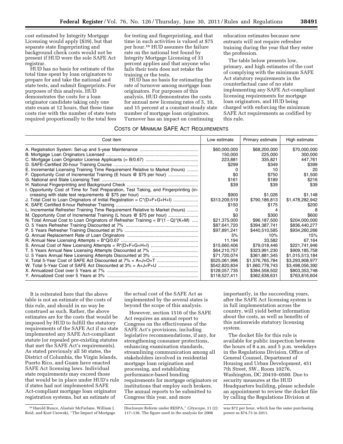education estimates because new entrants will not require refresher training during the year that they enter

The table below presents low, primary, and high estimates of the cost of complying with the minimum SAFE Act statutory requirements in the counterfactual case of no state

implementing any SAFE Act-compliant licensing requirements for mortgage loan originators, and HUD being charged with enforcing the minimum SAFE Act requirements as codified by

the profession.

this rule.

cost estimated by Integrity Mortgage Licensing would apply (\$39), but that separate state fingerprinting and background check costs would not be present if HUD were the sole SAFE Act registrar.

HUD has no basis for estimate of the total time spent by loan originators to prepare for and take the national and state tests, and submit fingerprints. For purposes of this analysis, HUD demonstrates the costs for a loan originator candidate taking only one state exam at 12 hours, that these time costs rise with the number of state tests required proportionally to the total fees

for testing and fingerprinting, and that time in such activities is valued at \$75 per hour.16 HUD assumes the failure rate on the national test found by Integrity Mortgage Licensing of 33 percent applies and that anyone who fails their tests does not retake the training or the tests.

HUD has no basis for estimating the rate of turnover among mortgage loan originators. For purposes of this analysis, HUD demonstrates the costs for annual new licensing rates of 5, 10, and 15 percent at a constant steady state number of mortgage loan originators. Turnover has an impact on continuing

### COSTS OF MINIMUM SAFE ACT REQUIREMENTS

| 00010 01 INIININONI 07 \L L 7 \OT TIEWOILIENIEN I O                                    |               |                  |                 |
|----------------------------------------------------------------------------------------|---------------|------------------|-----------------|
| Cost item                                                                              | Low estimate  | Primary estimate | High estimate   |
|                                                                                        | \$60,000,000  | \$68,200,000     | \$70,000,000    |
|                                                                                        | 150,000       | 225,000          | 300,000         |
|                                                                                        | 223,881       | 335,821          | 447.761         |
|                                                                                        | \$299         | \$349            | \$399           |
| E. Incremental Licensing Training Time Requirement Relative to Market (hours)          |               | 10               | 20              |
| F. Opportunity Cost of Incremental Training (E hours @ \$75 per hour)                  | \$0           | \$750            | \$1,500         |
|                                                                                        | \$161         | \$189            | \$216           |
|                                                                                        | \$39          | \$39             | \$39            |
| I. Opportunity Cost of Time for Test Preparation, Test Taking, and Fingerprinting (in- |               |                  |                 |
|                                                                                        | \$900         | \$1,026          | \$1,148         |
|                                                                                        | \$313,209,519 | \$790,186,813    | \$1,478,282,942 |
|                                                                                        | \$150         | \$175            | \$200           |
| L. Incremental Refresher Training Time Requirement Relative to Market (hours)          |               |                  |                 |
| M. Opportunity Cost of Incremental Training (L hours @ \$75 per hour)                  | \$0           | \$300            | \$600           |
| N. Total Annual Cost to Loan Originators of Refresher Training = $B^*(1-Q)^*(K+M)$     | \$21,375,000  | \$96,187,500     | \$204,000,000   |
|                                                                                        | \$87,641,720  | \$394,387,741    | \$836,440,277   |
|                                                                                        | \$97,891,241  | \$440,510,585    | \$934,260,266   |
|                                                                                        | 5%            | 10%              | 15%             |
|                                                                                        | 11,194        | 33,582           | 67.164          |
|                                                                                        | \$15,660,406  | \$79,018,446     | \$221,741,946   |
|                                                                                        | \$64,210,757  | \$323,991,230    | \$909,185,758   |
|                                                                                        | \$71,720,074  | \$361,881,345    | \$1,015,513,184 |
|                                                                                        | \$525,061,996 | \$1,576,765,784  | \$3,293,908,977 |
|                                                                                        | \$542,820,834 | \$1,660,778,743  | \$3,498,056,392 |
|                                                                                        | \$128,057,735 | \$384,558,502    | \$803,353,748   |
|                                                                                        | \$118,527,411 | \$362,638,631    | \$763,816,604   |

It is reiterated here that the above table is not an estimate of the costs of this rule, and should in no way be construed as such. Rather, the above estimates are for the costs that would be imposed by HUD to fulfill the statutory requirements of the SAFE Act if no state implemented any SAFE Act-compliant statute (or repealed pre-existing statutes that met the SAFE Act's requirements). As stated previously all 50 states, the District of Columbia, the Virgin Islands, Puerto Rico, and Guam have enacted SAFE Act licensing laws. Individual state requirements may exceed those that would be in place under HUD's rule if states had not implemented SAFE Act-compliant mortgage loan originator registration systems, but an estimate of

the actual cost of the SAFE Act as implemented by the several states is beyond the scope of this analysis.

However, section 1516 of the SAFE Act requires an annual report to Congress on the effectiveness of the SAFE Act's provisions, including legislative recommendations, if any, for strengthening consumer protections, enhancing examination standards, streamlining communication among all stakeholders involved in residential mortgage loan origination and processing, and establishing performance-based bonding requirements for mortgage originators or institutions that employ such brokers. The annual reports to be submitted to Congress this year, and more

importantly, in the succeeding years, after the SAFE Act licensing system is in full implementation across the country, will yield better information about the costs, as well as benefits of this nationwide statutory licensing system.

The docket file for this rule is available for public inspection between the hours of 8 a.m. and 5 p.m. weekdays in the Regulations Division, Office of General Counsel, Department of Housing and Urban Development, 451 7th Street, SW., Room 10276, Washington, DC 20410–0500. Due to security measures at the HUD Headquarters building, please schedule an appointment to review the docket file by calling the Regulations Division at

<sup>16</sup>Harold Bunce, Alastair McFarlane, William J. Reid, and Kurt Usowski, ''The Impact of Mortgage

Disclosure Reform under RESPA,'' *Cityscape,* 11 (2): 117–136. The figure used in the analysis for 2008

was \$72 per hour, which has the same purchasing power as \$74.73 in 2011.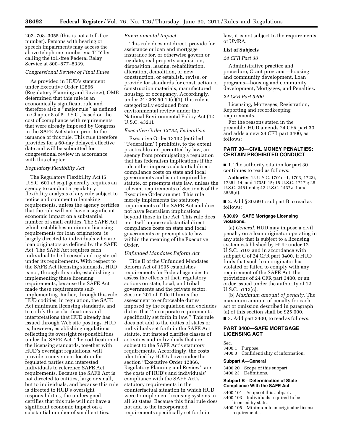202–708–3055 (this is not a toll-free number). Persons with hearing or speech impairments may access the above telephone number via TTY by calling the toll-free Federal Relay Service at 800–877–8339.

#### *Congressional Review of Final Rules*

As provided in HUD's statement under Executive Order 12866 (Regulatory Planning and Review), OMB determined that this rule is an economically significant rule and therefore also a ''major rule'' as defined in Chapter 8 of 5 U.S.C., based on the cost of compliance with requirements that were already imposed by Congress in the SAFE Act statute prior to the issuance of this rule. This rule therefore provides for a 60-day delayed effective date and will be submitted for congressional review in accordance with this chapter.

#### *Regulatory Flexibility Act*

The Regulatory Flexibility Act (5 U.S.C. 601 *et seq.*) generally requires an agency to conduct a regulatory flexibility analysis of any rule subject to notice and comment rulemaking requirements, unless the agency certifies that the rule will not have a significant economic impact on a substantial number of small entities. The SAFE Act, which establishes minimum licensing requirements for loan originators, is largely directed to individuals who are loan originators as defined by the SAFE Act. The SAFE Act requires each individual to be licensed and registered under its requirements. With respect to the SAFE Act licensing standards, HUD is not, through this rule, establishing or implementing these licensing requirements, because the SAFE Act made these requirements selfimplementing. Rather, through this rule, HUD codifies, in regulation, the SAFE Act minimum licensing standards, and to codify those clarifications and interpretations that HUD already has issued through Web site postings. HUD is, however, establishing regulations reflecting its oversight responsibilities under the SAFE Act. The codification of the licensing standards, together with HUD's oversight regulations, will provide a convenient location for regulated parties and interested individuals to reference SAFE Act requirements. Because the SAFE Act is not directed to entities, large or small, but to individuals, and because this rule is directed to HUD's oversight responsibilities, the undersigned certifies that this rule will not have a significant economic impact on a substantial number of small entities.

#### *Environmental Impact*

This rule does not direct, provide for assistance or loan and mortgage insurance for, or otherwise govern or regulate, real property acquisition, disposition, leasing, rehabilitation, alteration, demolition, or new construction, or establish, revise, or provide for standards for construction or construction materials, manufactured housing, or occupancy. Accordingly, under  $24$  CFR 50.19(c)(1), this rule is categorically excluded from environmental review under the National Environmental Policy Act (42 U.S.C. 4321).

#### *Executive Order 13132, Federalism*

Executive Order 13132 (entitled ''Federalism'') prohibits, to the extent practicable and permitted by law, an agency from promulgating a regulation that has federalism implications if the rule either imposes substantial direct compliance costs on state and local governments and is not required by statute, or preempts state law, unless the relevant requirements of Section 6 of the Executive Order are met. This rule merely implements the statutory requirements of the SAFE Act and does not have federalism implications beyond those in the Act. This rule does not itself impose substantial direct compliance costs on state and local governments or preempt state law within the meaning of the Executive Order.

#### *Unfunded Mandates Reform Act*

Title II of the Unfunded Mandates Reform Act of 1995 establishes requirements for Federal agencies to assess the effects of their regulatory actions on state, local, and tribal governments and the private sector. Section 201 of Title II limits the assessment to enforceable duties imposed by the regulation and excludes duties that ''incorporate requirements specifically set forth in law.'' This rule does not add to the duties of states or individuals set forth in the SAFE Act statute, but instead clarifies classes of activities and individuals that are subject to the SAFE Act's statutory requirements. Accordingly, the costs identified by HUD above under the section ''Executive Order 12866, Regulatory Planning and Review'' are the costs of HUD's and individuals' compliance with the SAFE Act's statutory requirements in the counterfactual situation in which HUD were to implement licensing systems in all 50 states. Because this final rule does not add to the incorporated requirements specifically set forth in

law, it is not subject to the requirements of UMRA.

#### **List of Subjects**

#### *24 CFR Part 30*

Administrative practice and procedure, Grant programs—housing and community development, Loan programs—housing and community development, Mortgages, and Penalties.

#### *24 CFR Part 3400*

Licensing, Mortgages, Registration, Reporting and recordkeeping requirements.

For the reasons stated in the preamble, HUD amends 24 CFR part 30 and adds a new 24 CFR part 3400, as follows:

#### **PART 30—CIVIL MONEY PENALTIES: CERTAIN PROHIBITED CONDUCT**

■ 1. The authority citation for part 30 continues to read as follows:

**Authority:** 12 U.S.C. 1701q–1, 1703, 1723i, 1735f–14, and 1735f–15; 15 U.S.C. 1717a; 28 U.S.C. 2461 note; 42 U.S.C. 1437z–1 and 3535(d).

■ 2. Add § 30.69 to subpart B to read as follows:

#### **§ 30.69 SAFE Mortgage Licensing violations.**

(a) *General.* HUD may impose a civil penalty on a loan originator operating in any state that is subject to a licensing system established by HUD under 12 U.S.C. 5107 and in accordance with subpart C of 24 CFR part 3400, if HUD finds that such loan originator has violated or failed to comply with any requirement of the SAFE Act, the provisions of 24 CFR part 3400, or an order issued under the authority of 12 U.S.C. 5113(c).

(b) *Maximum amount of penalty.* The maximum amount of penalty for each act or omission described in paragraph (a) of this section shall be \$25,000. ■ 3. Add part 3400, to read as follows:

#### **PART 3400—SAFE MORTGAGE LICENSING ACT**

#### Sec.

3400.1 Purpose.

3400.3 Confidentiality of information.

#### **Subpart A—General**

3400.20 Scope of this subpart. 3400.23 Definitions.

#### **Subpart B—Determination of State Compliance With the SAFE Act**

3400.101 Scope of this subpart.

- 3400.103 Individuals required to be licensed by states.
- 3400.105 Minimum loan originator license requirements.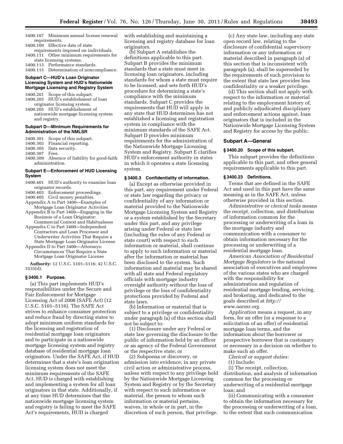- 3400.107 Minimum annual license renewal requirements.
- 3400.109 Effective date of state requirements imposed on individuals.
- 3400.111 Other minimum requirements for state licensing systems.
- 3400.113 Performance standards.
- 3400.115 Determination of noncompliance.

#### **Subpart C—HUD's Loan Originator Licensing System and HUD's Nationwide Mortgage Licensing and Registry System**

- 3400.201 Scope of this subpart. 3400.203 HUD's establishment of loan
- originator licensing system. 3400.205 HUD's establishment of nationwide mortgage licensing system and registry.

#### **Subpart D—Minimum Requirements for Administration of the NMLSR**

3400.301 Scope of this subpart. 3400.303 Financial reporting. 3400.305 Data security. 3400.307

3400.309 Absence of liability for good-faith administration.

#### **Subpart E—Enforcement of HUD Licensing System**

- 3400.401 HUD's authority to examine loan
- originator records. 3400.403 Enforcement proceedings.
- 3400.405 Civil money penalties.
- Appendix A to Part 3400—Examples of
- Mortgage Loan Originator Activities
- Appendix B to Part 3400—Engaging in the Business of a Loan Originator:
- Commercial Context and Habitualness Appendix C to Part 3400—Independent Contractors and Loan Processor and Underwriter Activities That Require a
- State Mortgage Loan Originator License Appendix D to Part 3400—Attorneys: Circumstances That Require a State
- Mortgage Loan Originator License **Authority:** 12 U.S.C. 5101–5116; 42 U.S.C.

3535(d).

#### **§ 3400.1 Purpose.**

(a) This part implements HUD's responsibilities under the Secure and Fair Enforcement for Mortgage Licensing Act of 2008 (SAFE Act) (12 U.S.C. 5101–5116). The SAFE Act strives to enhance consumer protection and reduce fraud by directing states to adopt minimum uniform standards for the licensing and registration of residential mortgage loan originators and to participate in a nationwide mortgage licensing system and registry database of residential mortgage loan originators. Under the SAFE Act, if HUD determines that a state's loan origination licensing system does not meet the minimum requirements of the SAFE Act, HUD is charged with establishing and implementing a system for all loan originators in that state. Additionally, if at any time HUD determines that the nationwide mortgage licensing system and registry is failing to meet the SAFE Act's requirements, HUD is charged

with establishing and maintaining a licensing and registry database for loan originators.

(b) Subpart A establishes the definitions applicable to this part. Subpart B provides the minimum standards that a state must meet in licensing loan originators, including standards for whom a state must require to be licensed, and sets forth HUD's procedure for determining a state's compliance with the minimum standards. Subpart C provides the requirements that HUD will apply in any state that HUD determines has not established a licensing and registration system in compliance with the minimum standards of the SAFE Act. Subpart D provides minimum requirements for the administration of the Nationwide Mortgage Licensing System and Registry. Subpart E clarifies HUD's enforcement authority in states in which it operates a state licensing system.

#### **§ 3400.3 Confidentiality of information.**

(a) Except as otherwise provided in this part, any requirement under Federal or state law regarding the privacy or confidentiality of any information or material provided to the Nationwide Mortgage Licensing System and Registry or a system established by the Secretary under this part, and any privilege arising under Federal or state law (including the rules of any Federal or state court) with respect to such information or material, shall continue to apply to such information or material after the information or material has been disclosed to the system. Such information and material may be shared with all state and Federal regulatory officials with mortgage industry oversight authority without the loss of privilege or the loss of confidentiality protections provided by Federal and state laws.

(b) Information or material that is subject to a privilege or confidentiality under paragraph (a) of this section shall not be subject to:

(1) Disclosure under any Federal or state law governing the disclosure to the public of information held by an officer or an agency of the Federal Government or the respective state; or

(2) Subpoena or discovery, or admission into evidence, in any private civil action or administrative process, unless with respect to any privilege held by the Nationwide Mortgage Licensing System and Registry or by the Secretary with respect to such information or material, the person to whom such information or material pertains, waives, in whole or in part, in the discretion of such person, that privilege.

(c) Any state law, including any state open record law, relating to the disclosure of confidential supervisory information or any information or material described in paragraph (a) of this section that is inconsistent with paragraph (a), shall be superseded by the requirements of such provision to the extent that state law provides less confidentiality or a weaker privilege.

(d) This section shall not apply with respect to the information or material relating to the employment history of, and publicly adjudicated disciplinary and enforcement actions against, loan originators that is included in the Nationwide Mortgage Licensing System and Registry for access by the public.

#### **Subpart A—General**

#### **§ 3400.20 Scope of this subpart.**

This subpart provides the definitions applicable to this part, and other general requirements applicable to this part.

#### **§ 3400.23 Definitions.**

Terms that are defined in the SAFE Act and used in this part have the same meaning as in the SAFE Act, unless otherwise provided in this section.

*Administrative or clerical tasks* means the receipt, collection, and distribution of information common for the processing or underwriting of a loan in the mortgage industry and communication with a consumer to obtain information necessary for the processing or underwriting of a residential mortgage loan.

*American Association of Residential Mortgage Regulators* is the national association of executives and employees of the various states who are charged with the responsibility for administration and regulation of residential mortgage lending, servicing, and brokering, and dedicated to the [goals described at](http://www.aarmr.org) *http:// www.aarmr.org.* 

*Application* means a request, in any form, for an offer (or a response to a solicitation of an offer) of residential mortgage loan terms, and the information about the borrower or prospective borrower that is customary or necessary in a decision on whether to make such an offer.

*Clerical or support duties:* 

(1) Include:

(i) The receipt, collection, distribution, and analysis of information common for the processing or underwriting of a residential mortgage loan; and

(ii) Communicating with a consumer to obtain the information necessary for the processing or underwriting of a loan, to the extent that such communication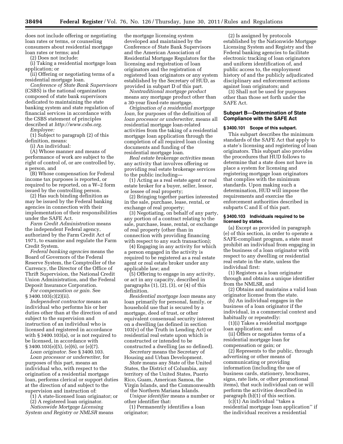does not include offering or negotiating loan rates or terms, or counseling consumers about residential mortgage loan rates or terms; and

(2) Does not include:

(i) Taking a residential mortgage loan application; or

(ii) Offering or negotiating terms of a residential mortgage loan.

*Conference of State Bank Supervisors*  (CSBS) is the national organization composed of state bank supervisors dedicated to maintaining the state banking system and state regulation of financial services in accordance with the CSBS statement of principles described at *[http://www.csbs.org.](http://www.csbs.org)* 

*Employee:* 

(1) Subject to paragraph (2) of this definition, means:

(i) An individual:

(A) Whose manner and means of performance of work are subject to the right of control of, or are controlled by, a person, and

(B) Whose compensation for Federal income tax purposes is reported, or required to be reported, on a W–2 form issued by the controlling person.

(2) Has such binding definition as may be issued by the Federal banking agencies in connection with their implementation of their responsibilities under the SAFE Act.

*Farm Credit Administration* means the independent Federal agency, authorized by the Farm Credit Act of 1971, to examine and regulate the Farm Credit System.

*Federal banking agencies* means the Board of Governors of the Federal Reserve System, the Comptroller of the Currency, the Director of the Office of Thrift Supervision, the National Credit Union Administration, and the Federal Deposit Insurance Corporation.

*For compensation or gain.* See § 3400.103(c)(2)(ii).

*Independent contractor* means an individual who performs his or her duties other than at the direction of and subject to the supervision and instruction of an individual who is licensed and registered in accordance with § 3400.103(a), or is not required to be licensed, in accordance with § 3400.103(e)(5), (e)(6), or (e)(7).

*Loan originator.* See § 3400.103.

*Loan processor or underwriter,* for purposes of this part, means an individual who, with respect to the origination of a residential mortgage loan, performs clerical or support duties at the direction of and subject to the supervision and instruction of:

(1) A state-licensed loan originator; or

(2) A registered loan originator.

*Nationwide Mortgage Licensing System and Registry or NMLSR* means the mortgage licensing system developed and maintained by the Conference of State Bank Supervisors and the American Association of Residential Mortgage Regulators for the licensing and registration of loan originators and the registration of registered loan originators or any system established by the Secretary of HUD, as provided in subpart D of this part.

*Nontraditional mortgage product*  means any mortgage product other than a 30-year fixed-rate mortgage.

*Origination of a residential mortgage loan,* for purposes of the definition of *loan processor or underwriter,* means all residential mortgage loan-related activities from the taking of a residential mortgage loan application through the completion of all required loan closing documents and funding of the residential mortgage loan.

*Real estate brokerage activities* mean any activity that involves offering or providing real estate brokerage services to the public including—

(1) Acting as a real estate agent or real estate broker for a buyer, seller, lessor, or lessee of real property;

(2) Bringing together parties interested in the sale, purchase, lease, rental, or exchange of real property;

(3) Negotiating, on behalf of any party, any portion of a contract relating to the sale, purchase, lease, rental, or exchange of real property (other than in connection with providing financing with respect to any such transaction);

(4) Engaging in any activity for which a person engaged in the activity is required to be registered as a real estate agent or real estate broker under any applicable law; and

(5) Offering to engage in any activity, or act in any capacity, described in paragraphs  $(1)$ ,  $(2)$ ,  $(3)$ , or  $(4)$  of this definition.

*Residential mortgage loan* means any loan primarily for personal, family, or household use that is secured by a mortgage, deed of trust, or other equivalent consensual security interest on a dwelling (as defined in section  $103(v)$  of the Truth in Lending Act) or residential real estate upon which is constructed or intended to be constructed a dwelling (as so defined).

*Secretary* means the Secretary of Housing and Urban Development.

*State* means any State of the United States, the District of Columbia, any territory of the United States, Puerto Rico, Guam, American Samoa, the Virgin Islands, and the Commonwealth of the Northern Mariana Islands.

*Unique identifier* means a number or other identifier that:

(1) Permanently identifies a loan originator;

(2) Is assigned by protocols established by the Nationwide Mortgage Licensing System and Registry and the Federal banking agencies to facilitate electronic tracking of loan originators and uniform identification of, and public access to, the employment history of and the publicly adjudicated disciplinary and enforcement actions against loan originators; and

(3) Shall not be used for purposes other than those set forth under the SAFE Act.

#### **Subpart B—Determination of State Compliance with the SAFE Act**

#### **§ 3400.101 Scope of this subpart.**

This subpart describes the minimum standards of the SAFE Act that apply to a state's licensing and registering of loan originators. This subpart also provides the procedures that HUD follows to determine that a state does not have in place a system for licensing and registering mortgage loan originators that complies with the minimum standards. Upon making such a determination, HUD will impose the requirements and exercise the enforcement authorities described in subparts C and E of this part.

#### **§ 3400.103 Individuals required to be licensed by states.**

(a) Except as provided in paragraph (e) of this section, in order to operate a SAFE-compliant program, a state must prohibit an individual from engaging in the business of a loan originator with respect to any dwelling or residential real estate in the state, unless the individual first:

(1) Registers as a loan originator through and obtains a unique identifier from the NMLSR, and

(2) Obtains and maintains a valid loan originator license from the state.

(b) An individual engages in the business of a loan originator if the individual, in a commercial context and habitually or repeatedly:

(1)(i) Takes a residential mortgage loan application; and

(ii) Offers or negotiates terms of a residential mortgage loan for compensation or gain; or

(2) Represents to the public, through advertising or other means of communicating or providing information (including the use of business cards, stationery, brochures, signs, rate lists, or other promotional items), that such individual can or will perform the activities described in paragraph (b)(1) of this section.

(c)(1) An individual ''takes a residential mortgage loan application'' if the individual receives a residential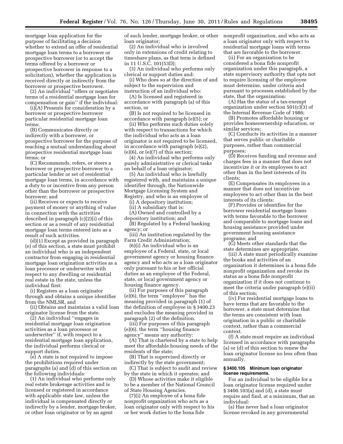mortgage loan application for the purpose of facilitating a decision whether to extend an offer of residential mortgage loan terms to a borrower or prospective borrower (or to accept the terms offered by a borrower or prospective borrower in response to a solicitation), whether the application is received directly or indirectly from the borrower or prospective borrower.

(2) An individual ''offers or negotiates terms of a residential mortgage loan for compensation or gain'' if the individual:

(i)(A) Presents for consideration by a borrower or prospective borrower particular residential mortgage loan terms;

(B) Communicates directly or indirectly with a borrower, or prospective borrower for the purpose of reaching a mutual understanding about prospective residential mortgage loan terms; or

(C) Recommends, refers, or steers a borrower or prospective borrower to a particular lender or set of residential mortgage loan terms, in accordance with a duty to or incentive from any person other than the borrower or prospective borrower; and

(ii) Receives or expects to receive payment of money or anything of value in connection with the activities described in paragraph (c)(2)(i) of this section or as a result of any residential mortgage loan terms entered into as a result of such activities.

(d)(1) Except as provided in paragraph (e) of this section, a state must prohibit an individual who is an independent contractor from engaging in residential mortgage loan origination activities as a loan processor or underwriter with respect to any dwelling or residential real estate in the state, unless the individual first:

(i) Registers as a loan originator through and obtains a unique identifier from the NMLSR, and

(ii) Obtains and maintains a valid loan originator license from the state.

(2) An individual ''engages in residential mortgage loan origination activities as a loan processor or underwriter'' if, with respect to a residential mortgage loan application, the individual performs clerical or support duties.

(e) A state is not required to impose the prohibitions required under paragraphs (a) and (d) of this section on the following individuals:

(1) An individual who performs only real estate brokerage activities and is licensed or registered in accordance with applicable state law, unless the individual is compensated directly or indirectly by a lender, mortgage broker, or other loan originator or by an agent

of such lender, mortgage broker, or other loan originator;

(2) An individual who is involved only in extensions of credit relating to timeshare plans, as that term is defined in 11 U.S.C. 101(53D);

(3) An individual who performs only clerical or support duties and:

(i) Who does so at the direction of and subject to the supervision and instruction of an individual who:

(A) Is licensed and registered in accordance with paragraph (a) of this section, or

(B) Is not required to be licensed in accordance with paragraph (e)(5); or

(ii) Who performs such duties solely with respect to transactions for which the individual who acts as a loan originator is not required to be licensed, in accordance with paragraph (e)(2),  $(e)(6)$ , or  $(e)(7)$  of this section;

(4) An individual who performs only purely administrative or clerical tasks on behalf of a loan originator;

(5) An individual who is lawfully registered with, and maintains a unique identifier through, the Nationwide Mortgage Licensing System and Registry, and who is an employee of

(i) A depository institution;

(ii) A subsidiary that is:

(A) Owned and controlled by a depository institution; and

(B) Regulated by a Federal banking agency; or

(iii) An institution regulated by the Farm Credit Administration;

(6)(i) An individual who is an employee of a Federal, state, or local government agency or housing finance agency and who acts as a loan originator only pursuant to his or her official duties as an employee of the Federal, state, or local government agency or housing finance agency.

(ii) For purposes of this paragraph (e)(6), the term ''employee'' has the meaning provided in paragraph (1) of the definition of employee in § 3400.23 and excludes the meaning provided in paragraph (2) of the definition.

(iii) For purposes of this paragraph (e)(6), the term ''housing finance agency'' means any authority:

(A) That is chartered by a state to help meet the affordable housing needs of the residents of the state;

(B) That is supervised directly or indirectly by the state government;

(C) That is subject to audit and review by the state in which it operates; and

(D) Whose activities make it eligible to be a member of the National Council of State Housing Agencies.

(7)(i) An employee of a bona fide nonprofit organization who acts as a loan originator only with respect to his or her work duties to the bona fide

nonprofit organization, and who acts as a loan originator only with respect to residential mortgage loans with terms that are favorable to the borrower.

(ii) For an organization to be considered a bona fide nonprofit organization under this paragraph, a state supervisory authority that opts not to require licensing of the employee must determine, under criteria and pursuant to processes established by the state, that the organization:

(A) Has the status of a tax-exempt organization under section 501(c)(3) of the Internal Revenue Code of 1986;

(B) Promotes affordable housing or provides homeownership education, or similar services;

(C) Conducts its activities in a manner that serves public or charitable purposes, rather than commercial purposes;

(D) Receives funding and revenue and charges fees in a manner that does not incentivize it or its employees to act other than in the best interests of its clients;

(E) Compensates its employees in a manner that does not incentivize employees to act other than in the best interests of its clients;

(F) Provides or identifies for the borrower residential mortgage loans with terms favorable to the borrower and comparable to mortgage loans and housing assistance provided under government housing assistance programs; and

(G) Meets other standards that the state determines are appropriate.

(iii) A state must periodically examine the books and activities of an organization it determines is a bona fide nonprofit organization and revoke its status as a bona fide nonprofit organization if it does not continue to meet the criteria under paragraph (e)(ii) of this section;

(iv) For residential mortgage loans to have terms that are favorable to the borrower, a state must determine that the terms are consistent with loan origination in a public or charitable context, rather than a commercial context.

(f) A state must require an individual licensed in accordance with paragraphs (a) or (d) of this section to renew the loan originator license no less often than annually.

#### **§ 3400.105 Minimum loan originator license requirements.**

For an individual to be eligible for a loan originator license required under § 3400.103(a) and (d), a state must require and find, at a minimum, that an individual:

(a) Has never had a loan originator license revoked in any governmental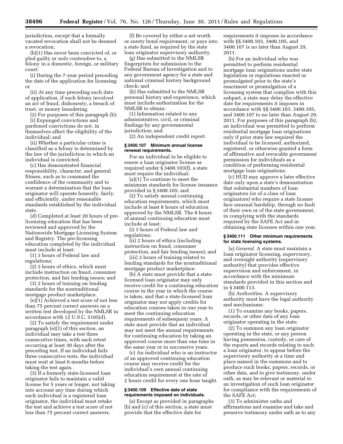jurisdiction, except that a formally vacated revocation shall not be deemed a revocation;

(b)(1) Has never been convicted of, or pled guilty or *nolo contendere* to, a felony in a domestic, foreign, or military court:

(i) During the 7-year period preceding the date of the application for licensing; or

(ii) At any time preceding such date of application, if such felony involved an act of fraud, dishonesty, a breach of trust, or money laundering.

(2) For purposes of this paragraph (b):

(i) Expunged convictions and pardoned convictions do not, in themselves affect the eligibility of the individual; and

(ii) Whether a particular crime is classified as a felony is determined by the law of the jurisdiction in which an individual is convicted.

(c) Has demonstrated financial responsibility, character, and general fitness, such as to command the confidence of the community and to warrant a determination that the loan originator will operate honestly, fairly, and efficiently, under reasonable standards established by the individual state.

(d) Completed at least 20 hours of prelicensing education that has been reviewed and approved by the Nationwide Mortgage Licensing System and Registry. The pre-licensing education completed by the individual must include at least:

(1) 3 hours of Federal law and regulations;

(2) 3 hours of ethics, which must include instruction on fraud, consumer protection, and fair lending issues; and

(3) 2 hours of training on lending standards for the nontraditional mortgage product marketplace.

(e)(1) Achieved a test score of not less than 75 percent correct answers on a written test developed by the NMLSR in accordance with 12 U.S.C. 5105(d).

(2) To satisfy the requirement under paragraph (e)(1) of this section, an individual may take a test three consecutive times, with each retest occurring at least 30 days after the preceding test. If an individual fails three consecutive tests, the individual must wait at least 6 months before taking the test again.

(3) If a formerly state-licensed loan originator fails to maintain a valid license for 5 years or longer, not taking into account any time during which such individual is a registered loan originator, the individual must retake the test and achieve a test score of not less than 75 percent correct answers.

(f) Be covered by either a net worth or surety bond requirement, or pays into a state fund, as required by the state loan originator supervisory authority.

(g) Has submitted to the NMLSR fingerprints for submission to the Federal Bureau of Investigation and to any government agency for a state and national criminal history background check; and

(h) Has submitted to the NMLSR personal history and experience, which must include authorization for the NMLSR to obtain:

(1) Information related to any administrative, civil, or criminal findings by any governmental jurisdiction; and

(2) An independent credit report.

#### **§ 3400.107 Minimum annual license renewal requirements.**

For an individual to be eligible to renew a loan originator license as required under § 3400.103(f), a state must require the individual:

(a)(1) To continue to meet the minimum standards for license issuance provided in § 3400.105; and

(2) To satisfy annual continuing education requirements, which must include at least 8 hours of education approved by the NMLSR. The 8 hours of annual continuing education must include at least:

(i) 3 hours of Federal law and regulations;

(ii) 2 hours of ethics (including instruction on fraud, consumer protection, and fair lending issues); and

(iii) 2 hours of training related to lending standards for the nontraditional mortgage product marketplace.

(b) A state must provide that a statelicensed loan originator may only receive credit for a continuing education course in the year in which the course is taken, and that a state-licensed loan originator may not apply credits for education courses taken in one year to meet the continuing education requirements of subsequent years. A state must provide that an individual may not meet the annual requirements for continuing education by taking an approved course more than one time in the same year or in successive years.

(c) An individual who is an instructor of an approved continuing education course may receive credit for the individual's own annual continuing education requirement at the rate of 2 hours credit for every one hour taught.

#### **§ 3400.109 Effective date of state requirements imposed on individuals.**

(a) Except as provided in paragraphs (b) and (c) of this section, a state must provide that the effective date for

requirements it imposes in accordance with §§ 3400.103, 3400.105, and 3400.107 is no later than August 29, 2011.

(b) For an individual who was permitted to perform residential mortgage loan originations under state legislation or regulations enacted or promulgated prior to the state's enactment or promulgation of a licensing system that complies with this subpart, a state may delay the effective date for requirements it imposes in accordance with §§ 3400.103, 3400.105, and 3400.107 to no later than August 29, 2011. For purposes of this paragraph (b), an individual was permitted to perform residential mortgage loan originations only if prior state law required the individual to be licensed, authorized, registered, or otherwise granted a form of affirmative and revocable government permission for individuals as a condition of performing residential mortgage loan originations.

(c) HUD may approve a later effective date only upon a state's demonstration that substantial numbers of loan originators (or of a class of loan originators) who require a state license face unusual hardship, through no fault of their own or of the state government, in complying with the standards required by the SAFE Act and in obtaining state licenses within one year.

#### **§ 3400.111 Other minimum requirements for state licensing systems.**

(a) *General.* A state must maintain a loan originator licensing, supervisory, and oversight authority (supervisory authority) that provides effective supervision and enforcement, in accordance with the minimum standards provided in this section and in § 3400.113.

(b) *Authorities.* A supervisory authority must have the legal authority and mechanisms:

(1) To examine any books, papers, records, or other data of any loan originator operating in the state;

(2) To summon any loan originator operating in the state, or any person having possession, custody, or care of the reports and records relating to such a loan originator, to appear before the supervisory authority at a time and place named in the summons and to produce such books, papers, records, or other data, and to give testimony, under oath, as may be relevant or material to an investigation of such loan originator for compliance with the requirements of the SAFE Act;

(3) To administer oaths and affirmations and examine and take and preserve testimony under oath as to any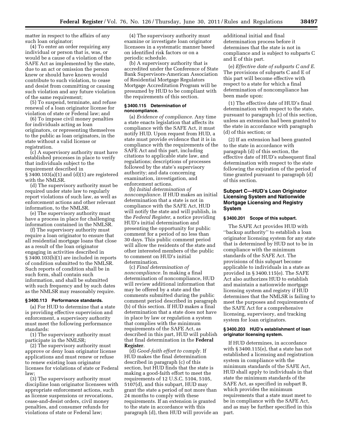matter in respect to the affairs of any such loan originator;

(4) To enter an order requiring any individual or person that is, was, or would be a cause of a violation of the SAFE Act as implemented by the state, due to an act or omission the person knew or should have known would contribute to such violation, to cease and desist from committing or causing such violation and any future violation of the same requirement;

(5) To suspend, terminate, and refuse renewal of a loan originator license for violation of state or Federal law; and

(6) To impose civil money penalties for individuals acting as loan originators, or representing themselves to the public as loan originators, in the state without a valid license or registration.

(c) A supervisory authority must have established processes in place to verify that individuals subject to the requirement described in § 3400.103(a)(1) and (d)(1) are registered with the NMLSR.

(d) The supervisory authority must be required under state law to regularly report violations of such law, as well as enforcement actions and other relevant information, to the NMLSR.

(e) The supervisory authority must have a process in place for challenging information contained in the NMLSR.

(f) The supervisory authority must require a loan originator to ensure that all residential mortgage loans that close as a result of the loan originator engaging in activities described in § 3400.103(b)(1) are included in reports of condition submitted to the NMLSR. Such reports of condition shall be in such form, shall contain such information, and shall be submitted with such frequency and by such dates as the NMLSR may reasonably require.

#### **§ 3400.113 Performance standards.**

(a) For HUD to determine that a state is providing effective supervision and enforcement, a supervisory authority must meet the following performance standards:

(1) The supervisory authority must participate in the NMLSR;

(2) The supervisory authority must approve or deny loan originator license applications and must renew or refuse to renew existing loan originator licenses for violations of state or Federal law;

(3) The supervisory authority must discipline loan originator licensees with appropriate enforcement actions, such as license suspensions or revocations, cease-and-desist orders, civil money penalties, and consumer refunds for violations of state or Federal law;

(4) The supervisory authority must examine or investigate loan originator licensees in a systematic manner based on identified risk factors or on a periodic schedule.

(b) A supervisory authority that is accredited under the Conference of State Bank Supervisors-American Association of Residential Mortgage Regulators Mortgage Accreditation Program will be presumed by HUD to be compliant with the requirements of this section.

#### **§ 3400.115 Determination of noncompliance.**

(a) *Evidence of compliance.* Any time a state enacts legislation that affects its compliance with the SAFE Act, it must notify HUD. Upon request from HUD, a state must provide evidence that it is in compliance with the requirements of the SAFE Act and this part, including citations to applicable state law, and regulations; descriptions of processes followed by the state's supervisory authority; and data concerning examination, investigation, and enforcement actions.

(b) *Initial determination of noncompliance.* If HUD makes an initial determination that a state is not in compliance with the SAFE Act, HUD will notify the state and will publish, in the *Federal Register,* a notice providing HUD's initial determination and presenting the opportunity for public comment for a period of no less than 30 days. This public comment period will allow the residents of the state and other interested members of the public to comment on HUD's initial determination.

(c) *Final determination of noncompliance.* In making a final determination of noncompliance, HUD will review additional information that may be offered by a state and the comments submitted during the public comment period described in paragraph (b) of this section. If HUD makes a final determination that a state does not have in place by law or regulation a system that complies with the minimum requirements of the SAFE Act, as described in this part, HUD will publish that final determination in the **Federal Register**.

(d) *Good-faith effort to comply.* If HUD makes the final determination described in paragraph (c) of this section, but HUD finds that the state is making a good-faith effort to meet the requirements of 12 U.S.C. 5104, 5105, 5107(d), and this subpart, HUD may grant the state a period of not more than 24 months to comply with these requirements. If an extension is granted to the state in accordance with this paragraph (d), then HUD will provide an additional initial and final determination process before it determines that the state is not in compliance and is subject to subparts C and E of this part.

(e) *Effective date of subparts C and E.*  The provisions of subparts C and E of this part will become effective with respect to a state for which a final determination of noncompliance has been made upon:

(1) The effective date of HUD's final determination with respect to the state, pursuant to paragraph (c) of this section, unless an extension had been granted to the state in accordance with paragraph (d) of this section; or

(2) If an extension had been granted to the state in accordance with paragraph (d) of this section, the effective date of HUD's subsequent final determination with respect to the state following the expiration of the period of time granted pursuant to paragraph (d) of this section.

#### **Subpart C—HUD's Loan Originator Licensing System and Nationwide Mortgage Licensing and Registry System**

#### **§ 3400.201 Scope of this subpart.**

The SAFE Act provides HUD with ''backup authority'' to establish a loan originator licensing system for any state that is determined by HUD not to be in compliance with the minimum standards of the SAFE Act. The provisions of this subpart become applicable to individuals in a state as provided in § 3400.115(e). The SAFE Act also authorizes HUD to establish and maintain a nationwide mortgage licensing system and registry if HUD determines that the NMLSR is failing to meet the purposes and requirements of the SAFE Act for a comprehensive licensing, supervisory, and tracking system for loan originators.

#### **§ 3400.203 HUD's establishment of loan originator licensing system.**

If HUD determines, in accordance with § 3400.115(e), that a state has not established a licensing and registration system in compliance with the minimum standards of the SAFE Act, HUD shall apply to individuals in that state the minimum standards of the SAFE Act, as specified in subpart B, which provides the minimum requirements that a state must meet to be in compliance with the SAFE Act, and as may be further specified in this part.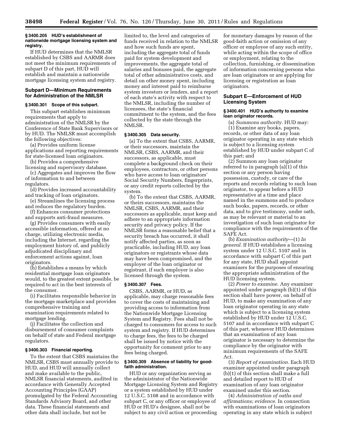#### **§ 3400.205 HUD's establishment of nationwide mortgage licensing system and registry.**

If HUD determines that the NMLSR established by CSBS and AARMR does not meet the minimum requirements of subpart D of this part, HUD will establish and maintain a nationwide mortgage licensing system and registry.

#### **Subpart D—Minimum Requirements for Administration of the NMLSR**

#### **§ 3400.301 Scope of this subpart.**

This subpart establishes minimum requirements that apply to administration of the NMLSR by the Conference of State Bank Supervisors or by HUD. The NMLSR must accomplish the following objectives:

(a) Provides uniform license applications and reporting requirements for state-licensed loan originators.

(b) Provides a comprehensive licensing and supervisory database.

(c) Aggregates and improves the flow of information to and between regulators.

(d) Provides increased accountability and tracking of loan originators.

- (e) Streamlines the licensing process and reduces the regulatory burden.
- (f) Enhances consumer protections and supports anti-fraud measures.

(g) Provides consumers with easily accessible information, offered at no charge, utilizing electronic media, including the Internet, regarding the employment history of, and publicly adjudicated disciplinary and enforcement actions against, loan originators.

(h) Establishes a means by which residential mortgage loan originators would, to the greatest extent possible, be required to act in the best interests of the consumer.

(i) Facilitates responsible behavior in the mortgage marketplace and provides comprehensive training and examination requirements related to mortgage lending.

(j) Facilitates the collection and disbursement of consumer complaints on behalf of state and Federal mortgage regulators.

#### **§ 3400.303 Financial reporting.**

To the extent that CSBS maintains the NMLSR, CSBS must annually provide to HUD, and HUD will annually collect and make available to the public, NMLSR financial statements, audited in accordance with Generally Accepted Accounting Principles (GAAP) promulgated by the Federal Accounting Standards Advisory Board, and other data. These financial statements and other data shall include, but not be

limited to, the level and categories of funds received in relation to the NMLSR and how such funds are spent, including the aggregate total of funds paid for system development and improvements, the aggregate total of salaries and bonuses paid, the aggregate total of other administrative costs, and detail on other money spent, including money and interest paid to reimburse system investors or lenders, and a report of each state's activity with respect to the NMLSR, including the number of licensees, the state's financial commitment to the system, and the fees collected by the state through the NMLSR.

#### **§ 3400.305 Data security.**

(a) To the extent that CSBS, AARMR, or their successors, maintain the NMLSR, CSBS, AARMR, and their successors, as applicable, must complete a background check on their employees, contractors, or other persons who have access to loan originators' Social Security Numbers, fingerprints, or any credit reports collected by the system.

(b) To the extent that CSBS, AARMR, or theirs successors, maintains the NMLSR, CSBS, AARMR, and their successors as applicable, must keep and adhere to an appropriate information security and privacy policy. If the NMLSR forms a reasonable belief that a security breach has occurred, it shall notify affected parties, as soon as practicable, including HUD, any loan originators or registrants whose data may have been compromised, and the employer of the loan originator or registrant, if such employer is also licensed through the system.

#### **§ 3400.307 Fees.**

CSBS, AARMR, or HUD, as applicable, may charge reasonable fees to cover the costs of maintaining and providing access to information from the Nationwide Mortgage Licensing System and Registry. Fees shall not be charged to consumers for access to such system and registry. If HUD determines to charge fees, the fees to be charged shall be issued by notice with the opportunity for comment prior to any fees being charged.

#### **§ 3400.309 Absence of liability for goodfaith administration.**

HUD or any organization serving as the administrator of the Nationwide Mortgage Licensing System and Registry or a system established by HUD under 12 U.S.C. 5108 and in accordance with subpart C, or any officer or employee of HUD or HUD's designee, shall not be subject to any civil action or proceeding

for monetary damages by reason of the good-faith action or omission of any officer or employee of any such entity, while acting within the scope of office or employment, relating to the collection, furnishing, or dissemination of information concerning persons who are loan originators or are applying for licensing or registration as loan originators.

#### **Subpart E—Enforcement of HUD Licensing System**

#### **§ 3400.401 HUD's authority to examine loan originator records.**

(a) *Summons authority.* HUD may: (1) Examine any books, papers, records, or other data of any loan originator operating in any state which is subject to a licensing system established by HUD under subpart C of this part; and

(2) Summon any loan originator referred to in paragraph (a)(1) of this section or any person having possession, custody, or care of the reports and records relating to such loan originator, to appear before a HUD representative at a time and place named in the summons and to produce such books, papers, records, or other data, and to give testimony, under oath, as may be relevant or material to an investigation of such loan originator for compliance with the requirements of the SAFE Act.

(b) *Examination authority*—(1) *In general.* If HUD establishes a licensing system under 12 U.S.C. 5107 and in accordance with subpart C of this part for any state, HUD shall appoint examiners for the purposes of ensuring the appropriate administration of the HUD licensing system.

(2) *Power to examine.* Any examiner appointed under paragraph (b)(1) of this section shall have power, on behalf of HUD, to make any examination of any loan originator operating in any state which is subject to a licensing system established by HUD under 12 U.S.C. 5107 and in accordance with subpart C of this part, whenever HUD determines that an examination of any loan originator is necessary to determine the compliance by the originator with minimum requirements of the SAFE Act.

(3) *Report of examination.* Each HUD examiner appointed under paragraph (b)(1) of this section shall make a full and detailed report to HUD of examination of any loan originator examined under this section.

(4) *Administration of oaths and affirmations; evidence.* In connection with examinations of loan originators operating in any state which is subject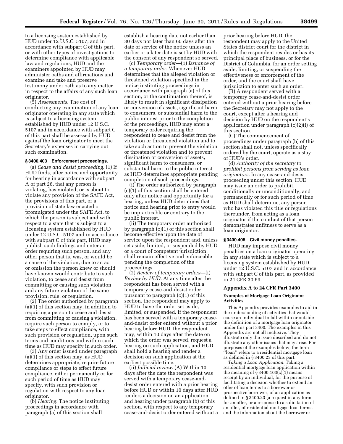to a licensing system established by HUD under 12 U.S.C. 5107, and in accordance with subpart C of this part, or with other types of investigations to determine compliance with applicable law and regulations, HUD and the examiners appointed by HUD may administer oaths and affirmations and examine and take and preserve testimony under oath as to any matter in respect to the affairs of any such loan originator.

(5) *Assessments.* The cost of conducting any examination of any loan originator operating in any state which is subject to a licensing system established by HUD under 12 U.S.C. 5107 and in accordance with subpart C of this part shall be assessed by HUD against the loan originator to meet the Secretary's expenses in carrying out such examination.

#### **§ 3400.403 Enforcement proceedings.**

(a) *Cease and desist proceeding.* (1) If HUD finds, after notice and opportunity for hearing in accordance with subpart A of part 26, that any person is violating, has violated, or is about to violate any provision of the SAFE Act, the provisions of this part, or a provision of state law enacted or promulgated under the SAFE Act, to which the person is subject and with respect to a state that is subject to a licensing system established by HUD under 12 U.S.C. 5107 and in accordance with subpart C of this part, HUD may publish such findings and enter an order requiring such person, and any other person that is, was, or would be a cause of the violation, due to an act or omission the person knew or should have known would contribute to such violation, to cease and desist from committing or causing such violation and any future violation of the same provision, rule, or regulation.

(2) The order authorized by paragraph (a)(1) of this section may, in addition to requiring a person to cease and desist from committing or causing a violation, require such person to comply, or to take steps to effect compliance, with such provision or regulation, upon such terms and conditions and within such time as HUD may specify in such order.

(3) Any order issued under paragraph (a)(1) of this section may, as HUD determines appropriate, require future compliance or steps to effect future compliance, either permanently or for such period of time as HUD may specify, with such provision or regulation with respect to any loan originator.

(b) *Hearing.* The notice instituting proceedings in accordance with paragraph (a) of this section shall

establish a hearing date not earlier than 30 days nor later than 60 days after the date of service of the notice unless an earlier or a later date is set by HUD with the consent of any respondent so served.

(c) *Temporary order*—(1) *Issuance of a temporary order.* Whenever HUD determines that the alleged violation or threatened violation specified in the notice instituting proceedings in accordance with paragraph (a) of this section, or the continuation thereof, is likely to result in significant dissipation or conversion of assets, significant harm to consumers, or substantial harm to the public interest prior to the completion of the proceedings, HUD may enter a temporary order requiring the respondent to cease and desist from the violation or threatened violation and to take such action to prevent the violation or threatened violation and to prevent dissipation or conversion of assets, significant harm to consumers, or substantial harm to the public interest as HUD determines appropriate pending completion of such proceedings.

(i) The order authorized by paragraph (c)(1) of this section shall be entered only after notice and opportunity for a hearing, unless HUD determines that notice and hearing prior to entry would be impracticable or contrary to the public interest.

(ii) The temporary order authorized by paragraph (c)(1) of this section shall become effective upon the date of service upon the respondent and, unless set aside, limited, or suspended by HUD or a court of competent jurisdiction, shall remain effective and enforceable pending the completion of the proceedings.

(2) *Review of temporary orders*—(i) *Review by HUD.* At any time after the respondent has been served with a temporary cease-and-desist order pursuant to paragraph (c)(1) of this section, the respondent may apply to HUD to have the order set aside, limited, or suspended. If the respondent has been served with a temporary ceaseand-desist order entered without a prior hearing before HUD, the respondent may, within 10 days after the date on which the order was served, request a hearing on such application, and HUD shall hold a hearing and render a decision on such application at the earliest possible time.

(ii) *Judicial review.* (A) Within 10 days after the date the respondent was served with a temporary cease-anddesist order entered with a prior hearing before HUD or within 10 days after HUD renders a decision on an application and hearing under paragraph (b) of this section, with respect to any temporary cease-and-desist order entered without a

prior hearing before HUD, the respondent may apply to the United States district court for the district in which the respondent resides or has its principal place of business, or for the District of Columbia, for an order setting aside, limiting, or suspending the effectiveness or enforcement of the order, and the court shall have jurisdiction to enter such an order.

(B) A respondent served with a temporary cease-and-desist order entered without a prior hearing before the Secretary may not apply to the court, except after a hearing and decision by HUD on the respondent's application under paragraph (c)(2)(i) of this section.

(C) The commencement of proceedings under paragraph (b) of this section shall not, unless specifically ordered by the court, operate as a stay of HUD's order.

(d) *Authority of the secretary to prohibit persons from serving as loan originators.* In any cease-and-desist proceeding under this section, HUD may issue an order to prohibit, conditionally or unconditionally, and permanently or for such period of time as HUD shall determine, any person who has violated this title or regulations thereunder, from acting as a loan originator if the conduct of that person demonstrates unfitness to serve as a loan originator.

#### **§ 3400.405 Civil money penalties.**

HUD may impose civil money penalties on a loan originator operating in any state which is subject to a licensing system established by HUD under 12 U.S.C. 5107 and in accordance with subpart C of this part, as provided in 24 CFR 30.69.

#### **Appendix A to 24 CFR Part 3400**

#### **Examples of Mortgage Loan Originator Activities**

This Appendix provides examples to aid in the understanding of activities that would cause an individual to fall within or outside the definition of a mortgage loan originator under this part 3400. The examples in this Appendix are not all inclusive. They illustrate only the issue described and do not illustrate any other issues that may arise. For purposes of the examples below, the term ''loan'' refers to a residential mortgage loan as defined in § 3400.23 of this part.

*Taking a Loan Application.* Taking a residential mortgage loan application within the meaning of  $\S 3400.103(c)(1)$  means receipt by an individual, for the purpose of facilitating a decision whether to extend an offer of loan terms to a borrower or prospective borrower, of an application as defined in § 3400.23 (a request in any form for an offer, or a response to a solicitation of an offer, of residential mortgage loan terms, and the information about the borrower or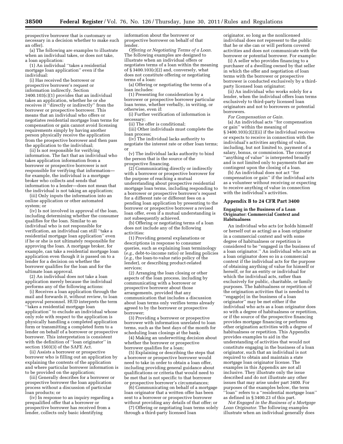prospective borrower that is customary or necessary in a decision whether to make such an offer).

(a) The following are examples to illustrate when an individual takes, or does not take, a loan application:

(1) An individual ''takes a residential mortgage loan application'' even if the individual:

(i) Has received the borrower or prospective borrower's request or information indirectly. Section 3400.103(c)(1) provides that an individual takes an application, whether he or she receives it "directly or indirectly" from the borrower or prospective borrower. This means that an individual who offers or negotiates residential mortgage loan terms for compensation or gain cannot avoid licensing requirements simply by having another person physically receive the application from the prospective borrower and then pass the application to the individual;

(ii) Is not responsible for verifying information. The fact that an individual who takes application information from a borrower or prospective borrower is not responsible for verifying that information for example, the individual is a mortgage broker who collects and sends that information to a lender—does not mean that the individual is not taking an application;

(iii) Only inputs the information into an online application or other automated system; or

(iv) Is not involved in approval of the loan, including determining whether the consumer qualifies for the loan. Similar to an individual who is not responsible for verification, an individual can still ''take a residential mortgage loan application'' even if he or she is not ultimately responsible for approving the loan. A mortgage broker, for example, can take a residential mortgage loan application even though it is passed on to a lender for a decision on whether the borrower qualifies for the loan and for the ultimate loan approval.

(2) An individual does not take a loan application merely because the individual performs any of the following actions:

(i) Receives a loan application through the mail and forwards it, without review, to loan approval personnel. HUD interprets the term ''takes a residential mortgage loan application'' to exclude an individual whose only role with respect to the application is physically handling a completed application form or transmitting a completed form to a lender on behalf of a borrower or prospective borrower. This interpretation is consistent with the definition of "loan originator" in section 1503(3) of the SAFE Act.

(ii) Assists a borrower or prospective borrower who is filling out an application by explaining the contents of the application and where particular borrower information is to be provided on the application;

(iii) Generally describes for a borrower or prospective borrower the loan application process without a discussion of particular loan products; or

(iv) In response to an inquiry regarding a prequalified offer that a borrower or prospective borrower has received from a lender, collects only basic identifying

information about the borrower or prospective borrower on behalf of that lender.

*Offering or Negotiating Terms of a Loan.*  The following examples are designed to illustrate when an individual offers or negotiates terms of a loan within the meaning of  $\S$  3400.103(c)(2) and, conversely, what does not constitute offering or negotiating terms of a loan:

(a) Offering or negotiating the terms of a loan includes:

(1) Presenting for consideration by a borrower or prospective borrower particular loan terms, whether verbally, in writing, or otherwise, even if:

(i) Further verification of information is necessary;

(ii) The offer is conditional;

(iii) Other individuals must complete the loan process;

(iv) The individual lacks authority to negotiate the interest rate or other loan terms; or

(v) The individual lacks authority to bind the person that is the source of the prospective financing.

(2) Communicating directly or indirectly with a borrower or prospective borrower for the purpose of reaching a mutual understanding about prospective residential mortgage loan terms, including responding to a borrower or prospective borrower's request for a different rate or different fees on a pending loan application by presenting to the borrower or prospective borrower a revised loan offer, even if a mutual understanding is not subsequently achieved.

(b) Offering or negotiating terms of a loan does not include any of the following activities:

(1) Providing general explanations or descriptions in response to consumer queries, such as explaining loan terminology (*e.g.,* debt-to-income ratio) or lending policies (*e.g.,* the loan-to-value ratio policy of the lender), or describing product-related services;

(2) Arranging the loan closing or other aspects of the loan process, including by communicating with a borrower or prospective borrower about those arrangements, provided that any communication that includes a discussion about loan terms only verifies terms already agreed to by the borrower or prospective borrower;

(3) Providing a borrower or prospective borrower with information unrelated to loan terms, such as the best days of the month for scheduling loan closings at the bank;

(4) Making an underwriting decision about whether the borrower or prospective borrower qualifies for a loan;

(5) Explaining or describing the steps that a borrower or prospective borrower would need to take in order to obtain a loan offer, including providing general guidance about qualifications or criteria that would need to be met that is not specific to that borrower or prospective borrower's circumstances;

(6) Communicating on behalf of a mortgage loan originator that a written offer has been sent to a borrower or prospective borrower without providing any details of that offer; or

(7) Offering or negotiating loan terms solely through a third-party licensed loan

originator, so long as the nonlicensed individual does not represent to the public that he or she can or will perform covered activities and does not communicate with the borrower or potential borrower. For example:

(i) A seller who provides financing to a purchaser of a dwelling owned by that seller in which the offer and negotiation of loan terms with the borrower or prospective borrower is conducted exclusively by a thirdparty licensed loan originator;

(ii) An individual who works solely for a lender, when the individual offers loan terms exclusively to third-party licensed loan originators and not to borrowers or potential borrowers.

*For Compensation or Gain.* 

(a) An individual acts ''for compensation or gain'' within the meaning of § 3400.103(c)(2)(ii) if the individual receives or expects to receive in connection with the individual's activities anything of value, including, but not limited to, payment of a salary, bonus, or commission. The concept ''anything of value'' is interpreted broadly and is not limited only to payments that are contingent upon the closing of a loan.

(b) An individual does not act ''for compensation or gain'' if the individual acts as a volunteer without receiving or expecting to receive anything of value in connection with the individual's activities.

#### **Appendix B to 24 CFR Part 3400**

#### **Engaging in the Business of a Loan Originator: Commercial Context and Habitualness**

An individual who acts (or holds himself or herself out as acting) as a loan originator in a commercial context and with some degree of habitualness or repetition is considered to be ''engaged in the business of a loan originator.'' An individual who acts as a loan originator does so in a commercial context if the individual acts for the purpose of obtaining anything of value for himself or herself, or for an entity or individual for which the individual acts, rather than exclusively for public, charitable, or family purposes. The habitualness or repetition of the origination activities that is needed to ''engage[e] in the business of a loan originator'' may be met either if the individual who acts as a loan originator does so with a degree of habitualness or repetition, or if the source of the prospective financing provides mortgage financing or performs other origination activities with a degree of habitualness or repetition. This Appendix provides examples to aid in the understanding of activities that would not constitute engaging in the business of a loan originator, such that an individual is not required to obtain and maintain a state mortgage loan originator license. The examples in this Appendix are not all inclusive. They illustrate only the issue described and do not illustrate any other issues that may arise under part 3400. For purposes of the examples below, the term ''loan'' refers to a ''residential mortgage loan'' as defined in § 3400.23 of this part.

*Not Engaged in the Business of a Mortgage Loan Originator.* The following examples illustrate when an individual generally does